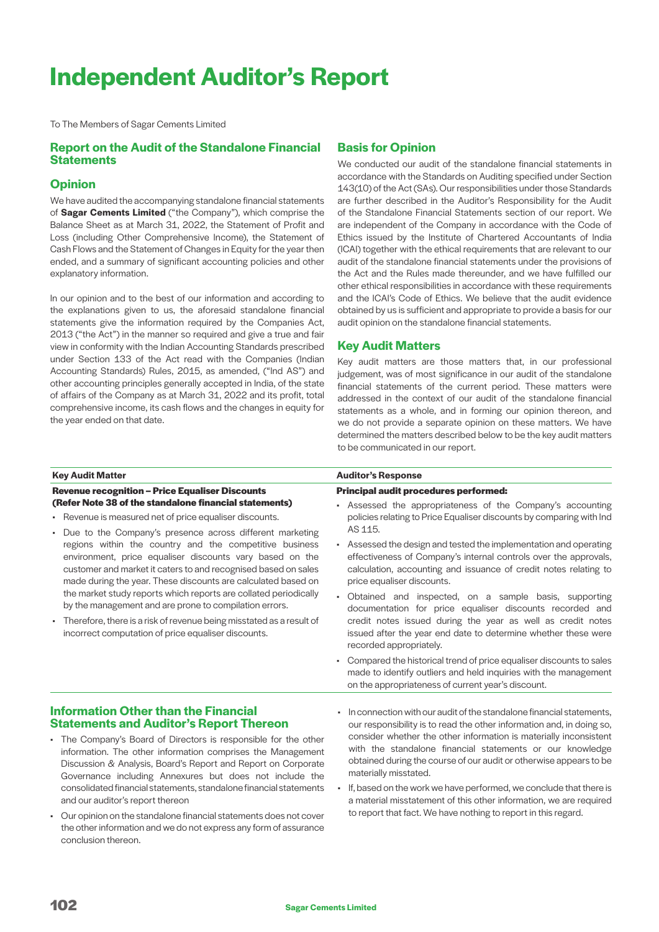# **Independent Auditor's Report**

To The Members of Sagar Cements Limited

# **Report on the Audit of the Standalone Financial Statements**

# **Opinion**

We have audited the accompanying standalone financial statements of **Sagar Cements Limited** ("the Company"), which comprise the Balance Sheet as at March 31, 2022, the Statement of Profit and Loss (including Other Comprehensive Income), the Statement of Cash Flows and the Statement of Changes in Equity for the year then ended, and a summary of significant accounting policies and other explanatory information.

In our opinion and to the best of our information and according to the explanations given to us, the aforesaid standalone financial statements give the information required by the Companies Act, 2013 ("the Act") in the manner so required and give a true and fair view in conformity with the Indian Accounting Standards prescribed under Section 133 of the Act read with the Companies (Indian Accounting Standards) Rules, 2015, as amended, ("Ind AS") and other accounting principles generally accepted in India, of the state of affairs of the Company as at March 31, 2022 and its profit, total comprehensive income, its cash flows and the changes in equity for the year ended on that date.

# **Basis for Opinion**

We conducted our audit of the standalone financial statements in accordance with the Standards on Auditing specified under Section 143(10) of the Act (SAs). Our responsibilities under those Standards are further described in the Auditor's Responsibility for the Audit of the Standalone Financial Statements section of our report. We are independent of the Company in accordance with the Code of Ethics issued by the Institute of Chartered Accountants of India (ICAI) together with the ethical requirements that are relevant to our audit of the standalone financial statements under the provisions of the Act and the Rules made thereunder, and we have fulfilled our other ethical responsibilities in accordance with these requirements and the ICAI's Code of Ethics. We believe that the audit evidence obtained by us is sufficient and appropriate to provide a basis for our audit opinion on the standalone financial statements.

# **Key Audit Matters**

Key audit matters are those matters that, in our professional judgement, was of most significance in our audit of the standalone financial statements of the current period. These matters were addressed in the context of our audit of the standalone financial statements as a whole, and in forming our opinion thereon, and we do not provide a separate opinion on these matters. We have determined the matters described below to be the key audit matters to be communicated in our report.

| <b>Key Audit Matter</b>                                                                                                                                                                                                                                                                                                                                                                                                                                                                                                                                                                                                                                                                                                                                               | <b>Auditor's Response</b>                                                                                                                                                                                                                                                                                                                                                                                                                                                                                                                                                                                                                                                                                                                                                                                                                                                 |
|-----------------------------------------------------------------------------------------------------------------------------------------------------------------------------------------------------------------------------------------------------------------------------------------------------------------------------------------------------------------------------------------------------------------------------------------------------------------------------------------------------------------------------------------------------------------------------------------------------------------------------------------------------------------------------------------------------------------------------------------------------------------------|---------------------------------------------------------------------------------------------------------------------------------------------------------------------------------------------------------------------------------------------------------------------------------------------------------------------------------------------------------------------------------------------------------------------------------------------------------------------------------------------------------------------------------------------------------------------------------------------------------------------------------------------------------------------------------------------------------------------------------------------------------------------------------------------------------------------------------------------------------------------------|
| <b>Revenue recognition - Price Equaliser Discounts</b><br>(Refer Note 38 of the standalone financial statements)<br>• Revenue is measured net of price equaliser discounts.<br>• Due to the Company's presence across different marketing<br>regions within the country and the competitive business<br>environment, price equaliser discounts vary based on the<br>customer and market it caters to and recognised based on sales<br>made during the year. These discounts are calculated based on<br>the market study reports which reports are collated periodically<br>by the management and are prone to compilation errors.<br>Therefore, there is a risk of revenue being misstated as a result of<br>٠<br>incorrect computation of price equaliser discounts. | <b>Principal audit procedures performed:</b><br>• Assessed the appropriateness of the Company's accounting<br>policies relating to Price Equaliser discounts by comparing with Ind<br>AS 115.<br>• Assessed the design and tested the implementation and operating<br>effectiveness of Company's internal controls over the approvals,<br>calculation, accounting and issuance of credit notes relating to<br>price equaliser discounts.<br>Obtained and inspected, on a sample basis, supporting<br>documentation for price equaliser discounts recorded and<br>credit notes issued during the year as well as credit notes<br>issued after the year end date to determine whether these were<br>recorded appropriately.<br>Compared the historical trend of price equaliser discounts to sales<br>٠<br>made to identify outliers and held inquiries with the management |
| <b>Information Other than the Financial</b><br><b>Statements and Auditor's Report Thereon</b><br>• The Company's Board of Directors is responsible for the other<br>information. The other information comprises the Management<br>Discussion & Analysis, Board's Report and Report on Corporate<br>Governance including Annexures but does not include the<br>consolidated financial statements, standalone financial statements<br>and our auditor's report thereon<br>• Our opinion on the standalone financial statements does not cover<br>the other information and we do not express any form of assurance                                                                                                                                                     | on the appropriateness of current year's discount.<br>In connection with our audit of the standalone financial statements.<br>our responsibility is to read the other information and, in doing so,<br>consider whether the other information is materially inconsistent<br>with the standalone financial statements or our knowledge<br>obtained during the course of our audit or otherwise appears to be<br>materially misstated.<br>If, based on the work we have performed, we conclude that there is<br>a material misstatement of this other information, we are required<br>to report that fact. We have nothing to report in this regard.                                                                                                                                                                                                                        |

conclusion thereon.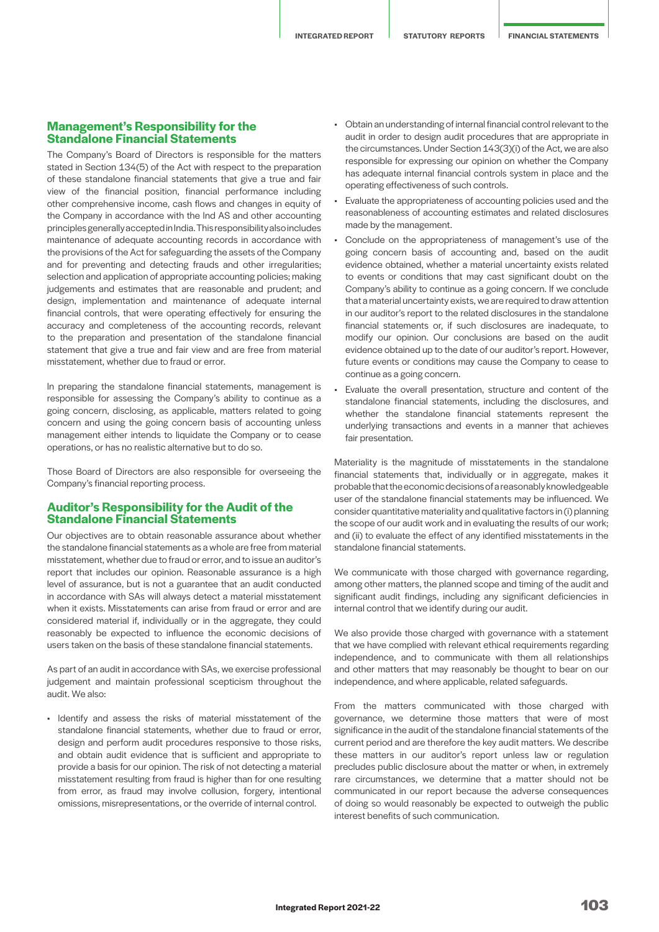# **Management's Responsibility for the Standalone Financial Statements**

The Company's Board of Directors is responsible for the matters stated in Section 134(5) of the Act with respect to the preparation of these standalone financial statements that give a true and fair view of the financial position, financial performance including other comprehensive income, cash flows and changes in equity of the Company in accordance with the Ind AS and other accounting principles generally accepted in India. This responsibility also includes maintenance of adequate accounting records in accordance with the provisions of the Act for safeguarding the assets of the Company and for preventing and detecting frauds and other irregularities; selection and application of appropriate accounting policies; making judgements and estimates that are reasonable and prudent; and design, implementation and maintenance of adequate internal financial controls, that were operating effectively for ensuring the accuracy and completeness of the accounting records, relevant to the preparation and presentation of the standalone financial statement that give a true and fair view and are free from material misstatement, whether due to fraud or error.

In preparing the standalone financial statements, management is responsible for assessing the Company's ability to continue as a going concern, disclosing, as applicable, matters related to going concern and using the going concern basis of accounting unless management either intends to liquidate the Company or to cease operations, or has no realistic alternative but to do so.

Those Board of Directors are also responsible for overseeing the Company's financial reporting process.

# **Auditor's Responsibility for the Audit of the Standalone Financial Statements**

Our objectives are to obtain reasonable assurance about whether the standalone financial statements as a whole are free from material misstatement, whether due to fraud or error, and to issue an auditor's report that includes our opinion. Reasonable assurance is a high level of assurance, but is not a guarantee that an audit conducted in accordance with SAs will always detect a material misstatement when it exists. Misstatements can arise from fraud or error and are considered material if, individually or in the aggregate, they could reasonably be expected to influence the economic decisions of users taken on the basis of these standalone financial statements.

As part of an audit in accordance with SAs, we exercise professional judgement and maintain professional scepticism throughout the audit. We also:

• Identify and assess the risks of material misstatement of the standalone financial statements, whether due to fraud or error, design and perform audit procedures responsive to those risks, and obtain audit evidence that is sufficient and appropriate to provide a basis for our opinion. The risk of not detecting a material misstatement resulting from fraud is higher than for one resulting from error, as fraud may involve collusion, forgery, intentional omissions, misrepresentations, or the override of internal control.

- Obtain an understanding of internal financial control relevant to the audit in order to design audit procedures that are appropriate in the circumstances. Under Section 143(3)(i) of the Act, we are also responsible for expressing our opinion on whether the Company has adequate internal financial controls system in place and the operating effectiveness of such controls.
- Evaluate the appropriateness of accounting policies used and the reasonableness of accounting estimates and related disclosures made by the management.
- Conclude on the appropriateness of management's use of the going concern basis of accounting and, based on the audit evidence obtained, whether a material uncertainty exists related to events or conditions that may cast significant doubt on the Company's ability to continue as a going concern. If we conclude that a material uncertainty exists, we are required to draw attention in our auditor's report to the related disclosures in the standalone financial statements or, if such disclosures are inadequate, to modify our opinion. Our conclusions are based on the audit evidence obtained up to the date of our auditor's report. However, future events or conditions may cause the Company to cease to continue as a going concern.
- Evaluate the overall presentation, structure and content of the standalone financial statements, including the disclosures, and whether the standalone financial statements represent the underlying transactions and events in a manner that achieves fair presentation.

Materiality is the magnitude of misstatements in the standalone financial statements that, individually or in aggregate, makes it probable that the economic decisions of a reasonably knowledgeable user of the standalone financial statements may be influenced. We consider quantitative materiality and qualitative factors in (i) planning the scope of our audit work and in evaluating the results of our work; and (ii) to evaluate the effect of any identified misstatements in the standalone financial statements.

We communicate with those charged with governance regarding, among other matters, the planned scope and timing of the audit and significant audit findings, including any significant deficiencies in internal control that we identify during our audit.

We also provide those charged with governance with a statement that we have complied with relevant ethical requirements regarding independence, and to communicate with them all relationships and other matters that may reasonably be thought to bear on our independence, and where applicable, related safeguards.

From the matters communicated with those charged with governance, we determine those matters that were of most significance in the audit of the standalone financial statements of the current period and are therefore the key audit matters. We describe these matters in our auditor's report unless law or regulation precludes public disclosure about the matter or when, in extremely rare circumstances, we determine that a matter should not be communicated in our report because the adverse consequences of doing so would reasonably be expected to outweigh the public interest benefits of such communication.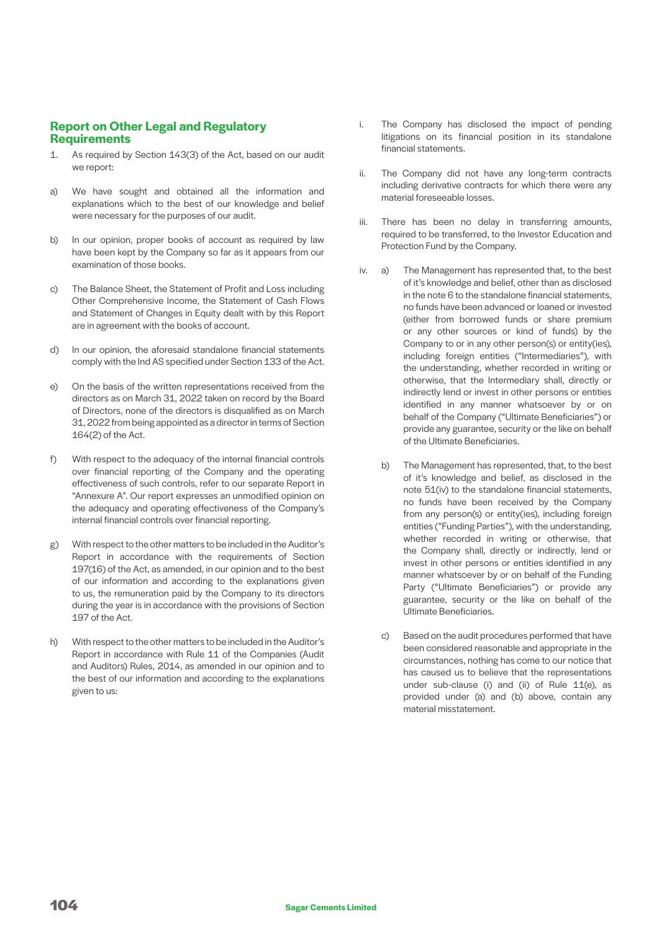# **Report on Other Legal and Regulatory Requirements**

- 1. As required by Section 143(3) of the Act, based on our audit we report:
- a) We have sought and obtained all the information and explanations which to the best of our knowledge and belief were necessary for the purposes of our audit.
- b) In our opinion, proper books of account as required by law have been kept by the Company so far as it appears from our examination of those books.
- c) The Balance Sheet, the Statement of Profit and Loss including Other Comprehensive Income, the Statement of Cash Flows and Statement of Changes in Equity dealt with by this Report are in agreement with the books of account.
- d) In our opinion, the aforesaid standalone financial statements comply with the Ind AS specified under Section 133 of the Act.
- e) On the basis of the written representations received from the directors as on March 31, 2022 taken on record by the Board of Directors, none of the directors is disqualified as on March 31, 2022 from being appointed as a director in terms of Section 164(2) of the Act.
- f) With respect to the adequacy of the internal financial controls over financial reporting of the Company and the operating effectiveness of such controls, refer to our separate Report in "Annexure A". Our report expresses an unmodified opinion on the adequacy and operating effectiveness of the Company's internal financial controls over financial reporting.
- g) With respect to the other matters to be included in the Auditor's Report in accordance with the requirements of Section 197(16) of the Act, as amended, in our opinion and to the best of our information and according to the explanations given to us, the remuneration paid by the Company to its directors during the year is in accordance with the provisions of Section 197 of the Act.
- h) With respect to the other matters to be included in the Auditor's Report in accordance with Rule 11 of the Companies (Audit and Auditors) Rules, 2014, as amended in our opinion and to the best of our information and according to the explanations given to us:
- i. The Company has disclosed the impact of pending litigations on its financial position in its standalone financial statements.
- ii. The Company did not have any long-term contracts including derivative contracts for which there were any material foreseeable losses.
- iii. There has been no delay in transferring amounts, required to be transferred, to the Investor Education and Protection Fund by the Company.
- iv. a) The Management has represented that, to the best of it's knowledge and belief, other than as disclosed in the note 6 to the standalone financial statements, no funds have been advanced or loaned or invested (either from borrowed funds or share premium or any other sources or kind of funds) by the Company to or in any other person(s) or entity(ies), including foreign entities ("Intermediaries"), with the understanding, whether recorded in writing or otherwise, that the Intermediary shall, directly or indirectly lend or invest in other persons or entities identified in any manner whatsoever by or on behalf of the Company ("Ultimate Beneficiaries") or provide any guarantee, security or the like on behalf of the Ultimate Beneficiaries.
	- b) The Management has represented, that, to the best of it's knowledge and belief, as disclosed in the note 51(iv) to the standalone financial statements, no funds have been received by the Company from any person(s) or entity(ies), including foreign entities ("Funding Parties"), with the understanding, whether recorded in writing or otherwise, that the Company shall, directly or indirectly, lend or invest in other persons or entities identified in any manner whatsoever by or on behalf of the Funding Party ("Ultimate Beneficiaries") or provide any guarantee, security or the like on behalf of the Ultimate Beneficiaries.
	- c) Based on the audit procedures performed that have been considered reasonable and appropriate in the circumstances, nothing has come to our notice that has caused us to believe that the representations under sub-clause (i) and (ii) of Rule 11(e), as provided under (a) and (b) above, contain any material misstatement.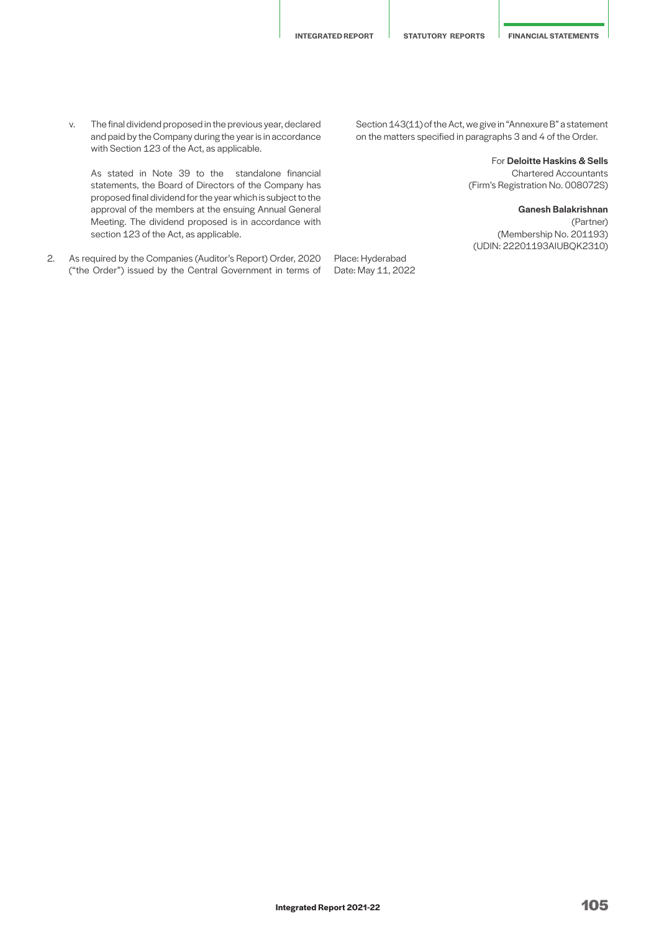v. The final dividend proposed in the previous year, declared and paid by the Company during the year is in accordance with Section 123 of the Act, as applicable.

 As stated in Note 39 to the standalone financial statements, the Board of Directors of the Company has proposed final dividend for the year which is subject to the approval of the members at the ensuing Annual General Meeting. The dividend proposed is in accordance with section 123 of the Act, as applicable.

2. As required by the Companies (Auditor's Report) Order, 2020 ("the Order") issued by the Central Government in terms of Section 143(11) of the Act, we give in "Annexure B" a statement on the matters specified in paragraphs 3 and 4 of the Order.

> For Deloitte Haskins & Sells Chartered Accountants (Firm's Registration No. 008072S)

Ganesh Balakrishnan (Partner) (Membership No. 201193) (UDIN: 22201193AIUBQK2310)

Place: Hyderabad

Date: May 11, 2022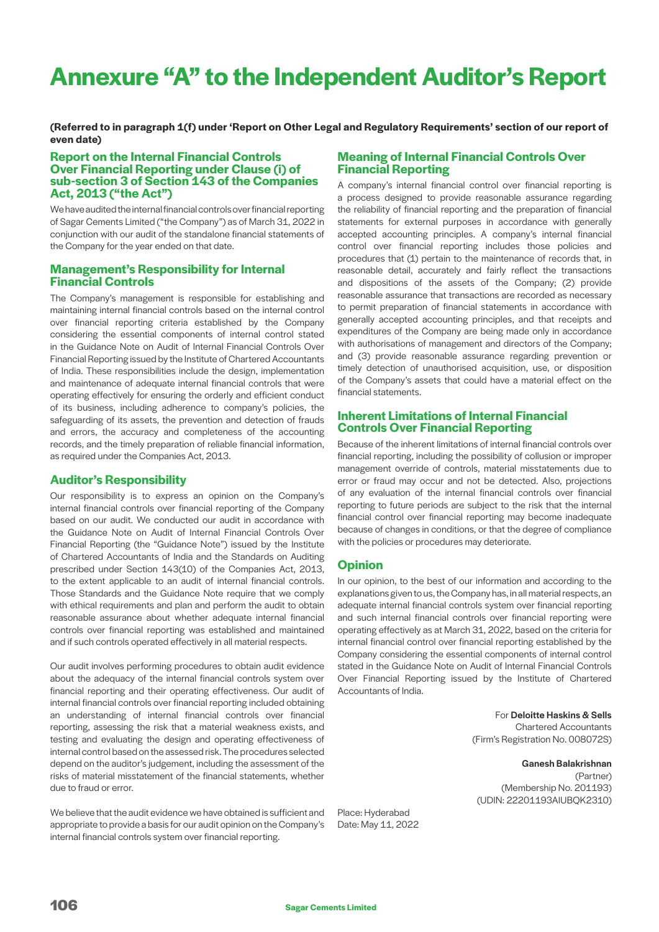# **Annexure "A" to the Independent Auditor's Report**

**(Referred to in paragraph 1(f) under 'Report on Other Legal and Regulatory Requirements' section of our report of even date)**

# **Report on the Internal Financial Controls Over Financial Reporting under Clause (i) of sub-section 3 of Section 143 of the Companies Act, 2013 ("the Act")**

We have audited the internal financial controls over financial reporting of Sagar Cements Limited ("the Company") as of March 31, 2022 in conjunction with our audit of the standalone financial statements of the Company for the year ended on that date.

# **Management's Responsibility for Internal Financial Controls**

The Company's management is responsible for establishing and maintaining internal financial controls based on the internal control over financial reporting criteria established by the Company considering the essential components of internal control stated in the Guidance Note on Audit of Internal Financial Controls Over Financial Reporting issued by the Institute of Chartered Accountants of India. These responsibilities include the design, implementation and maintenance of adequate internal financial controls that were operating effectively for ensuring the orderly and efficient conduct of its business, including adherence to company's policies, the safeguarding of its assets, the prevention and detection of frauds and errors, the accuracy and completeness of the accounting records, and the timely preparation of reliable financial information, as required under the Companies Act, 2013.

# **Auditor's Responsibility**

Our responsibility is to express an opinion on the Company's internal financial controls over financial reporting of the Company based on our audit. We conducted our audit in accordance with the Guidance Note on Audit of Internal Financial Controls Over Financial Reporting (the "Guidance Note") issued by the Institute of Chartered Accountants of India and the Standards on Auditing prescribed under Section 143(10) of the Companies Act, 2013, to the extent applicable to an audit of internal financial controls. Those Standards and the Guidance Note require that we comply with ethical requirements and plan and perform the audit to obtain reasonable assurance about whether adequate internal financial controls over financial reporting was established and maintained and if such controls operated effectively in all material respects.

Our audit involves performing procedures to obtain audit evidence about the adequacy of the internal financial controls system over financial reporting and their operating effectiveness. Our audit of internal financial controls over financial reporting included obtaining an understanding of internal financial controls over financial reporting, assessing the risk that a material weakness exists, and testing and evaluating the design and operating effectiveness of internal control based on the assessed risk. The procedures selected depend on the auditor's judgement, including the assessment of the risks of material misstatement of the financial statements, whether due to fraud or error.

We believe that the audit evidence we have obtained is sufficient and appropriate to provide a basis for our audit opinion on the Company's internal financial controls system over financial reporting.

# **Meaning of Internal Financial Controls Over Financial Reporting**

A company's internal financial control over financial reporting is a process designed to provide reasonable assurance regarding the reliability of financial reporting and the preparation of financial statements for external purposes in accordance with generally accepted accounting principles. A company's internal financial control over financial reporting includes those policies and procedures that (1) pertain to the maintenance of records that, in reasonable detail, accurately and fairly reflect the transactions and dispositions of the assets of the Company; (2) provide reasonable assurance that transactions are recorded as necessary to permit preparation of financial statements in accordance with generally accepted accounting principles, and that receipts and expenditures of the Company are being made only in accordance with authorisations of management and directors of the Company; and (3) provide reasonable assurance regarding prevention or timely detection of unauthorised acquisition, use, or disposition of the Company's assets that could have a material effect on the financial statements.

# **Inherent Limitations of Internal Financial Controls Over Financial Reporting**

Because of the inherent limitations of internal financial controls over financial reporting, including the possibility of collusion or improper management override of controls, material misstatements due to error or fraud may occur and not be detected. Also, projections of any evaluation of the internal financial controls over financial reporting to future periods are subject to the risk that the internal financial control over financial reporting may become inadequate because of changes in conditions, or that the degree of compliance with the policies or procedures may deteriorate.

# **Opinion**

In our opinion, to the best of our information and according to the explanations given to us, the Company has, in all material respects, an adequate internal financial controls system over financial reporting and such internal financial controls over financial reporting were operating effectively as at March 31, 2022, based on the criteria for internal financial control over financial reporting established by the Company considering the essential components of internal control stated in the Guidance Note on Audit of Internal Financial Controls Over Financial Reporting issued by the Institute of Chartered Accountants of India.

> For Deloitte Haskins & Sells Chartered Accountants (Firm's Registration No. 008072S)

Ganesh Balakrishnan (Partner) (Membership No. 201193) (UDIN: 22201193AIUBQK2310)

Place: Hyderabad Date: May 11, 2022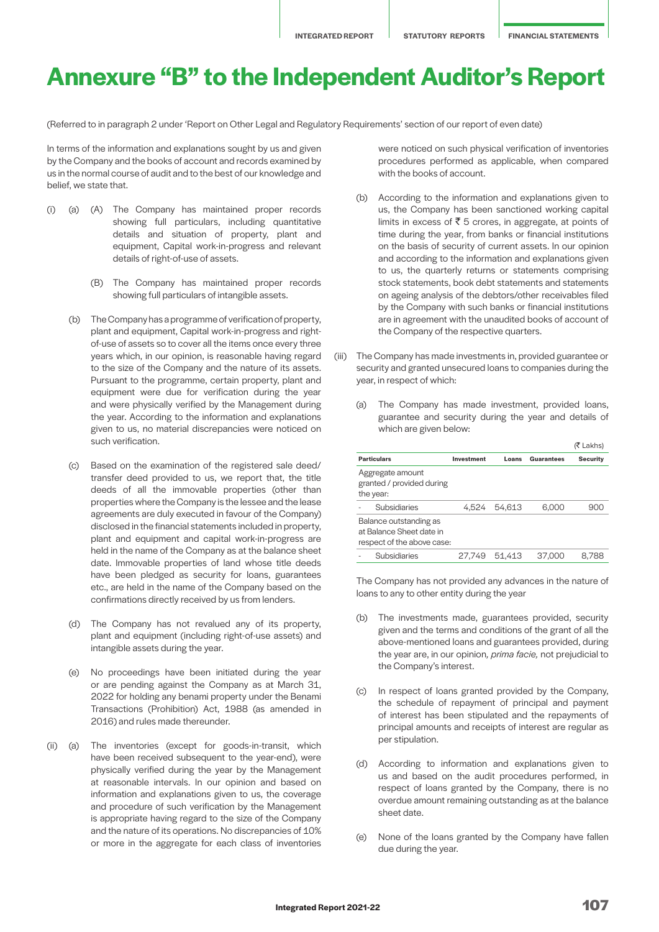# **Annexure "B" to the Independent Auditor's Report**

(Referred to in paragraph 2 under 'Report on Other Legal and Regulatory Requirements' section of our report of even date)

In terms of the information and explanations sought by us and given by the Company and the books of account and records examined by us in the normal course of audit and to the best of our knowledge and belief, we state that.

- (i) (a) (A) The Company has maintained proper records showing full particulars, including quantitative details and situation of property, plant and equipment, Capital work-in-progress and relevant details of right-of-use of assets.
	- (B) The Company has maintained proper records showing full particulars of intangible assets.
	- (b) The Company has a programme of verification of property, plant and equipment, Capital work-in-progress and rightof-use of assets so to cover all the items once every three years which, in our opinion, is reasonable having regard to the size of the Company and the nature of its assets. Pursuant to the programme, certain property, plant and equipment were due for verification during the year and were physically verified by the Management during the year. According to the information and explanations given to us, no material discrepancies were noticed on such verification.
	- (c) Based on the examination of the registered sale deed/ transfer deed provided to us, we report that, the title deeds of all the immovable properties (other than properties where the Company is the lessee and the lease agreements are duly executed in favour of the Company) disclosed in the financial statements included in property, plant and equipment and capital work-in-progress are held in the name of the Company as at the balance sheet date. Immovable properties of land whose title deeds have been pledged as security for loans, guarantees etc., are held in the name of the Company based on the confirmations directly received by us from lenders.
	- (d) The Company has not revalued any of its property, plant and equipment (including right-of-use assets) and intangible assets during the year.
	- (e) No proceedings have been initiated during the year or are pending against the Company as at March 31, 2022 for holding any benami property under the Benami Transactions (Prohibition) Act, 1988 (as amended in 2016) and rules made thereunder.
- (ii) (a) The inventories (except for goods-in-transit, which have been received subsequent to the year-end), were physically verified during the year by the Management at reasonable intervals. In our opinion and based on information and explanations given to us, the coverage and procedure of such verification by the Management is appropriate having regard to the size of the Company and the nature of its operations. No discrepancies of 10% or more in the aggregate for each class of inventories

were noticed on such physical verification of inventories procedures performed as applicable, when compared with the books of account.

- (b) According to the information and explanations given to us, the Company has been sanctioned working capital limits in excess of  $\overline{\mathfrak{c}}$  5 crores, in aggregate, at points of time during the year, from banks or financial institutions on the basis of security of current assets. In our opinion and according to the information and explanations given to us, the quarterly returns or statements comprising stock statements, book debt statements and statements on ageing analysis of the debtors/other receivables filed by the Company with such banks or financial institutions are in agreement with the unaudited books of account of the Company of the respective quarters.
- (iii) The Company has made investments in, provided guarantee or security and granted unsecured loans to companies during the year, in respect of which:
	- (a) The Company has made investment, provided loans, guarantee and security during the year and details of which are given below:

|                                                                                  |            |        |            | (₹ Lakhs)       |
|----------------------------------------------------------------------------------|------------|--------|------------|-----------------|
| <b>Particulars</b>                                                               | Investment | Loans  | Guarantees | <b>Security</b> |
| Aggregate amount<br>granted / provided during<br>the year:                       |            |        |            |                 |
| Subsidiaries                                                                     | 4.524      | 54.613 | 6,000      | 900             |
| Balance outstanding as<br>at Balance Sheet date in<br>respect of the above case: |            |        |            |                 |
| <b>Subsidiaries</b>                                                              | 27.749     | 51.413 | 37.000     | 8.788           |

The Company has not provided any advances in the nature of loans to any to other entity during the year

- (b) The investments made, guarantees provided, security given and the terms and conditions of the grant of all the above-mentioned loans and guarantees provided, during the year are, in our opinion*, prima facie,* not prejudicial to the Company's interest.
- (c) In respect of loans granted provided by the Company, the schedule of repayment of principal and payment of interest has been stipulated and the repayments of principal amounts and receipts of interest are regular as per stipulation.
- (d) According to information and explanations given to us and based on the audit procedures performed, in respect of loans granted by the Company, there is no overdue amount remaining outstanding as at the balance sheet date.
- (e) None of the loans granted by the Company have fallen due during the year.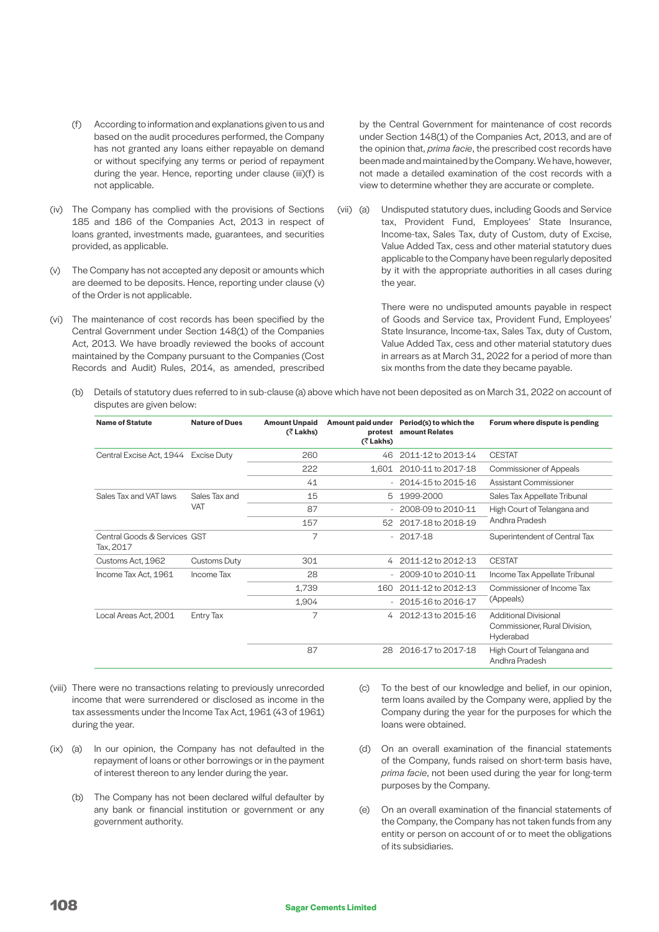- (f) According to information and explanations given to us and based on the audit procedures performed, the Company has not granted any loans either repayable on demand or without specifying any terms or period of repayment during the year. Hence, reporting under clause (iii)(f) is not applicable.
- (iv) The Company has complied with the provisions of Sections 185 and 186 of the Companies Act, 2013 in respect of loans granted, investments made, guarantees, and securities provided, as applicable.
- (v) The Company has not accepted any deposit or amounts which are deemed to be deposits. Hence, reporting under clause (v) of the Order is not applicable.
- (vi) The maintenance of cost records has been specified by the Central Government under Section 148(1) of the Companies Act, 2013. We have broadly reviewed the books of account maintained by the Company pursuant to the Companies (Cost Records and Audit) Rules, 2014, as amended, prescribed

by the Central Government for maintenance of cost records under Section 148(1) of the Companies Act, 2013, and are of the opinion that, *prima facie*, the prescribed cost records have been made and maintained by the Company. We have, however, not made a detailed examination of the cost records with a view to determine whether they are accurate or complete.

(vii) (a) Undisputed statutory dues, including Goods and Service tax, Provident Fund, Employees' State Insurance, Income-tax, Sales Tax, duty of Custom, duty of Excise, Value Added Tax, cess and other material statutory dues applicable to the Company have been regularly deposited by it with the appropriate authorities in all cases during the year.

> There were no undisputed amounts payable in respect of Goods and Service tax, Provident Fund, Employees' State Insurance, Income-tax, Sales Tax, duty of Custom, Value Added Tax, cess and other material statutory dues in arrears as at March 31, 2022 for a period of more than six months from the date they became payable.

(b) Details of statutory dues referred to in sub-clause (a) above which have not been deposited as on March 31, 2022 on account of disputes are given below:

| <b>Name of Statute</b>                    | <b>Nature of Dues</b> | <b>Amount Unpaid</b><br>$($ $\bar{z}$ Lakhs) | protest<br>(₹ Lakhs) | Amount paid under Period(s) to which the<br>amount Relates | Forum where dispute is pending                                             |
|-------------------------------------------|-----------------------|----------------------------------------------|----------------------|------------------------------------------------------------|----------------------------------------------------------------------------|
| Central Excise Act, 1944 Excise Duty      |                       | 260                                          | 46                   | 2011-12 to 2013-14                                         | <b>CESTAT</b>                                                              |
|                                           |                       | 222                                          | 1.601                | 2010-11 to 2017-18                                         | Commissioner of Appeals                                                    |
|                                           |                       | 41                                           |                      | $-2014 - 15$ to 2015-16                                    | Assistant Commissioner                                                     |
| Sales Tax and VAT laws                    | Sales Tax and         | 15                                           | 5                    | 1999-2000                                                  | Sales Tax Appellate Tribunal                                               |
|                                           | <b>VAT</b>            | 87                                           |                      | 2008-09 to 2010-11                                         | High Court of Telangana and                                                |
|                                           |                       | 157                                          | 52                   | 2017-18 to 2018-19                                         | Andhra Pradesh                                                             |
| Central Goods & Services GST<br>Tax, 2017 |                       | 7                                            |                      | $-2017-18$                                                 | Superintendent of Central Tax                                              |
| Customs Act, 1962                         | Customs Duty          | 301                                          | $\overline{4}$       | 2011-12 to 2012-13                                         | <b>CESTAT</b>                                                              |
| Income Tax Act, 1961                      | Income Tax            | 28                                           |                      | 2009-10 to 2010-11                                         | Income Tax Appellate Tribunal                                              |
|                                           |                       | 1,739                                        | 160                  | 2011-12 to 2012-13                                         | Commissioner of Income Tax                                                 |
|                                           |                       | 1,904                                        |                      | $-2015-16$ to 2016-17                                      | (Appeals)                                                                  |
| Local Areas Act, 2001                     | <b>Entry Tax</b>      | 7                                            | 4                    | 2012-13 to 2015-16                                         | <b>Additional Divisional</b><br>Commissioner, Rural Division,<br>Hyderabad |
|                                           |                       | 87                                           | 28                   | 2016-17 to 2017-18                                         | High Court of Telangana and<br>Andhra Pradesh                              |

- (viii) There were no transactions relating to previously unrecorded income that were surrendered or disclosed as income in the tax assessments under the Income Tax Act, 1961 (43 of 1961) during the year.
- (ix) (a) In our opinion, the Company has not defaulted in the repayment of loans or other borrowings or in the payment of interest thereon to any lender during the year.
	- (b) The Company has not been declared wilful defaulter by any bank or financial institution or government or any government authority.
- (c) To the best of our knowledge and belief, in our opinion, term loans availed by the Company were, applied by the Company during the year for the purposes for which the loans were obtained.
- (d) On an overall examination of the financial statements of the Company, funds raised on short-term basis have, *prima facie*, not been used during the year for long-term purposes by the Company.
- (e) On an overall examination of the financial statements of the Company, the Company has not taken funds from any entity or person on account of or to meet the obligations of its subsidiaries.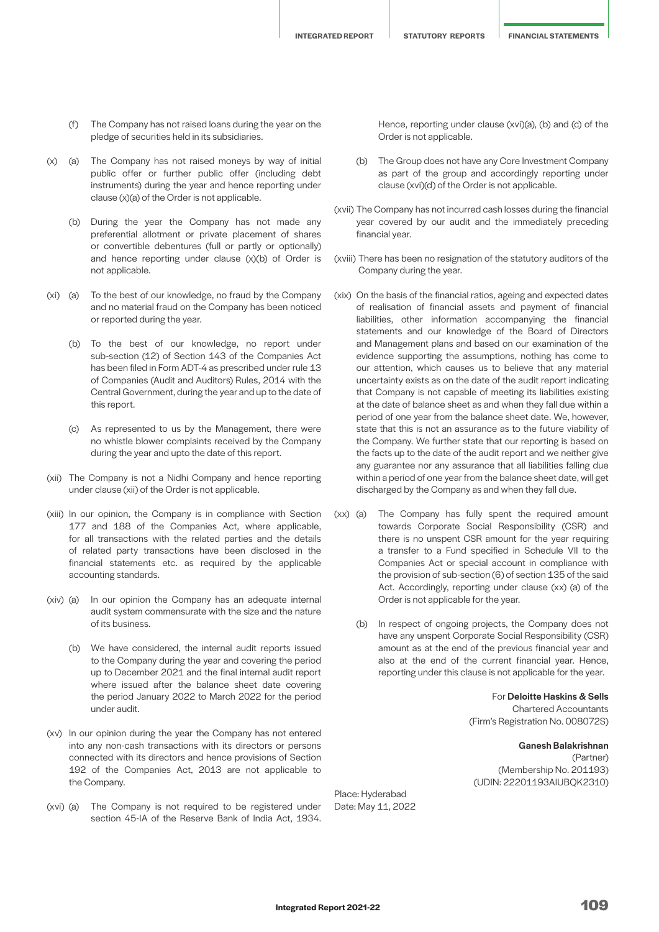**INTEGRATED REPORT STATUTORY REPORTS FINANCIAL STATEMENTS**

- (f) The Company has not raised loans during the year on the pledge of securities held in its subsidiaries.
- (x) (a) The Company has not raised moneys by way of initial public offer or further public offer (including debt instruments) during the year and hence reporting under clause (x)(a) of the Order is not applicable.
	- (b) During the year the Company has not made any preferential allotment or private placement of shares or convertible debentures (full or partly or optionally) and hence reporting under clause (x)(b) of Order is not applicable.
- (xi) (a) To the best of our knowledge, no fraud by the Company and no material fraud on the Company has been noticed or reported during the year.
	- (b) To the best of our knowledge, no report under sub-section (12) of Section 143 of the Companies Act has been filed in Form ADT-4 as prescribed under rule 13 of Companies (Audit and Auditors) Rules, 2014 with the Central Government, during the year and up to the date of this report.
	- (c) As represented to us by the Management, there were no whistle blower complaints received by the Company during the year and upto the date of this report.
- (xii) The Company is not a Nidhi Company and hence reporting under clause (xii) of the Order is not applicable.
- (xiii) In our opinion, the Company is in compliance with Section 177 and 188 of the Companies Act, where applicable, for all transactions with the related parties and the details of related party transactions have been disclosed in the financial statements etc. as required by the applicable accounting standards.
- (xiv) (a) In our opinion the Company has an adequate internal audit system commensurate with the size and the nature of its business.
	- (b) We have considered, the internal audit reports issued to the Company during the year and covering the period up to December 2021 and the final internal audit report where issued after the balance sheet date covering the period January 2022 to March 2022 for the period under audit.
- (xv) In our opinion during the year the Company has not entered into any non-cash transactions with its directors or persons connected with its directors and hence provisions of Section 192 of the Companies Act, 2013 are not applicable to the Company.
- (xvi) (a) The Company is not required to be registered under section 45-IA of the Reserve Bank of India Act, 1934.

Hence, reporting under clause (xvi)(a), (b) and (c) of the Order is not applicable.

- (b) The Group does not have any Core Investment Company as part of the group and accordingly reporting under clause (xvi)(d) of the Order is not applicable.
- (xvii) The Company has not incurred cash losses during the financial year covered by our audit and the immediately preceding financial year.
- (xviii) There has been no resignation of the statutory auditors of the Company during the year.
- (xix) On the basis of the financial ratios, ageing and expected dates of realisation of financial assets and payment of financial liabilities, other information accompanying the financial statements and our knowledge of the Board of Directors and Management plans and based on our examination of the evidence supporting the assumptions, nothing has come to our attention, which causes us to believe that any material uncertainty exists as on the date of the audit report indicating that Company is not capable of meeting its liabilities existing at the date of balance sheet as and when they fall due within a period of one year from the balance sheet date. We, however, state that this is not an assurance as to the future viability of the Company. We further state that our reporting is based on the facts up to the date of the audit report and we neither give any guarantee nor any assurance that all liabilities falling due within a period of one year from the balance sheet date, will get discharged by the Company as and when they fall due.
- (xx) (a) The Company has fully spent the required amount towards Corporate Social Responsibility (CSR) and there is no unspent CSR amount for the year requiring a transfer to a Fund specified in Schedule VII to the Companies Act or special account in compliance with the provision of sub-section (6) of section 135 of the said Act. Accordingly, reporting under clause (xx) (a) of the Order is not applicable for the year.
	- (b) In respect of ongoing projects, the Company does not have any unspent Corporate Social Responsibility (CSR) amount as at the end of the previous financial year and also at the end of the current financial year. Hence, reporting under this clause is not applicable for the year.

For Deloitte Haskins & Sells Chartered Accountants (Firm's Registration No. 008072S)

Ganesh Balakrishnan (Partner) (Membership No. 201193) (UDIN: 22201193AIUBQK2310)

Place: Hyderabad Date: May 11, 2022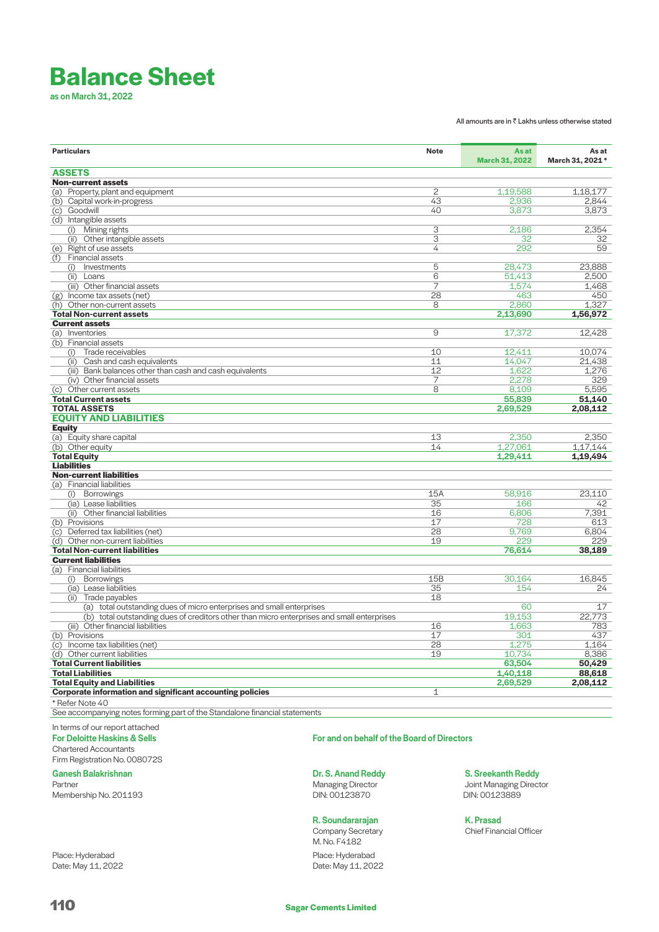# **Balance Sheet**

as on March 31, 2022

All amounts are in  $\bar{\bar{\tau}}$  Lakhs unless otherwise stated

| <b>Particulars</b>                                                                         | <b>Note</b> | As at<br><b>March 31, 2022</b> | As at<br>March 31, 2021 * |
|--------------------------------------------------------------------------------------------|-------------|--------------------------------|---------------------------|
| <b>ASSETS</b>                                                                              |             |                                |                           |
| <b>Non-current assets</b>                                                                  |             |                                |                           |
| (a) Property, plant and equipment                                                          | 2           | 1,19,588                       | 1.18.177                  |
| (b) Capital work-in-progress                                                               | 43          | 2,936                          | 2,844                     |
| (c) Goodwill                                                                               | 40          | 3,873                          | 3,873                     |
| (d) Intangible assets                                                                      |             |                                |                           |
| (i) Mining rights                                                                          | 3           | 2,186                          | 2,354                     |
| (ii) Other intangible assets                                                               | 3           | 32                             | 32                        |
| (e) Right of use assets                                                                    | 4           | 292                            | 59                        |
| <b>Financial assets</b><br>(f)                                                             |             |                                |                           |
| Investments<br>(i)                                                                         | 5           | 28,473                         | 23,888                    |
| (ii) Loans                                                                                 | 6           | 51,413                         | 2,500                     |
| (iii) Other financial assets                                                               | 7           | 1,574                          | 1,468                     |
| (g) Income tax assets (net)                                                                | 28          | 463                            | 450                       |
| (h) Other non-current assets                                                               | 8           | 2,860                          | 1,327                     |
| <b>Total Non-current assets</b>                                                            |             | 2,13,690                       | 1,56,972                  |
| <b>Current assets</b>                                                                      |             |                                |                           |
|                                                                                            |             |                                |                           |
| (a) Inventories                                                                            | 9           | 17,372                         | 12,428                    |
| (b) Financial assets                                                                       |             |                                |                           |
| Trade receivables<br>(i)                                                                   | 10          | 12,411                         | 10,074                    |
| Cash and cash equivalents<br>(ii)                                                          | 11          | 14,047                         | 21,438                    |
| (iii) Bank balances other than cash and cash equivalents                                   | 12          | 1,622                          | 1,276                     |
| (iv) Other financial assets                                                                | 7           | 2,278                          | 329                       |
| (c) Other current assets                                                                   | 8           | 8,109                          | 5,595                     |
| <b>Total Current assets</b>                                                                |             | 55,839                         | 51.140                    |
| <b>TOTAL ASSETS</b>                                                                        |             | 2.69.529                       | 2.08.112                  |
| <b>EQUITY AND LIABILITIES</b>                                                              |             |                                |                           |
| <b>Equity</b>                                                                              |             |                                |                           |
| (a) Equity share capital                                                                   | 13          | 2,350                          | 2,350                     |
| (b) Other equity                                                                           | 14          | 1,27,061                       | 1,17,144                  |
| <b>Total Equity</b>                                                                        |             | 1,29,411                       | 1,19,494                  |
| <b>Liabilities</b>                                                                         |             |                                |                           |
| <b>Non-current liabilities</b>                                                             |             |                                |                           |
| (a) Financial liabilities                                                                  |             |                                |                           |
| <b>Borrowings</b><br>(i)                                                                   | 15A         | 58,916                         | 23,110                    |
| (ia) Lease liabilities                                                                     | 35          | 166                            | 42                        |
| (ii) Other financial liabilities                                                           | 16          | 6,806                          | 7,391                     |
| (b) Provisions                                                                             | 17          | 728                            | 613                       |
| (c) Deferred tax liabilities (net)                                                         | 28          | 9,769                          | 6,804                     |
| (d) Other non-current liabilities                                                          | 19          | 229                            | 229                       |
| <b>Total Non-current liabilities</b>                                                       |             | 76,614                         | 38,189                    |
| <b>Current liabilities</b>                                                                 |             |                                |                           |
| (a) Financial liabilities                                                                  |             |                                |                           |
| Borrowings<br>(i)                                                                          | 15B         | 30,164                         | 16.845                    |
| (ia) Lease liabilities                                                                     | 35          | 154                            | 24                        |
| Trade payables                                                                             | 18          |                                |                           |
| (ii)                                                                                       |             | 60                             | 17                        |
| (a) total outstanding dues of micro enterprises and small enterprises                      |             |                                |                           |
| (b) total outstanding dues of creditors other than micro enterprises and small enterprises |             | 19,153                         | 22,773                    |
| (iii) Other financial liabilities                                                          | 16          | 1,663                          | 783                       |
| (b) Provisions                                                                             | 17          | 301                            | 437                       |
| (c) Income tax liabilities (net)                                                           | 28          | 1,275                          | 1.164                     |
| (d) Other current liabilities                                                              | 19          | 10,734                         | 8,386                     |
| <b>Total Current liabilities</b>                                                           |             | 63,504                         | 50,429                    |
| <b>Total Liabilities</b>                                                                   |             | 1,40,118                       | 88,618                    |
| <b>Total Equity and Liabilities</b>                                                        |             | 2,69,529                       | 2,08,112                  |
| Corporate information and significant accounting policies                                  | 1           |                                |                           |
| * Refer Note 40                                                                            |             |                                |                           |
| See accompanying notes forming part of the Standalone financial statements                 |             |                                |                           |
|                                                                                            |             |                                |                           |

In terms of our report attached

For Deloitte Haskins & Sells Chartered Accountants

Firm Registration No. 008072S

# Ganesh Balakrishnan

Partner

Membership No. 201193

Place: Hyderabad Date: May 11, 2022 For and on behalf of the Board of Directors

Dr. S. Anand Reddy Managing Director DIN: 00123870

# R. Soundararajan

Company Secretary M. No. F4182 Place: Hyderabad Date: May 11, 2022

 S. Sreekanth Reddy Joint Managing Director DIN: 00123889

 K. Prasad Chief Financial Officer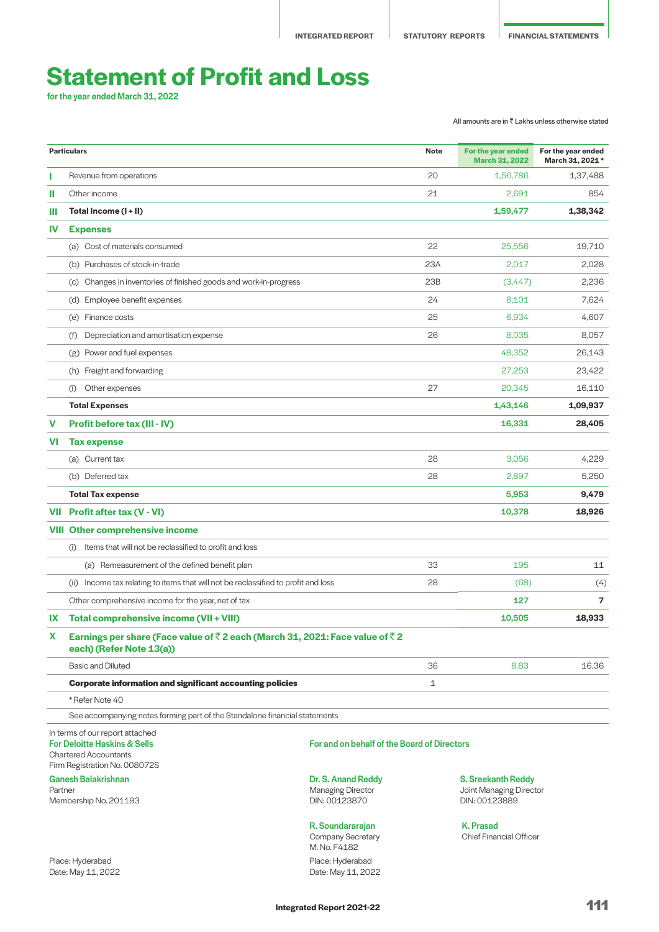# **Statement of Profit and Loss**

for the year ended March 31, 2022

All amounts are in  $\bar{\bar{\tau}}$  Lakhs unless otherwise stated

|           | <b>Particulars</b>                                                                                                                          |                                                       | <b>Note</b> | For the year ended<br><b>March 31, 2022</b>          | For the year ended<br>March 31, 2021 * |
|-----------|---------------------------------------------------------------------------------------------------------------------------------------------|-------------------------------------------------------|-------------|------------------------------------------------------|----------------------------------------|
|           | Revenue from operations                                                                                                                     |                                                       | 20          | 1,56,786                                             | 1,37,488                               |
| ш         | Other income                                                                                                                                |                                                       | 21          | 2,691                                                | 854                                    |
| ш         | Total Income (I + II)                                                                                                                       |                                                       |             | 1,59,477                                             | 1,38,342                               |
| <b>IV</b> | <b>Expenses</b>                                                                                                                             |                                                       |             |                                                      |                                        |
|           | (a) Cost of materials consumed                                                                                                              |                                                       | 22          | 25,556                                               | 19,710                                 |
|           | (b) Purchases of stock-in-trade                                                                                                             |                                                       | 23A         | 2,017                                                | 2.028                                  |
|           | Changes in inventories of finished goods and work-in-progress<br>(c)                                                                        |                                                       | 23B         | (3,447)                                              | 2,236                                  |
|           | (d) Employee benefit expenses                                                                                                               |                                                       | 24          | 8,101                                                | 7,624                                  |
|           | (e) Finance costs                                                                                                                           |                                                       | 25          | 6,934                                                | 4,607                                  |
|           | Depreciation and amortisation expense<br>(f)                                                                                                |                                                       | 26          | 8,035                                                | 8,057                                  |
|           | Power and fuel expenses<br>(g)                                                                                                              |                                                       |             | 48.352                                               | 26,143                                 |
|           | (h) Freight and forwarding                                                                                                                  |                                                       |             | 27,253                                               | 23,422                                 |
|           | Other expenses<br>(i)                                                                                                                       |                                                       | 27          | 20,345                                               | 16,110                                 |
|           | <b>Total Expenses</b>                                                                                                                       |                                                       |             | 1,43,146                                             | 1,09,937                               |
| v         | Profit before tax (III - IV)                                                                                                                |                                                       |             | 16,331                                               | 28,405                                 |
| VI        | <b>Tax expense</b>                                                                                                                          |                                                       |             |                                                      |                                        |
|           | (a) Current tax                                                                                                                             |                                                       | 28          | 3,056                                                | 4,229                                  |
|           | (b) Deferred tax                                                                                                                            |                                                       | 28          | 2,897                                                | 5,250                                  |
|           | <b>Total Tax expense</b>                                                                                                                    |                                                       |             | 5,953                                                | 9,479                                  |
|           | VII Profit after tax (V - VI)                                                                                                               |                                                       |             | 10,378                                               | 18,926                                 |
|           | <b>VIII Other comprehensive income</b>                                                                                                      |                                                       |             |                                                      |                                        |
|           | Items that will not be reclassified to profit and loss<br>(i)                                                                               |                                                       |             |                                                      |                                        |
|           | (a) Remeasurement of the defined benefit plan                                                                                               |                                                       | 33          | 195                                                  | 11                                     |
|           | (ii) Income tax relating to items that will not be reclassified to profit and loss                                                          |                                                       | 28          | (68)                                                 | (4)                                    |
|           | Other comprehensive income for the year, net of tax                                                                                         |                                                       |             | 127                                                  | $\overline{7}$                         |
| IX        | Total comprehensive income (VII + VIII)                                                                                                     |                                                       |             | 10,505                                               | 18,933                                 |
| X         | Earnings per share (Face value of ₹2 each (March 31, 2021: Face value of ₹2<br>each) (Refer Note 13(a))                                     |                                                       |             |                                                      |                                        |
|           | <b>Basic and Diluted</b>                                                                                                                    |                                                       | 36          | 8.83                                                 | 16.36                                  |
|           | <b>Corporate information and significant accounting policies</b>                                                                            |                                                       | $\mathbf 1$ |                                                      |                                        |
|           | * Refer Note 40                                                                                                                             |                                                       |             |                                                      |                                        |
|           | See accompanying notes forming part of the Standalone financial statements                                                                  |                                                       |             |                                                      |                                        |
|           | In terms of our report attached<br><b>For Deloitte Haskins &amp; Sells</b><br><b>Chartered Accountants</b><br>Firm Registration No. 008072S | For and on behalf of the Board of Directors           |             |                                                      |                                        |
| Partner   | <b>Ganesh Balakrishnan</b>                                                                                                                  | Dr. S. Anand Reddy<br><b>Managing Director</b>        |             | <b>S. Sreekanth Reddy</b><br>Joint Managing Director |                                        |
|           | Membership No. 201193                                                                                                                       | DIN: 00123870                                         |             | DIN: 00123889                                        |                                        |
|           |                                                                                                                                             | R. Soundararajan<br>Company Secretary<br>M. No. F4182 |             | <b>K. Prasad</b><br><b>Chief Financial Officer</b>   |                                        |

Place: Hyderabad Date: May 11, 2022 Place: Hyderabad Date: May 11, 2022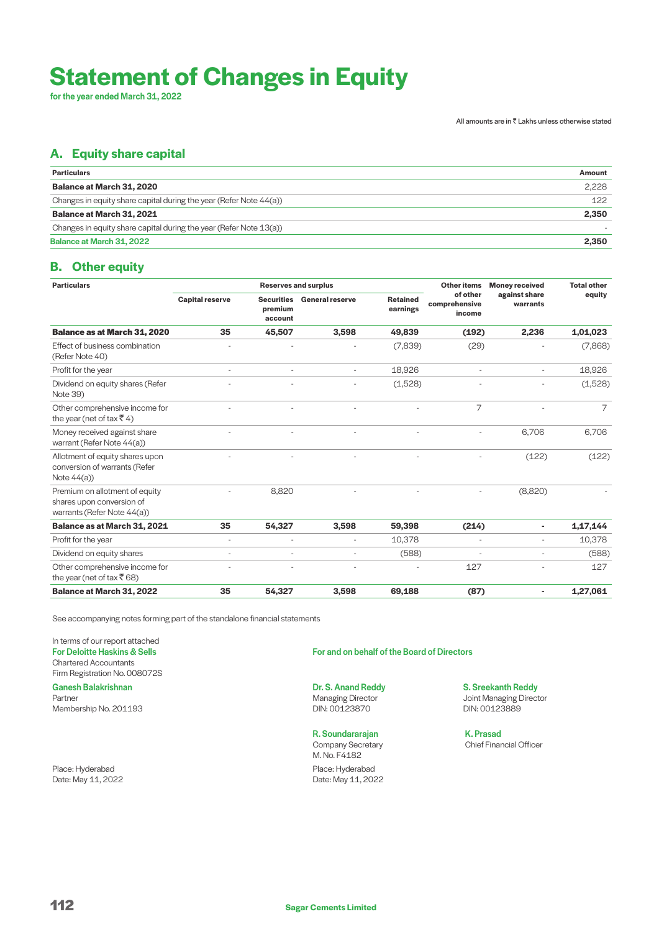# **Statement of Changes in Equity**

for the year ended March 31, 2022

All amounts are in  $\bar{\bar{\tau}}$  Lakhs unless otherwise stated

# **A. Equity share capital**

| <b>Particulars</b>                                                 | Amount |
|--------------------------------------------------------------------|--------|
| Balance at March 31, 2020                                          | 2.228  |
| Changes in equity share capital during the year (Refer Note 44(a)) | 122    |
| Balance at March 31, 2021                                          | 2,350  |
| Changes in equity share capital during the year (Refer Note 13(a)) |        |
| Balance at March 31, 2022                                          | 2.350  |

# **B. Other equity**

| <b>Particulars</b>                                                                         |                        |                                         | <b>Reserves and surplus</b> |                             | <b>Other items</b>                  | <b>Money received</b>     | <b>Total other</b> |
|--------------------------------------------------------------------------------------------|------------------------|-----------------------------------------|-----------------------------|-----------------------------|-------------------------------------|---------------------------|--------------------|
|                                                                                            | <b>Capital reserve</b> | <b>Securities</b><br>premium<br>account | <b>General reserve</b>      | <b>Retained</b><br>earnings | of other<br>comprehensive<br>income | against share<br>warrants | equity             |
| <b>Balance as at March 31, 2020</b>                                                        | 35                     | 45,507                                  | 3,598                       | 49,839                      | (192)                               | 2,236                     | 1,01,023           |
| Effect of business combination<br>(Refer Note 40)                                          |                        |                                         |                             | (7,839)                     | (29)                                |                           | (7,868)            |
| Profit for the year                                                                        |                        |                                         |                             | 18,926                      |                                     |                           | 18,926             |
| Dividend on equity shares (Refer<br>Note 39)                                               |                        |                                         |                             | (1,528)                     |                                     |                           | (1,528)            |
| Other comprehensive income for<br>the year (net of tax $\bar{x}$ 4)                        |                        |                                         |                             |                             | 7                                   |                           | 7                  |
| Money received against share<br>warrant (Refer Note 44(a))                                 |                        |                                         |                             |                             |                                     | 6.706                     | 6,706              |
| Allotment of equity shares upon<br>conversion of warrants (Refer<br>Note $44(a)$           |                        |                                         |                             |                             |                                     | (122)                     | (122)              |
| Premium on allotment of equity<br>shares upon conversion of<br>warrants (Refer Note 44(a)) |                        | 8,820                                   |                             |                             |                                     | (8,820)                   |                    |
| Balance as at March 31, 2021                                                               | 35                     | 54,327                                  | 3,598                       | 59,398                      | (214)                               | ٠                         | 1,17,144           |
| Profit for the year                                                                        | ۰                      |                                         | $\overline{a}$              | 10,378                      |                                     | $\overline{a}$            | 10,378             |
| Dividend on equity shares                                                                  | $\overline{a}$         |                                         |                             | (588)                       |                                     | $\overline{a}$            | (588)              |
| Other comprehensive income for<br>the year (net of tax $\bar{z}$ 68)                       |                        |                                         |                             |                             | 127                                 |                           | 127                |
| <b>Balance at March 31, 2022</b>                                                           | 35                     | 54,327                                  | 3,598                       | 69,188                      | (87)                                | ٠                         | 1,27,061           |

See accompanying notes forming part of the standalone financial statements

In terms of our report attached For Deloitte Haskins & Sells Chartered Accountants Firm Registration No. 008072S

Ganesh Balakrishnan Partner Membership No. 201193

Place: Hyderabad Date: May 11, 2022 For and on behalf of the Board of Directors

Dr. S. Anand Reddy Managing Director DIN: 00123870

R. Soundararajan Company Secretary M. No. F4182 Place: Hyderabad Date: May 11, 2022

S. Sreekanth Reddy Joint Managing Director DIN: 00123889

 K. Prasad Chief Financial Officer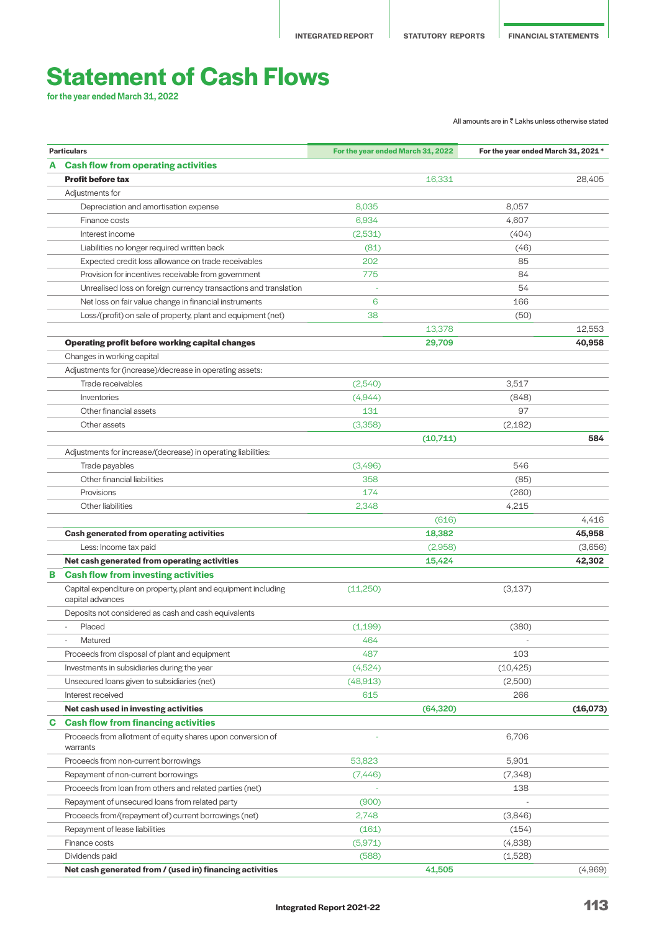# **Statement of Cash Flows**

for the year ended March 31, 2022

All amounts are in  $\bar{\bar{\tau}}$  Lakhs unless otherwise stated

|   | <b>Particulars</b>                                                                 | For the year ended March 31, 2022 |           | For the year ended March 31, 2021 * |          |
|---|------------------------------------------------------------------------------------|-----------------------------------|-----------|-------------------------------------|----------|
|   | A Cash flow from operating activities                                              |                                   |           |                                     |          |
|   | <b>Profit before tax</b>                                                           |                                   | 16,331    |                                     | 28.405   |
|   | Adjustments for                                                                    |                                   |           |                                     |          |
|   | Depreciation and amortisation expense                                              | 8,035                             |           | 8,057                               |          |
|   | Finance costs                                                                      | 6,934                             |           | 4,607                               |          |
|   | Interest income                                                                    | (2,531)                           |           | (404)                               |          |
|   | Liabilities no longer required written back                                        | (81)                              |           | (46)                                |          |
|   | Expected credit loss allowance on trade receivables                                | 202                               |           | 85                                  |          |
|   | Provision for incentives receivable from government                                | 775                               |           | 84                                  |          |
|   | Unrealised loss on foreign currency transactions and translation                   |                                   |           | 54                                  |          |
|   | Net loss on fair value change in financial instruments                             | 6                                 |           | 166                                 |          |
|   | Loss/(profit) on sale of property, plant and equipment (net)                       | 38                                |           | (50)                                |          |
|   |                                                                                    |                                   | 13,378    |                                     | 12,553   |
|   | <b>Operating profit before working capital changes</b>                             |                                   | 29,709    |                                     | 40,958   |
|   | Changes in working capital                                                         |                                   |           |                                     |          |
|   | Adjustments for (increase)/decrease in operating assets:                           |                                   |           |                                     |          |
|   | Trade receivables                                                                  | (2,540)                           |           | 3,517                               |          |
|   | Inventories                                                                        | (4,944)                           |           | (848)                               |          |
|   | Other financial assets                                                             | 131                               |           | 97                                  |          |
|   | Other assets                                                                       | (3,358)                           |           | (2, 182)                            |          |
|   |                                                                                    |                                   | (10,711)  |                                     | 584      |
|   | Adjustments for increase/(decrease) in operating liabilities:                      |                                   |           |                                     |          |
|   | Trade payables                                                                     | (3,496)                           |           | 546                                 |          |
|   | Other financial liabilities                                                        | 358                               |           | (85)                                |          |
|   | Provisions                                                                         | 174                               |           | (260)                               |          |
|   | Other liabilities                                                                  | 2,348                             |           | 4,215                               |          |
|   |                                                                                    |                                   | (616)     |                                     | 4,416    |
|   | <b>Cash generated from operating activities</b>                                    |                                   | 18,382    |                                     | 45,958   |
|   | Less: Income tax paid                                                              |                                   | (2,958)   |                                     | (3,656)  |
|   | Net cash generated from operating activities                                       |                                   | 15,424    |                                     | 42,302   |
| в | <b>Cash flow from investing activities</b>                                         |                                   |           |                                     |          |
|   | Capital expenditure on property, plant and equipment including<br>capital advances | (11,250)                          |           | (3, 137)                            |          |
|   | Deposits not considered as cash and cash equivalents                               |                                   |           |                                     |          |
|   | Placed                                                                             | (1, 199)                          |           | (380)                               |          |
|   | Matured                                                                            | 464                               |           |                                     |          |
|   | Proceeds from disposal of plant and equipment                                      | 487                               |           | 103                                 |          |
|   | Investments in subsidiaries during the year                                        | (4,524)                           |           | (10, 425)                           |          |
|   | Unsecured loans given to subsidiaries (net)                                        | (48, 913)                         |           | (2,500)                             |          |
|   | Interest received                                                                  | 615                               |           | 266                                 |          |
|   | Net cash used in investing activities                                              |                                   | (64, 320) |                                     | (16,073) |
| C | <b>Cash flow from financing activities</b>                                         |                                   |           |                                     |          |
|   | Proceeds from allotment of equity shares upon conversion of<br>warrants            |                                   |           | 6,706                               |          |
|   | Proceeds from non-current borrowings                                               | 53,823                            |           | 5,901                               |          |
|   | Repayment of non-current borrowings                                                | (7, 446)                          |           | (7,348)                             |          |
|   | Proceeds from loan from others and related parties (net)                           |                                   |           | 138                                 |          |
|   | Repayment of unsecured loans from related party                                    | (900)                             |           |                                     |          |
|   | Proceeds from/(repayment of) current borrowings (net)                              | 2,748                             |           | (3,846)                             |          |
|   | Repayment of lease liabilities                                                     | (161)                             |           | (154)                               |          |
|   | Finance costs                                                                      | (5,971)                           |           | (4,838)                             |          |
|   | Dividends paid                                                                     | (588)                             |           | (1,528)                             |          |
|   | Net cash generated from / (used in) financing activities                           |                                   | 41,505    |                                     | (4,969)  |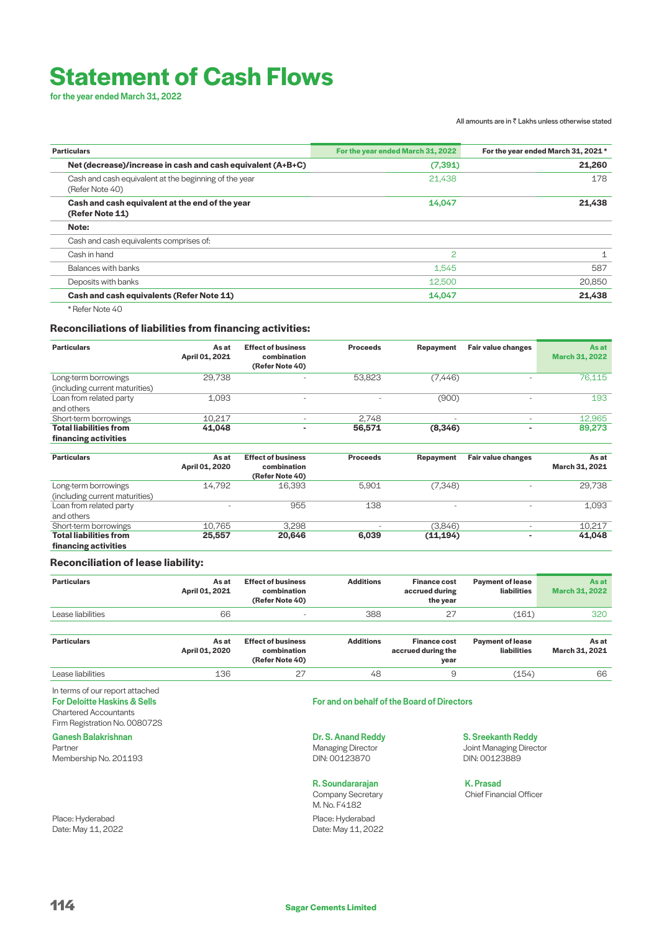# **Statement of Cash Flows**

for the year ended March 31, 2022

#### All amounts are in  $\bar{\bar{\tau}}$  Lakhs unless otherwise stated

| <b>Particulars</b>                                                       | For the year ended March 31, 2022 | For the year ended March 31, 2021 * |
|--------------------------------------------------------------------------|-----------------------------------|-------------------------------------|
| Net (decrease)/increase in cash and cash equivalent (A+B+C)              | (7, 391)                          | 21,260                              |
| Cash and cash equivalent at the beginning of the year<br>(Refer Note 40) | 21,438                            | 178                                 |
| Cash and cash equivalent at the end of the year<br>(Refer Note 11)       | 14,047                            | 21,438                              |
| Note:                                                                    |                                   |                                     |
| Cash and cash equivalents comprises of:                                  |                                   |                                     |
| Cash in hand                                                             | 2                                 | 1                                   |
| Balances with banks                                                      | 1,545                             | 587                                 |
| Deposits with banks                                                      | 12,500                            | 20,850                              |
| Cash and cash equivalents (Refer Note 11)                                | 14,047                            | 21,438                              |
| * Refer Note 40                                                          |                                   |                                     |

# **Reconciliations of liabilities from financing activities:**

| <b>Particulars</b>             | As at<br>April 01, 2021 | <b>Effect of business</b><br>combination<br>(Refer Note 40) | <b>Proceeds</b> | Repayment                | Fair value changes       | As at<br><b>March 31, 2022</b> |
|--------------------------------|-------------------------|-------------------------------------------------------------|-----------------|--------------------------|--------------------------|--------------------------------|
| Long-term borrowings           | 29,738                  |                                                             | 53,823          | (7, 446)                 |                          | 76,115                         |
| (including current maturities) |                         |                                                             |                 |                          |                          |                                |
| Loan from related party        | 1,093                   |                                                             |                 | (900)                    |                          | 193                            |
| and others                     |                         |                                                             |                 |                          |                          |                                |
| Short-term borrowings          | 10,217                  | $\overline{\phantom{a}}$                                    | 2,748           | $\overline{\phantom{a}}$ | $\sim$                   | 12,965                         |
| <b>Total liabilities from</b>  | 41,048                  |                                                             | 56,571          | (8, 346)                 | ۰                        | 89,273                         |
| financing activities           |                         |                                                             |                 |                          |                          |                                |
| <b>Particulars</b>             | As at<br>April 01, 2020 | <b>Effect of business</b><br>combination<br>(Refer Note 40) | <b>Proceeds</b> | Repayment                | Fair value changes       | As at<br>March 31, 2021        |
| Long-term borrowings           | 14,792                  | 16,393                                                      | 5,901           | (7, 348)                 |                          | 29,738                         |
| (including current maturities) |                         |                                                             |                 |                          |                          |                                |
| Loan from related party        |                         | 955                                                         | 138             | -                        | $\overline{\phantom{a}}$ | 1,093                          |
| and others                     |                         |                                                             |                 |                          |                          |                                |
| Short-term borrowings          | 10.765                  | 3.298                                                       |                 | (3,846)                  | ٠                        | 10.217                         |
| <b>Total liabilities from</b>  | 25,557                  | 20,646                                                      | 6,039           | (11, 194)                | ۰                        | 41,048                         |
| financing activities           |                         |                                                             |                 |                          |                          |                                |

# **Reconciliation of lease liability:**

| <b>Particulars</b> | As at<br>April 01, 2021 | <b>Effect of business</b><br>combination<br>(Refer Note 40) | <b>Additions</b> | <b>Finance cost</b><br>accrued during<br>the year | <b>Payment of lease</b><br>liabilities | As at<br><b>March 31, 2022</b> |
|--------------------|-------------------------|-------------------------------------------------------------|------------------|---------------------------------------------------|----------------------------------------|--------------------------------|
| Lease liabilities  | 66                      | $\overline{\phantom{a}}$                                    | 388              | 27                                                | (161)                                  | 320                            |
| <b>Particulars</b> | As at<br>April 01, 2020 | <b>Effect of business</b><br>combination                    | <b>Additions</b> | <b>Finance cost</b><br>accrued during the         | <b>Payment of lease</b><br>liabilities | As at<br>March 31, 2021        |

|             | 01.2020 | combination<br>Refer Note 40) |    | accrued during the<br>year | <b>liabilities</b> | 2021<br>March 31. |
|-------------|---------|-------------------------------|----|----------------------------|--------------------|-------------------|
| $\triangle$ | 136     | _                             | 48 |                            | 154                | 66                |

In terms of our report attached For Deloitte Haskins & Sells

Chartered Accountants

Firm Registration No. 008072S

Ganesh Balakrishnan Partner Membership No. 201193

Place: Hyderabad Date: May 11, 2022

# For and on behalf of the Board of Directors

Dr. S. Anand Reddy Managing Director DIN: 00123870

# R. Soundararajan

Company Secretary M. No. F4182 Place: Hyderabad Date: May 11, 2022

S. Sreekanth Reddy Joint Managing Director DIN: 00123889

 K. Prasad Chief Financial Officer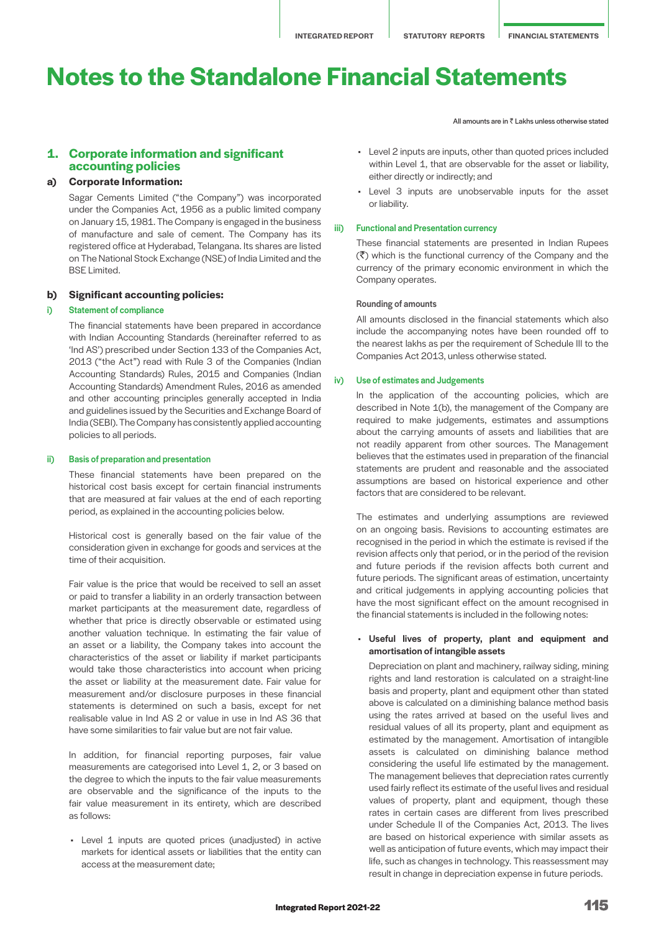**1. Corporate information and significant accounting policies**

### **a) Corporate Information:**

 Sagar Cements Limited ("the Company") was incorporated under the Companies Act, 1956 as a public limited company on January 15, 1981. The Company is engaged in the business of manufacture and sale of cement. The Company has its registered office at Hyderabad, Telangana. Its shares are listed on The National Stock Exchange (NSE) of India Limited and the BSE Limited.

#### **b) Significant accounting policies:**

### i) Statement of compliance

 The financial statements have been prepared in accordance with Indian Accounting Standards (hereinafter referred to as 'Ind AS') prescribed under Section 133 of the Companies Act, 2013 ("the Act") read with Rule 3 of the Companies (Indian Accounting Standards) Rules, 2015 and Companies (Indian Accounting Standards) Amendment Rules, 2016 as amended and other accounting principles generally accepted in India and guidelines issued by the Securities and Exchange Board of India (SEBI). The Company has consistently applied accounting policies to all periods.

#### ii) Basis of preparation and presentation

 These financial statements have been prepared on the historical cost basis except for certain financial instruments that are measured at fair values at the end of each reporting period, as explained in the accounting policies below.

 Historical cost is generally based on the fair value of the consideration given in exchange for goods and services at the time of their acquisition.

 Fair value is the price that would be received to sell an asset or paid to transfer a liability in an orderly transaction between market participants at the measurement date, regardless of whether that price is directly observable or estimated using another valuation technique. In estimating the fair value of an asset or a liability, the Company takes into account the characteristics of the asset or liability if market participants would take those characteristics into account when pricing the asset or liability at the measurement date. Fair value for measurement and/or disclosure purposes in these financial statements is determined on such a basis, except for net realisable value in Ind AS 2 or value in use in Ind AS 36 that have some similarities to fair value but are not fair value.

 In addition, for financial reporting purposes, fair value measurements are categorised into Level 1, 2, or 3 based on the degree to which the inputs to the fair value measurements are observable and the significance of the inputs to the fair value measurement in its entirety, which are described as follows:

• Level 1 inputs are quoted prices (unadjusted) in active markets for identical assets or liabilities that the entity can access at the measurement date;

All amounts are in  $\bar{z}$  Lakhs unless otherwise stated

- Level 2 inputs are inputs, other than quoted prices included within Level 1, that are observable for the asset or liability, either directly or indirectly; and
- Level 3 inputs are unobservable inputs for the asset or liability.

### iii) Functional and Presentation currency

 These financial statements are presented in Indian Rupees  $(\overline{\mathfrak{F}})$  which is the functional currency of the Company and the currency of the primary economic environment in which the Company operates.

#### Rounding of amounts

 All amounts disclosed in the financial statements which also include the accompanying notes have been rounded off to the nearest lakhs as per the requirement of Schedule III to the Companies Act 2013, unless otherwise stated.

### iv) Use of estimates and Judgements

 In the application of the accounting policies, which are described in Note 1(b), the management of the Company are required to make judgements, estimates and assumptions about the carrying amounts of assets and liabilities that are not readily apparent from other sources. The Management believes that the estimates used in preparation of the financial statements are prudent and reasonable and the associated assumptions are based on historical experience and other factors that are considered to be relevant.

 The estimates and underlying assumptions are reviewed on an ongoing basis. Revisions to accounting estimates are recognised in the period in which the estimate is revised if the revision affects only that period, or in the period of the revision and future periods if the revision affects both current and future periods. The significant areas of estimation, uncertainty and critical judgements in applying accounting policies that have the most significant effect on the amount recognised in the financial statements is included in the following notes:

### • Useful lives of property, plant and equipment and amortisation of intangible assets

Depreciation on plant and machinery, railway siding, mining rights and land restoration is calculated on a straight-line basis and property, plant and equipment other than stated above is calculated on a diminishing balance method basis using the rates arrived at based on the useful lives and residual values of all its property, plant and equipment as estimated by the management. Amortisation of intangible assets is calculated on diminishing balance method considering the useful life estimated by the management. The management believes that depreciation rates currently used fairly reflect its estimate of the useful lives and residual values of property, plant and equipment, though these rates in certain cases are different from lives prescribed under Schedule II of the Companies Act, 2013. The lives are based on historical experience with similar assets as well as anticipation of future events, which may impact their life, such as changes in technology. This reassessment may result in change in depreciation expense in future periods.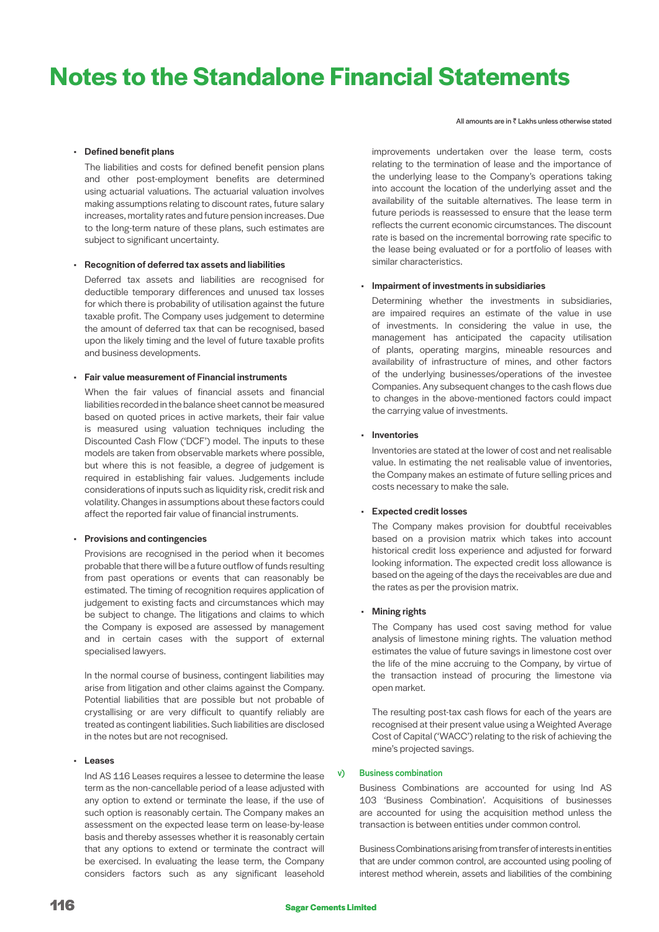All amounts are in  $\bar{z}$  Lakhs unless otherwise stated

# • Defined benefit plans

The liabilities and costs for defined benefit pension plans and other post-employment benefits are determined using actuarial valuations. The actuarial valuation involves making assumptions relating to discount rates, future salary increases, mortality rates and future pension increases. Due to the long-term nature of these plans, such estimates are subject to significant uncertainty.

### • Recognition of deferred tax assets and liabilities

Deferred tax assets and liabilities are recognised for deductible temporary differences and unused tax losses for which there is probability of utilisation against the future taxable profit. The Company uses judgement to determine the amount of deferred tax that can be recognised, based upon the likely timing and the level of future taxable profits and business developments.

#### • Fair value measurement of Financial instruments

When the fair values of financial assets and financial liabilities recorded in the balance sheet cannot be measured based on quoted prices in active markets, their fair value is measured using valuation techniques including the Discounted Cash Flow ('DCF') model. The inputs to these models are taken from observable markets where possible, but where this is not feasible, a degree of judgement is required in establishing fair values. Judgements include considerations of inputs such as liquidity risk, credit risk and volatility. Changes in assumptions about these factors could affect the reported fair value of financial instruments.

### • Provisions and contingencies

Provisions are recognised in the period when it becomes probable that there will be a future outflow of funds resulting from past operations or events that can reasonably be estimated. The timing of recognition requires application of judgement to existing facts and circumstances which may be subject to change. The litigations and claims to which the Company is exposed are assessed by management and in certain cases with the support of external specialised lawyers.

In the normal course of business, contingent liabilities may arise from litigation and other claims against the Company. Potential liabilities that are possible but not probable of crystallising or are very difficult to quantify reliably are treated as contingent liabilities. Such liabilities are disclosed in the notes but are not recognised.

### • Leases

Ind AS 116 Leases requires a lessee to determine the lease term as the non-cancellable period of a lease adjusted with any option to extend or terminate the lease, if the use of such option is reasonably certain. The Company makes an assessment on the expected lease term on lease-by-lease basis and thereby assesses whether it is reasonably certain that any options to extend or terminate the contract will be exercised. In evaluating the lease term, the Company considers factors such as any significant leasehold

improvements undertaken over the lease term, costs relating to the termination of lease and the importance of the underlying lease to the Company's operations taking into account the location of the underlying asset and the availability of the suitable alternatives. The lease term in future periods is reassessed to ensure that the lease term reflects the current economic circumstances. The discount rate is based on the incremental borrowing rate specific to the lease being evaluated or for a portfolio of leases with similar characteristics.

### • Impairment of investments in subsidiaries

Determining whether the investments in subsidiaries, are impaired requires an estimate of the value in use of investments. In considering the value in use, the management has anticipated the capacity utilisation of plants, operating margins, mineable resources and availability of infrastructure of mines, and other factors of the underlying businesses/operations of the investee Companies. Any subsequent changes to the cash flows due to changes in the above-mentioned factors could impact the carrying value of investments.

### • Inventories

Inventories are stated at the lower of cost and net realisable value. In estimating the net realisable value of inventories, the Company makes an estimate of future selling prices and costs necessary to make the sale.

### • Expected credit losses

The Company makes provision for doubtful receivables based on a provision matrix which takes into account historical credit loss experience and adjusted for forward looking information. The expected credit loss allowance is based on the ageing of the days the receivables are due and the rates as per the provision matrix.

# • Mining rights

The Company has used cost saving method for value analysis of limestone mining rights. The valuation method estimates the value of future savings in limestone cost over the life of the mine accruing to the Company, by virtue of the transaction instead of procuring the limestone via open market.

The resulting post-tax cash flows for each of the years are recognised at their present value using a Weighted Average Cost of Capital ('WACC') relating to the risk of achieving the mine's projected savings.

### v) Business combination

 Business Combinations are accounted for using Ind AS 103 'Business Combination'. Acquisitions of businesses are accounted for using the acquisition method unless the transaction is between entities under common control.

 Business Combinations arising from transfer of interests in entities that are under common control, are accounted using pooling of interest method wherein, assets and liabilities of the combining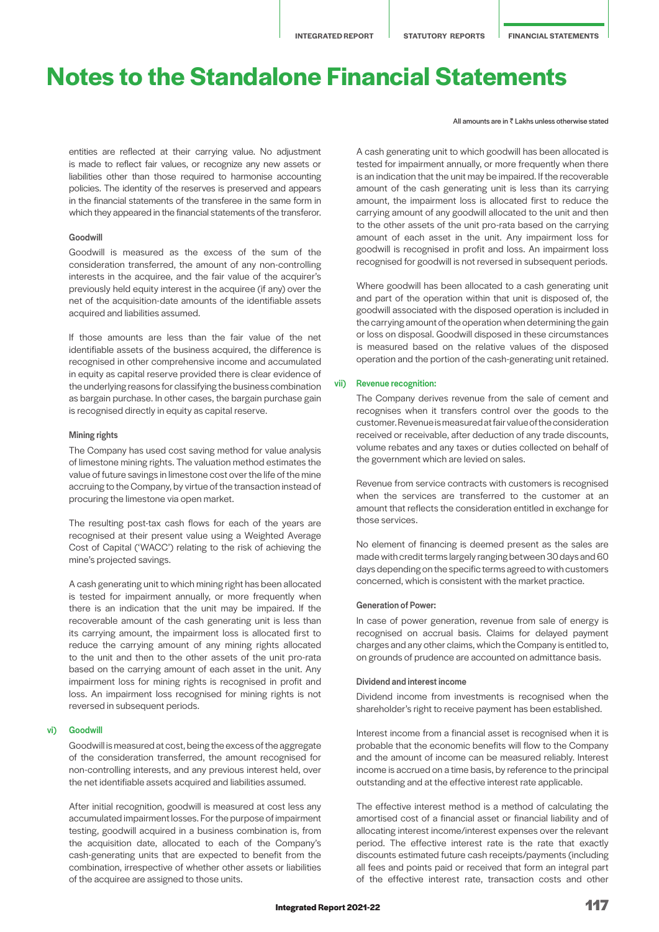entities are reflected at their carrying value. No adjustment is made to reflect fair values, or recognize any new assets or liabilities other than those required to harmonise accounting policies. The identity of the reserves is preserved and appears in the financial statements of the transferee in the same form in which they appeared in the financial statements of the transferor.

### Goodwill

 Goodwill is measured as the excess of the sum of the consideration transferred, the amount of any non-controlling interests in the acquiree, and the fair value of the acquirer's previously held equity interest in the acquiree (if any) over the net of the acquisition-date amounts of the identifiable assets acquired and liabilities assumed.

 If those amounts are less than the fair value of the net identifiable assets of the business acquired, the difference is recognised in other comprehensive income and accumulated in equity as capital reserve provided there is clear evidence of the underlying reasons for classifying the business combination as bargain purchase. In other cases, the bargain purchase gain is recognised directly in equity as capital reserve.

### Mining rights

 The Company has used cost saving method for value analysis of limestone mining rights. The valuation method estimates the value of future savings in limestone cost over the life of the mine accruing to the Company, by virtue of the transaction instead of procuring the limestone via open market.

 The resulting post-tax cash flows for each of the years are recognised at their present value using a Weighted Average Cost of Capital ('WACC') relating to the risk of achieving the mine's projected savings.

 A cash generating unit to which mining right has been allocated is tested for impairment annually, or more frequently when there is an indication that the unit may be impaired. If the recoverable amount of the cash generating unit is less than its carrying amount, the impairment loss is allocated first to reduce the carrying amount of any mining rights allocated to the unit and then to the other assets of the unit pro-rata based on the carrying amount of each asset in the unit. Any impairment loss for mining rights is recognised in profit and loss. An impairment loss recognised for mining rights is not reversed in subsequent periods.

#### vi) Goodwill

 Goodwill is measured at cost, being the excess of the aggregate of the consideration transferred, the amount recognised for non-controlling interests, and any previous interest held, over the net identifiable assets acquired and liabilities assumed.

 After initial recognition, goodwill is measured at cost less any accumulated impairment losses. For the purpose of impairment testing, goodwill acquired in a business combination is, from the acquisition date, allocated to each of the Company's cash-generating units that are expected to benefit from the combination, irrespective of whether other assets or liabilities of the acquiree are assigned to those units.

#### All amounts are in  $\bar{z}$  Lakhs unless otherwise stated

 A cash generating unit to which goodwill has been allocated is tested for impairment annually, or more frequently when there is an indication that the unit may be impaired. If the recoverable amount of the cash generating unit is less than its carrying amount, the impairment loss is allocated first to reduce the carrying amount of any goodwill allocated to the unit and then to the other assets of the unit pro-rata based on the carrying amount of each asset in the unit. Any impairment loss for goodwill is recognised in profit and loss. An impairment loss recognised for goodwill is not reversed in subsequent periods.

 Where goodwill has been allocated to a cash generating unit and part of the operation within that unit is disposed of, the goodwill associated with the disposed operation is included in the carrying amount of the operation when determining the gain or loss on disposal. Goodwill disposed in these circumstances is measured based on the relative values of the disposed operation and the portion of the cash-generating unit retained.

### vii) Revenue recognition:

 The Company derives revenue from the sale of cement and recognises when it transfers control over the goods to the customer. Revenue is measured at fair value of the consideration received or receivable, after deduction of any trade discounts, volume rebates and any taxes or duties collected on behalf of the government which are levied on sales.

 Revenue from service contracts with customers is recognised when the services are transferred to the customer at an amount that reflects the consideration entitled in exchange for those services.

 No element of financing is deemed present as the sales are made with credit terms largely ranging between 30 days and 60 days depending on the specific terms agreed to with customers concerned, which is consistent with the market practice.

### Generation of Power:

 In case of power generation, revenue from sale of energy is recognised on accrual basis. Claims for delayed payment charges and any other claims, which the Company is entitled to, on grounds of prudence are accounted on admittance basis.

#### Dividend and interest income

 Dividend income from investments is recognised when the shareholder's right to receive payment has been established.

 Interest income from a financial asset is recognised when it is probable that the economic benefits will flow to the Company and the amount of income can be measured reliably. Interest income is accrued on a time basis, by reference to the principal outstanding and at the effective interest rate applicable.

 The effective interest method is a method of calculating the amortised cost of a financial asset or financial liability and of allocating interest income/interest expenses over the relevant period. The effective interest rate is the rate that exactly discounts estimated future cash receipts/payments (including all fees and points paid or received that form an integral part of the effective interest rate, transaction costs and other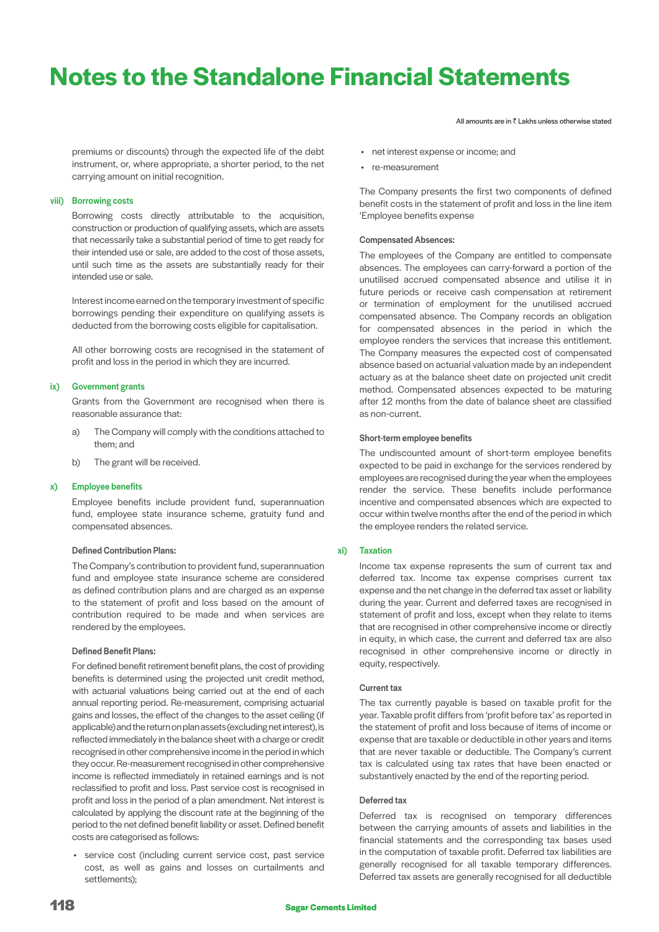premiums or discounts) through the expected life of the debt instrument, or, where appropriate, a shorter period, to the net carrying amount on initial recognition.

### viii) Borrowing costs

 Borrowing costs directly attributable to the acquisition, construction or production of qualifying assets, which are assets that necessarily take a substantial period of time to get ready for their intended use or sale, are added to the cost of those assets, until such time as the assets are substantially ready for their intended use or sale.

 Interest income earned on the temporary investment of specific borrowings pending their expenditure on qualifying assets is deducted from the borrowing costs eligible for capitalisation.

 All other borrowing costs are recognised in the statement of profit and loss in the period in which they are incurred.

#### ix) Government grants

 Grants from the Government are recognised when there is reasonable assurance that:

- a) The Company will comply with the conditions attached to them; and
- b) The grant will be received.

### x) Employee benefits

 Employee benefits include provident fund, superannuation fund, employee state insurance scheme, gratuity fund and compensated absences.

### Defined Contribution Plans:

 The Company's contribution to provident fund, superannuation fund and employee state insurance scheme are considered as defined contribution plans and are charged as an expense to the statement of profit and loss based on the amount of contribution required to be made and when services are rendered by the employees.

#### Defined Benefit Plans:

 For defined benefit retirement benefit plans, the cost of providing benefits is determined using the projected unit credit method, with actuarial valuations being carried out at the end of each annual reporting period. Re-measurement, comprising actuarial gains and losses, the effect of the changes to the asset ceiling (if applicable) and the return on plan assets (excluding net interest), is reflected immediately in the balance sheet with a charge or credit recognised in other comprehensive income in the period in which they occur. Re-measurement recognised in other comprehensive income is reflected immediately in retained earnings and is not reclassified to profit and loss. Past service cost is recognised in profit and loss in the period of a plan amendment. Net interest is calculated by applying the discount rate at the beginning of the period to the net defined benefit liability or asset. Defined benefit costs are categorised as follows:

• service cost (including current service cost, past service cost, as well as gains and losses on curtailments and settlements);

All amounts are in  $\bar{z}$  Lakhs unless otherwise stated

- net interest expense or income; and
- re-measurement

The Company presents the first two components of defined benefit costs in the statement of profit and loss in the line item 'Employee benefits expense

#### Compensated Absences:

The employees of the Company are entitled to compensate absences. The employees can carry-forward a portion of the unutilised accrued compensated absence and utilise it in future periods or receive cash compensation at retirement or termination of employment for the unutilised accrued compensated absence. The Company records an obligation for compensated absences in the period in which the employee renders the services that increase this entitlement. The Company measures the expected cost of compensated absence based on actuarial valuation made by an independent actuary as at the balance sheet date on projected unit credit method. Compensated absences expected to be maturing after 12 months from the date of balance sheet are classified as non-current.

#### Short-term employee benefits

The undiscounted amount of short-term employee benefits expected to be paid in exchange for the services rendered by employees are recognised during the year when the employees render the service. These benefits include performance incentive and compensated absences which are expected to occur within twelve months after the end of the period in which the employee renders the related service.

### xi) Taxation

Income tax expense represents the sum of current tax and deferred tax. Income tax expense comprises current tax expense and the net change in the deferred tax asset or liability during the year. Current and deferred taxes are recognised in statement of profit and loss, except when they relate to items that are recognised in other comprehensive income or directly in equity, in which case, the current and deferred tax are also recognised in other comprehensive income or directly in equity, respectively.

#### Current tax

The tax currently payable is based on taxable profit for the year. Taxable profit differs from 'profit before tax' as reported in the statement of profit and loss because of items of income or expense that are taxable or deductible in other years and items that are never taxable or deductible. The Company's current tax is calculated using tax rates that have been enacted or substantively enacted by the end of the reporting period.

#### Deferred tax

Deferred tax is recognised on temporary differences between the carrying amounts of assets and liabilities in the financial statements and the corresponding tax bases used in the computation of taxable profit. Deferred tax liabilities are generally recognised for all taxable temporary differences. Deferred tax assets are generally recognised for all deductible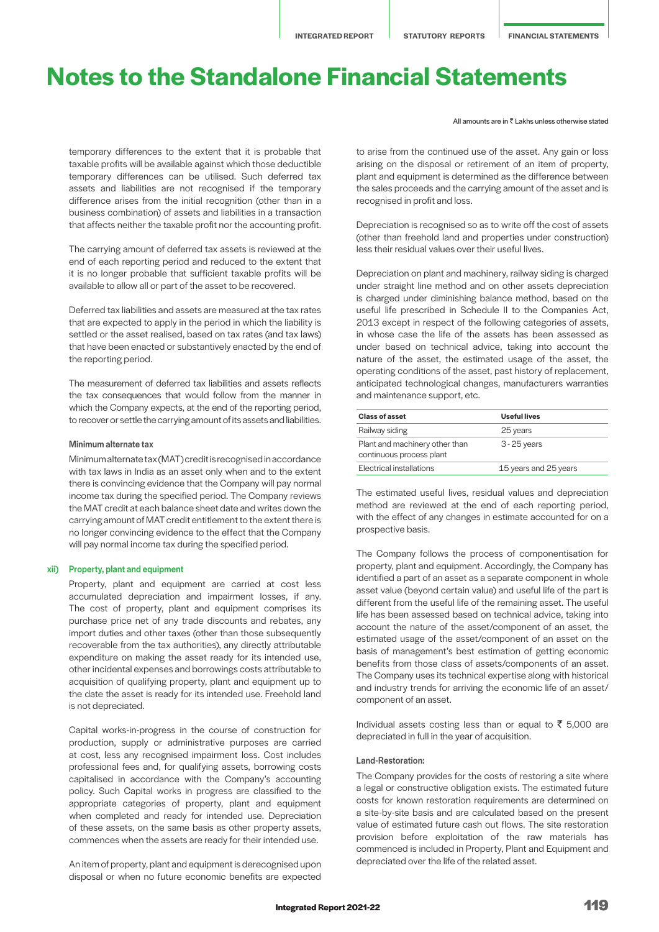temporary differences to the extent that it is probable that taxable profits will be available against which those deductible temporary differences can be utilised. Such deferred tax assets and liabilities are not recognised if the temporary difference arises from the initial recognition (other than in a business combination) of assets and liabilities in a transaction that affects neither the taxable profit nor the accounting profit.

The carrying amount of deferred tax assets is reviewed at the end of each reporting period and reduced to the extent that it is no longer probable that sufficient taxable profits will be available to allow all or part of the asset to be recovered.

Deferred tax liabilities and assets are measured at the tax rates that are expected to apply in the period in which the liability is settled or the asset realised, based on tax rates (and tax laws) that have been enacted or substantively enacted by the end of the reporting period.

The measurement of deferred tax liabilities and assets reflects the tax consequences that would follow from the manner in which the Company expects, at the end of the reporting period, to recover or settle the carrying amount of its assets and liabilities.

### Minimum alternate tax

Minimum alternate tax (MAT) credit is recognised in accordance with tax laws in India as an asset only when and to the extent there is convincing evidence that the Company will pay normal income tax during the specified period. The Company reviews the MAT credit at each balance sheet date and writes down the carrying amount of MAT credit entitlement to the extent there is no longer convincing evidence to the effect that the Company will pay normal income tax during the specified period.

#### xii) Property, plant and equipment

Property, plant and equipment are carried at cost less accumulated depreciation and impairment losses, if any. The cost of property, plant and equipment comprises its purchase price net of any trade discounts and rebates, any import duties and other taxes (other than those subsequently recoverable from the tax authorities), any directly attributable expenditure on making the asset ready for its intended use, other incidental expenses and borrowings costs attributable to acquisition of qualifying property, plant and equipment up to the date the asset is ready for its intended use. Freehold land is not depreciated.

Capital works-in-progress in the course of construction for production, supply or administrative purposes are carried at cost, less any recognised impairment loss. Cost includes professional fees and, for qualifying assets, borrowing costs capitalised in accordance with the Company's accounting policy. Such Capital works in progress are classified to the appropriate categories of property, plant and equipment when completed and ready for intended use. Depreciation of these assets, on the same basis as other property assets, commences when the assets are ready for their intended use.

An item of property, plant and equipment is derecognised upon disposal or when no future economic benefits are expected All amounts are in  $\bar{z}$  Lakhs unless otherwise stated

to arise from the continued use of the asset. Any gain or loss arising on the disposal or retirement of an item of property, plant and equipment is determined as the difference between the sales proceeds and the carrying amount of the asset and is recognised in profit and loss.

Depreciation is recognised so as to write off the cost of assets (other than freehold land and properties under construction) less their residual values over their useful lives.

Depreciation on plant and machinery, railway siding is charged under straight line method and on other assets depreciation is charged under diminishing balance method, based on the useful life prescribed in Schedule II to the Companies Act, 2013 except in respect of the following categories of assets, in whose case the life of the assets has been assessed as under based on technical advice, taking into account the nature of the asset, the estimated usage of the asset, the operating conditions of the asset, past history of replacement, anticipated technological changes, manufacturers warranties and maintenance support, etc.

| <b>Class of asset</b>                                      | Useful lives          |
|------------------------------------------------------------|-----------------------|
| Railway siding                                             | 25 years              |
| Plant and machinery other than<br>continuous process plant | $3 - 25$ years        |
| <b>Flectrical installations</b>                            | 15 years and 25 years |

The estimated useful lives, residual values and depreciation method are reviewed at the end of each reporting period, with the effect of any changes in estimate accounted for on a prospective basis.

The Company follows the process of componentisation for property, plant and equipment. Accordingly, the Company has identified a part of an asset as a separate component in whole asset value (beyond certain value) and useful life of the part is different from the useful life of the remaining asset. The useful life has been assessed based on technical advice, taking into account the nature of the asset/component of an asset, the estimated usage of the asset/component of an asset on the basis of management's best estimation of getting economic benefits from those class of assets/components of an asset. The Company uses its technical expertise along with historical and industry trends for arriving the economic life of an asset/ component of an asset.

Individual assets costing less than or equal to  $\bar{\tau}$  5,000 are depreciated in full in the year of acquisition.

#### Land-Restoration:

The Company provides for the costs of restoring a site where a legal or constructive obligation exists. The estimated future costs for known restoration requirements are determined on a site-by-site basis and are calculated based on the present value of estimated future cash out flows. The site restoration provision before exploitation of the raw materials has commenced is included in Property, Plant and Equipment and depreciated over the life of the related asset.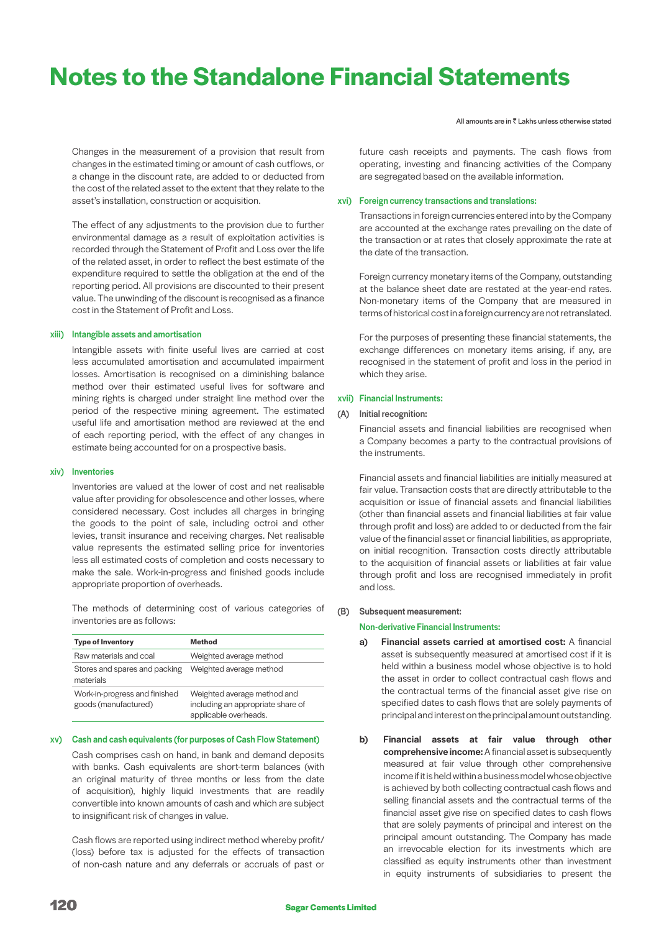Changes in the measurement of a provision that result from changes in the estimated timing or amount of cash outflows, or a change in the discount rate, are added to or deducted from the cost of the related asset to the extent that they relate to the asset's installation, construction or acquisition.

The effect of any adjustments to the provision due to further environmental damage as a result of exploitation activities is recorded through the Statement of Profit and Loss over the life of the related asset, in order to reflect the best estimate of the expenditure required to settle the obligation at the end of the reporting period. All provisions are discounted to their present value. The unwinding of the discount is recognised as a finance cost in the Statement of Profit and Loss.

### xiii) Intangible assets and amortisation

 Intangible assets with finite useful lives are carried at cost less accumulated amortisation and accumulated impairment losses. Amortisation is recognised on a diminishing balance method over their estimated useful lives for software and mining rights is charged under straight line method over the period of the respective mining agreement. The estimated useful life and amortisation method are reviewed at the end of each reporting period, with the effect of any changes in estimate being accounted for on a prospective basis.

#### xiv) Inventories

 Inventories are valued at the lower of cost and net realisable value after providing for obsolescence and other losses, where considered necessary. Cost includes all charges in bringing the goods to the point of sale, including octroi and other levies, transit insurance and receiving charges. Net realisable value represents the estimated selling price for inventories less all estimated costs of completion and costs necessary to make the sale. Work-in-progress and finished goods include appropriate proportion of overheads.

 The methods of determining cost of various categories of inventories are as follows:

| <b>Type of Inventory</b>                              | <b>Method</b>                                                                             |
|-------------------------------------------------------|-------------------------------------------------------------------------------------------|
| Raw materials and coal                                | Weighted average method                                                                   |
| Stores and spares and packing<br>materials            | Weighted average method                                                                   |
| Work-in-progress and finished<br>goods (manufactured) | Weighted average method and<br>including an appropriate share of<br>applicable overheads. |

#### xv) Cash and cash equivalents (for purposes of Cash Flow Statement)

 Cash comprises cash on hand, in bank and demand deposits with banks. Cash equivalents are short-term balances (with an original maturity of three months or less from the date of acquisition), highly liquid investments that are readily convertible into known amounts of cash and which are subject to insignificant risk of changes in value.

 Cash flows are reported using indirect method whereby profit/ (loss) before tax is adjusted for the effects of transaction of non-cash nature and any deferrals or accruals of past or

All amounts are in  $\bar{z}$  Lakhs unless otherwise stated

future cash receipts and payments. The cash flows from operating, investing and financing activities of the Company are segregated based on the available information.

#### xvi) Foreign currency transactions and translations:

 Transactions in foreign currencies entered into by the Company are accounted at the exchange rates prevailing on the date of the transaction or at rates that closely approximate the rate at the date of the transaction.

 Foreign currency monetary items of the Company, outstanding at the balance sheet date are restated at the year-end rates. Non-monetary items of the Company that are measured in terms of historical cost in a foreign currency are not retranslated.

 For the purposes of presenting these financial statements, the exchange differences on monetary items arising, if any, are recognised in the statement of profit and loss in the period in which they arise.

### xvii) Financial Instruments:

#### (A) Initial recognition:

 Financial assets and financial liabilities are recognised when a Company becomes a party to the contractual provisions of the instruments.

 Financial assets and financial liabilities are initially measured at fair value. Transaction costs that are directly attributable to the acquisition or issue of financial assets and financial liabilities (other than financial assets and financial liabilities at fair value through profit and loss) are added to or deducted from the fair value of the financial asset or financial liabilities, as appropriate, on initial recognition. Transaction costs directly attributable to the acquisition of financial assets or liabilities at fair value through profit and loss are recognised immediately in profit and loss.

### (B) Subsequent measurement:

### Non-derivative Financial Instruments:

- a) Financial assets carried at amortised cost: A financial asset is subsequently measured at amortised cost if it is held within a business model whose objective is to hold the asset in order to collect contractual cash flows and the contractual terms of the financial asset give rise on specified dates to cash flows that are solely payments of principal and interest on the principal amount outstanding.
- b) Financial assets at fair value through other comprehensive income: A financial asset is subsequently measured at fair value through other comprehensive income if it is held within a business model whose objective is achieved by both collecting contractual cash flows and selling financial assets and the contractual terms of the financial asset give rise on specified dates to cash flows that are solely payments of principal and interest on the principal amount outstanding. The Company has made an irrevocable election for its investments which are classified as equity instruments other than investment in equity instruments of subsidiaries to present the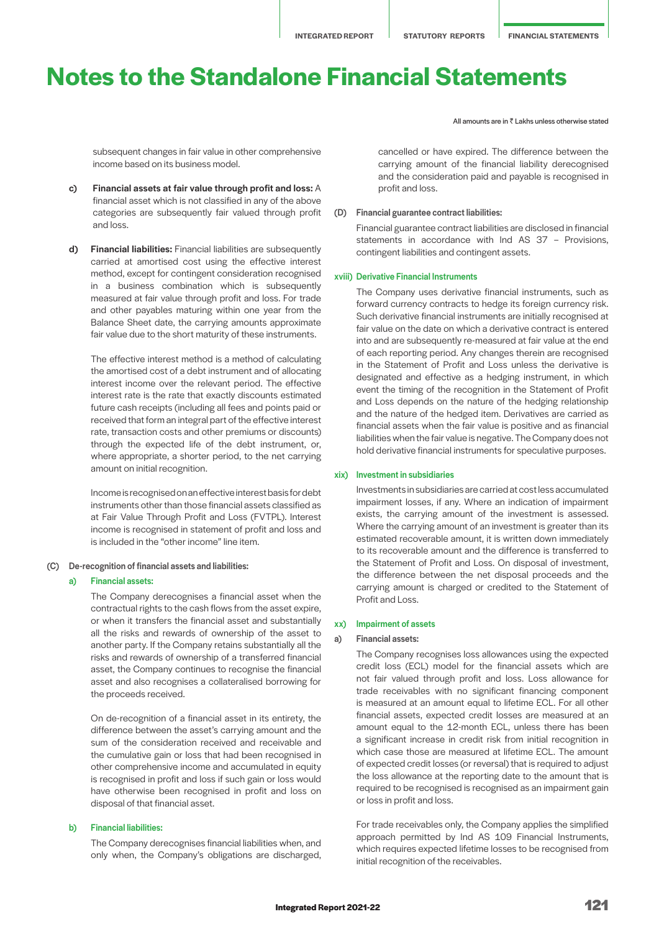subsequent changes in fair value in other comprehensive income based on its business model.

- c) Financial assets at fair value through profit and loss: A financial asset which is not classified in any of the above categories are subsequently fair valued through profit and loss.
- d) Financial liabilities: Financial liabilities are subsequently carried at amortised cost using the effective interest method, except for contingent consideration recognised in a business combination which is subsequently measured at fair value through profit and loss. For trade and other payables maturing within one year from the Balance Sheet date, the carrying amounts approximate fair value due to the short maturity of these instruments.

 The effective interest method is a method of calculating the amortised cost of a debt instrument and of allocating interest income over the relevant period. The effective interest rate is the rate that exactly discounts estimated future cash receipts (including all fees and points paid or received that form an integral part of the effective interest rate, transaction costs and other premiums or discounts) through the expected life of the debt instrument, or, where appropriate, a shorter period, to the net carrying amount on initial recognition.

 Income is recognised on an effective interest basis for debt instruments other than those financial assets classified as at Fair Value Through Profit and Loss (FVTPL). Interest income is recognised in statement of profit and loss and is included in the "other income" line item.

(C) De-recognition of financial assets and liabilities:

### a) Financial assets:

 The Company derecognises a financial asset when the contractual rights to the cash flows from the asset expire, or when it transfers the financial asset and substantially all the risks and rewards of ownership of the asset to another party. If the Company retains substantially all the risks and rewards of ownership of a transferred financial asset, the Company continues to recognise the financial asset and also recognises a collateralised borrowing for the proceeds received.

 On de-recognition of a financial asset in its entirety, the difference between the asset's carrying amount and the sum of the consideration received and receivable and the cumulative gain or loss that had been recognised in other comprehensive income and accumulated in equity is recognised in profit and loss if such gain or loss would have otherwise been recognised in profit and loss on disposal of that financial asset.

# b) Financial liabilities:

 The Company derecognises financial liabilities when, and only when, the Company's obligations are discharged, All amounts are in  $\bar{z}$  Lakhs unless otherwise stated

cancelled or have expired. The difference between the carrying amount of the financial liability derecognised and the consideration paid and payable is recognised in profit and loss.

#### (D) Financial guarantee contract liabilities:

 Financial guarantee contract liabilities are disclosed in financial statements in accordance with Ind AS 37 – Provisions, contingent liabilities and contingent assets.

#### xviii) Derivative Financial Instruments

 The Company uses derivative financial instruments, such as forward currency contracts to hedge its foreign currency risk. Such derivative financial instruments are initially recognised at fair value on the date on which a derivative contract is entered into and are subsequently re-measured at fair value at the end of each reporting period. Any changes therein are recognised in the Statement of Profit and Loss unless the derivative is designated and effective as a hedging instrument, in which event the timing of the recognition in the Statement of Profit and Loss depends on the nature of the hedging relationship and the nature of the hedged item. Derivatives are carried as financial assets when the fair value is positive and as financial liabilities when the fair value is negative. The Company does not hold derivative financial instruments for speculative purposes.

#### xix) Investment in subsidiaries

 Investments in subsidiaries are carried at cost less accumulated impairment losses, if any. Where an indication of impairment exists, the carrying amount of the investment is assessed. Where the carrying amount of an investment is greater than its estimated recoverable amount, it is written down immediately to its recoverable amount and the difference is transferred to the Statement of Profit and Loss. On disposal of investment, the difference between the net disposal proceeds and the carrying amount is charged or credited to the Statement of Profit and Loss.

### xx) Impairment of assets

#### a) Financial assets:

 The Company recognises loss allowances using the expected credit loss (ECL) model for the financial assets which are not fair valued through profit and loss. Loss allowance for trade receivables with no significant financing component is measured at an amount equal to lifetime ECL. For all other financial assets, expected credit losses are measured at an amount equal to the 12-month ECL, unless there has been a significant increase in credit risk from initial recognition in which case those are measured at lifetime ECL. The amount of expected credit losses (or reversal) that is required to adjust the loss allowance at the reporting date to the amount that is required to be recognised is recognised as an impairment gain or loss in profit and loss.

 For trade receivables only, the Company applies the simplified approach permitted by Ind AS 109 Financial Instruments, which requires expected lifetime losses to be recognised from initial recognition of the receivables.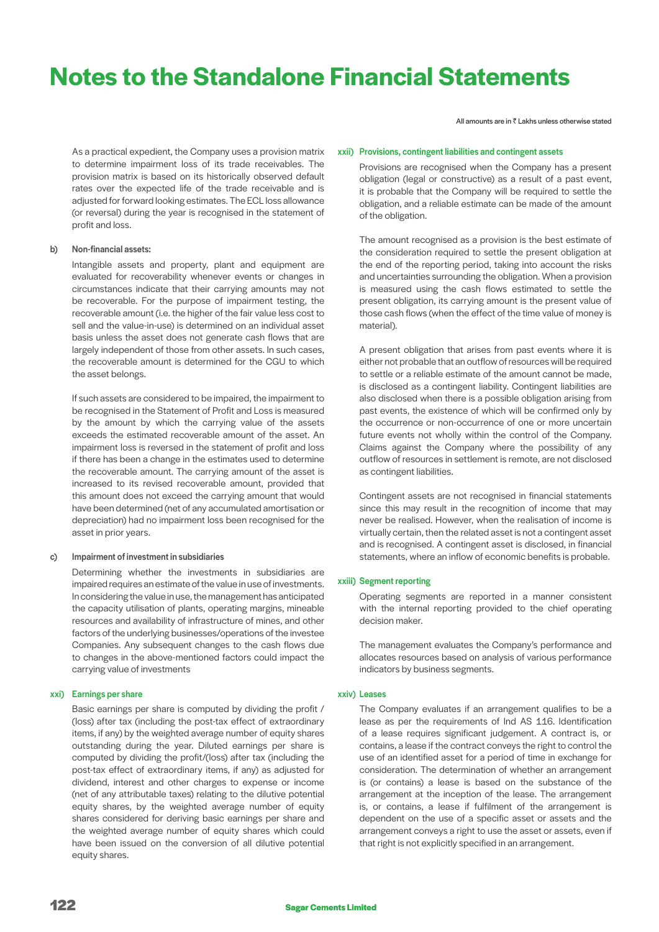As a practical expedient, the Company uses a provision matrix to determine impairment loss of its trade receivables. The provision matrix is based on its historically observed default rates over the expected life of the trade receivable and is adjusted for forward looking estimates. The ECL loss allowance (or reversal) during the year is recognised in the statement of profit and loss.

### b) Non-financial assets:

 Intangible assets and property, plant and equipment are evaluated for recoverability whenever events or changes in circumstances indicate that their carrying amounts may not be recoverable. For the purpose of impairment testing, the recoverable amount (i.e. the higher of the fair value less cost to sell and the value-in-use) is determined on an individual asset basis unless the asset does not generate cash flows that are largely independent of those from other assets. In such cases, the recoverable amount is determined for the CGU to which the asset belongs.

 If such assets are considered to be impaired, the impairment to be recognised in the Statement of Profit and Loss is measured by the amount by which the carrying value of the assets exceeds the estimated recoverable amount of the asset. An impairment loss is reversed in the statement of profit and loss if there has been a change in the estimates used to determine the recoverable amount. The carrying amount of the asset is increased to its revised recoverable amount, provided that this amount does not exceed the carrying amount that would have been determined (net of any accumulated amortisation or depreciation) had no impairment loss been recognised for the asset in prior years.

### c) Impairment of investment in subsidiaries

 Determining whether the investments in subsidiaries are impaired requires an estimate of the value in use of investments. In considering the value in use, the management has anticipated the capacity utilisation of plants, operating margins, mineable resources and availability of infrastructure of mines, and other factors of the underlying businesses/operations of the investee Companies. Any subsequent changes to the cash flows due to changes in the above-mentioned factors could impact the carrying value of investments

#### xxi) Earnings per share

 Basic earnings per share is computed by dividing the profit / (loss) after tax (including the post-tax effect of extraordinary items, if any) by the weighted average number of equity shares outstanding during the year. Diluted earnings per share is computed by dividing the profit/(loss) after tax (including the post-tax effect of extraordinary items, if any) as adjusted for dividend, interest and other charges to expense or income (net of any attributable taxes) relating to the dilutive potential equity shares, by the weighted average number of equity shares considered for deriving basic earnings per share and the weighted average number of equity shares which could have been issued on the conversion of all dilutive potential equity shares.

All amounts are in  $\bar{z}$  Lakhs unless otherwise stated

### xxii) Provisions, contingent liabilities and contingent assets

 Provisions are recognised when the Company has a present obligation (legal or constructive) as a result of a past event, it is probable that the Company will be required to settle the obligation, and a reliable estimate can be made of the amount of the obligation.

 The amount recognised as a provision is the best estimate of the consideration required to settle the present obligation at the end of the reporting period, taking into account the risks and uncertainties surrounding the obligation. When a provision is measured using the cash flows estimated to settle the present obligation, its carrying amount is the present value of those cash flows (when the effect of the time value of money is material).

 A present obligation that arises from past events where it is either not probable that an outflow of resources will be required to settle or a reliable estimate of the amount cannot be made, is disclosed as a contingent liability. Contingent liabilities are also disclosed when there is a possible obligation arising from past events, the existence of which will be confirmed only by the occurrence or non-occurrence of one or more uncertain future events not wholly within the control of the Company. Claims against the Company where the possibility of any outflow of resources in settlement is remote, are not disclosed as contingent liabilities.

 Contingent assets are not recognised in financial statements since this may result in the recognition of income that may never be realised. However, when the realisation of income is virtually certain, then the related asset is not a contingent asset and is recognised. A contingent asset is disclosed, in financial statements, where an inflow of economic benefits is probable.

# xxiii) Segment reporting

 Operating segments are reported in a manner consistent with the internal reporting provided to the chief operating decision maker.

 The management evaluates the Company's performance and allocates resources based on analysis of various performance indicators by business segments.

#### xxiv) Leases

 The Company evaluates if an arrangement qualifies to be a lease as per the requirements of Ind AS 116. Identification of a lease requires significant judgement. A contract is, or contains, a lease if the contract conveys the right to control the use of an identified asset for a period of time in exchange for consideration. The determination of whether an arrangement is (or contains) a lease is based on the substance of the arrangement at the inception of the lease. The arrangement is, or contains, a lease if fulfilment of the arrangement is dependent on the use of a specific asset or assets and the arrangement conveys a right to use the asset or assets, even if that right is not explicitly specified in an arrangement.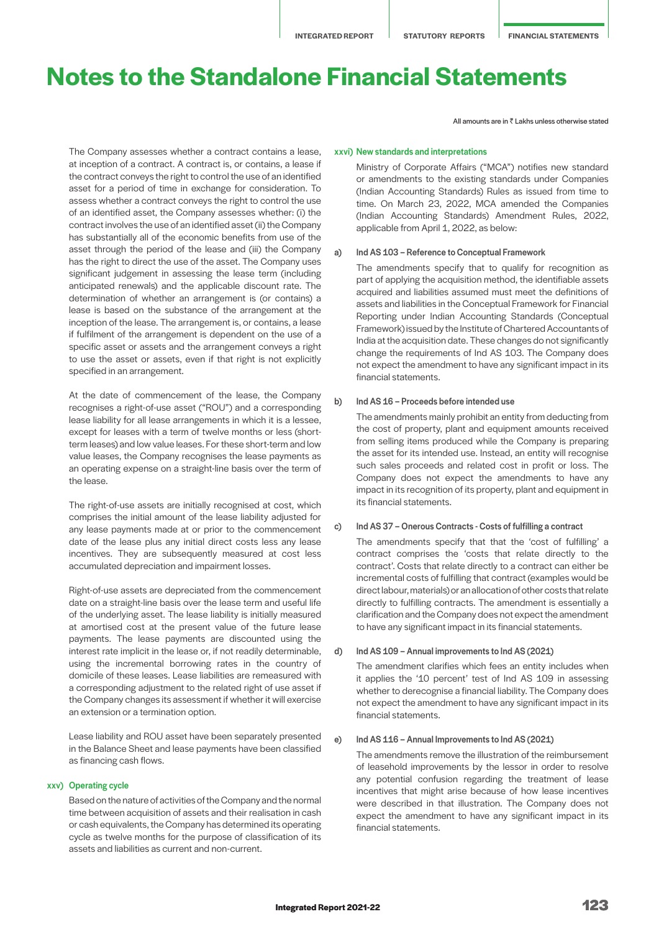All amounts are in  $\bar{z}$  Lakhs unless otherwise stated

 The Company assesses whether a contract contains a lease, at inception of a contract. A contract is, or contains, a lease if the contract conveys the right to control the use of an identified asset for a period of time in exchange for consideration. To assess whether a contract conveys the right to control the use of an identified asset, the Company assesses whether: (i) the contract involves the use of an identified asset (ii) the Company has substantially all of the economic benefits from use of the asset through the period of the lease and (iii) the Company has the right to direct the use of the asset. The Company uses significant judgement in assessing the lease term (including anticipated renewals) and the applicable discount rate. The determination of whether an arrangement is (or contains) a lease is based on the substance of the arrangement at the inception of the lease. The arrangement is, or contains, a lease if fulfilment of the arrangement is dependent on the use of a specific asset or assets and the arrangement conveys a right to use the asset or assets, even if that right is not explicitly specified in an arrangement.

 At the date of commencement of the lease, the Company recognises a right-of-use asset ("ROU") and a corresponding lease liability for all lease arrangements in which it is a lessee, except for leases with a term of twelve months or less (shortterm leases) and low value leases. For these short-term and low value leases, the Company recognises the lease payments as an operating expense on a straight-line basis over the term of the lease.

 The right-of-use assets are initially recognised at cost, which comprises the initial amount of the lease liability adjusted for any lease payments made at or prior to the commencement date of the lease plus any initial direct costs less any lease incentives. They are subsequently measured at cost less accumulated depreciation and impairment losses.

 Right-of-use assets are depreciated from the commencement date on a straight-line basis over the lease term and useful life of the underlying asset. The lease liability is initially measured at amortised cost at the present value of the future lease payments. The lease payments are discounted using the interest rate implicit in the lease or, if not readily determinable, using the incremental borrowing rates in the country of domicile of these leases. Lease liabilities are remeasured with a corresponding adjustment to the related right of use asset if the Company changes its assessment if whether it will exercise an extension or a termination option.

 Lease liability and ROU asset have been separately presented in the Balance Sheet and lease payments have been classified as financing cash flows.

#### xxv) Operating cycle

 Based on the nature of activities of the Company and the normal time between acquisition of assets and their realisation in cash or cash equivalents, the Company has determined its operating cycle as twelve months for the purpose of classification of its assets and liabilities as current and non-current.

# xxvi) New standards and interpretations

 Ministry of Corporate Affairs ("MCA") notifies new standard or amendments to the existing standards under Companies (Indian Accounting Standards) Rules as issued from time to time. On March 23, 2022, MCA amended the Companies (Indian Accounting Standards) Amendment Rules, 2022, applicable from April 1, 2022, as below:

#### a) Ind AS 103 – Reference to Conceptual Framework

 The amendments specify that to qualify for recognition as part of applying the acquisition method, the identifiable assets acquired and liabilities assumed must meet the definitions of assets and liabilities in the Conceptual Framework for Financial Reporting under Indian Accounting Standards (Conceptual Framework) issued by the Institute of Chartered Accountants of India at the acquisition date. These changes do not significantly change the requirements of Ind AS 103. The Company does not expect the amendment to have any significant impact in its financial statements.

### b) Ind AS 16 – Proceeds before intended use

 The amendments mainly prohibit an entity from deducting from the cost of property, plant and equipment amounts received from selling items produced while the Company is preparing the asset for its intended use. Instead, an entity will recognise such sales proceeds and related cost in profit or loss. The Company does not expect the amendments to have any impact in its recognition of its property, plant and equipment in its financial statements.

c) Ind AS 37 – Onerous Contracts - Costs of fulfilling a contract

 The amendments specify that that the 'cost of fulfilling' a contract comprises the 'costs that relate directly to the contract'. Costs that relate directly to a contract can either be incremental costs of fulfilling that contract (examples would be direct labour, materials) or an allocation of other costs that relate directly to fulfilling contracts. The amendment is essentially a clarification and the Company does not expect the amendment to have any significant impact in its financial statements.

#### d) Ind AS 109 – Annual improvements to Ind AS (2021)

 The amendment clarifies which fees an entity includes when it applies the '10 percent' test of Ind AS 109 in assessing whether to derecognise a financial liability. The Company does not expect the amendment to have any significant impact in its financial statements.

#### e) Ind AS 116 – Annual Improvements to Ind AS (2021)

 The amendments remove the illustration of the reimbursement of leasehold improvements by the lessor in order to resolve any potential confusion regarding the treatment of lease incentives that might arise because of how lease incentives were described in that illustration. The Company does not expect the amendment to have any significant impact in its financial statements.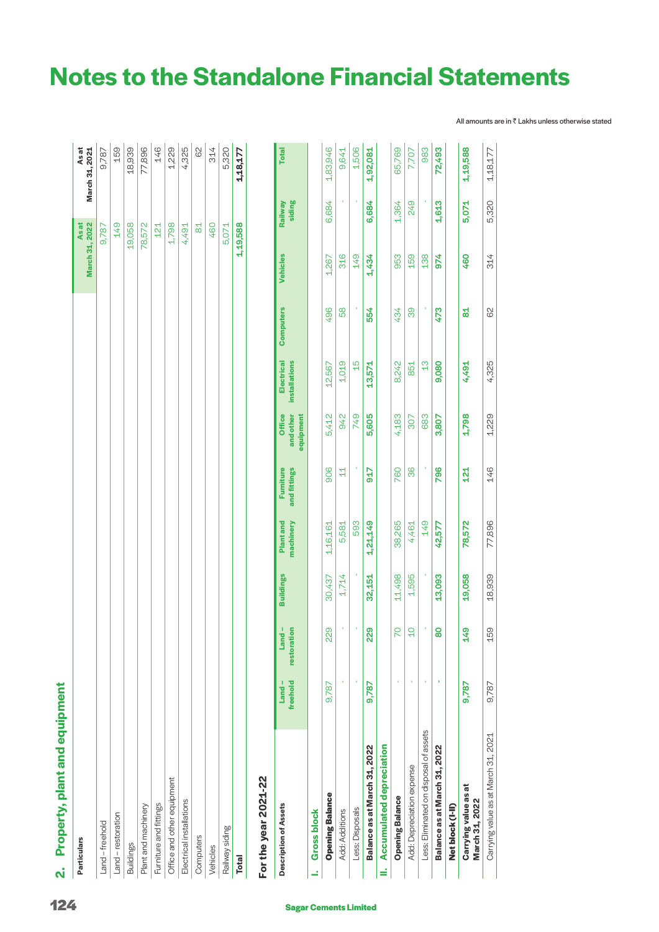# Property, plant and equipment **2. Property, plant and equipment**  $\mathbf{N}$

| <b>Particulars</b>         | March 31, 2022<br><b>Asat</b> | <b>Asat</b><br>March 31, 2021 |
|----------------------------|-------------------------------|-------------------------------|
| and-freehold               | 9,787                         | 9,787                         |
| and - restoration          | 149                           | 159                           |
| <b>Buildings</b>           | 19,058                        | 18,939                        |
| Plant and machinery        | 78,572                        | 77,896                        |
| Furniture and fittings     | 121                           | 146                           |
| Office and other equipment | 1,798                         | 1,229                         |
| Electrical installations   | 4,491                         | 4,325                         |
| Computers                  | $\frac{1}{8}$                 | 82                            |
| Vehicles                   | 460                           | 314                           |
| Railway siding             | 5,071                         | 5,320                         |
| <b>Total</b>               | 1,19,588                      | 1,18,177                      |
|                            |                               |                               |

# For the year 2021-22 **For the year 2021-22**

| <b>Description of Assets</b>           | freehold<br>$Land -$ | restoration<br>$Land -$ | <b>Buildings</b> | Plant and<br>machinery | Furniture<br>and fittings | <b>Office</b><br>and other<br>equipment | Electrical<br><b>installations</b> | <b>Computers</b> | <b>Vehicles</b> | siding<br>Railway | <b>Total</b> |
|----------------------------------------|----------------------|-------------------------|------------------|------------------------|---------------------------|-----------------------------------------|------------------------------------|------------------|-----------------|-------------------|--------------|
| <b>Gross block</b>                     |                      |                         |                  |                        |                           |                                         |                                    |                  |                 |                   |              |
| <b>Opening Balance</b>                 | 9,787                | 229                     | 30,437           | 1,16,161               | 906                       | 5,412                                   | 12,567                             | 496              | 1,267           | 6,684             | 1,83,946     |
| <b>Add: Additions</b>                  |                      |                         | 1,714            | 5,581                  | 4                         | 942                                     | 1,019                              | 89               | 316             |                   | 9,641        |
| Less: Disposals                        |                      |                         |                  | 593                    |                           | 749                                     | $\frac{5}{1}$                      |                  | 149             |                   | 1,506        |
| Balance as at March 31, 2022           | 9,787                | 229                     | 32,151           | 1,21,149               | 917                       | 5,605                                   | 13,571                             | 554              | 1,434           | 6,684             | 1,92,081     |
| <b>II.</b> Accumulated depreciation    |                      |                         |                  |                        |                           |                                         |                                    |                  |                 |                   |              |
| <b>Opening Balance</b>                 |                      | R                       | 11,498           | 38,265                 | 760                       | 4,183                                   | 8,242                              | 434              | 953             | 1,364             | 65,769       |
| Add: Depreciation expense              |                      | $\overline{C}$          | 1,595            | 4,461                  | ၜ                         | 307                                     | 851                                | စ္ပ              | 159             | 249               | 7,707        |
| ess: Eliminated on disposal of assets  |                      |                         |                  | 149                    |                           | 683                                     | $\frac{3}{4}$                      |                  | 138             |                   | 983          |
| Balance as at March 31, 2022           |                      | 80                      | 13,093           | 42,577                 | 796                       | 3,807                                   | 9,080                              | 473              | 974             | 1,613             | 72,493       |
| Net block (I-II)                       |                      |                         |                  |                        |                           |                                         |                                    |                  |                 |                   |              |
| Carrying value as at<br>March 31, 2022 | 9,787                | <b>49</b>               | 19,058           | 78,572                 | <u>य</u>                  | 1,798                                   | 4,491                              | 걺                | 460             | 5,071             | 1,19,588     |
| Carrying value as at March 31, 2021    | 9.787                | 159                     | 18,939           | 77,896                 | 146                       | 1,229                                   | 4,325                              | 62               | 314             | 5,320             | 1,18,177     |

**Notes to the Standalone Financial Statements** 

÷.  $\mathbf{r}$  $\mathbf{r}$  $\pm$  $\mathbf{r}$  $\sim 10^7$  $\mathbb{R}^n$  All amounts are in ₹ Lakhs unless otherwise stated

**CONTRACTOR** 

 $\mathbf{r}$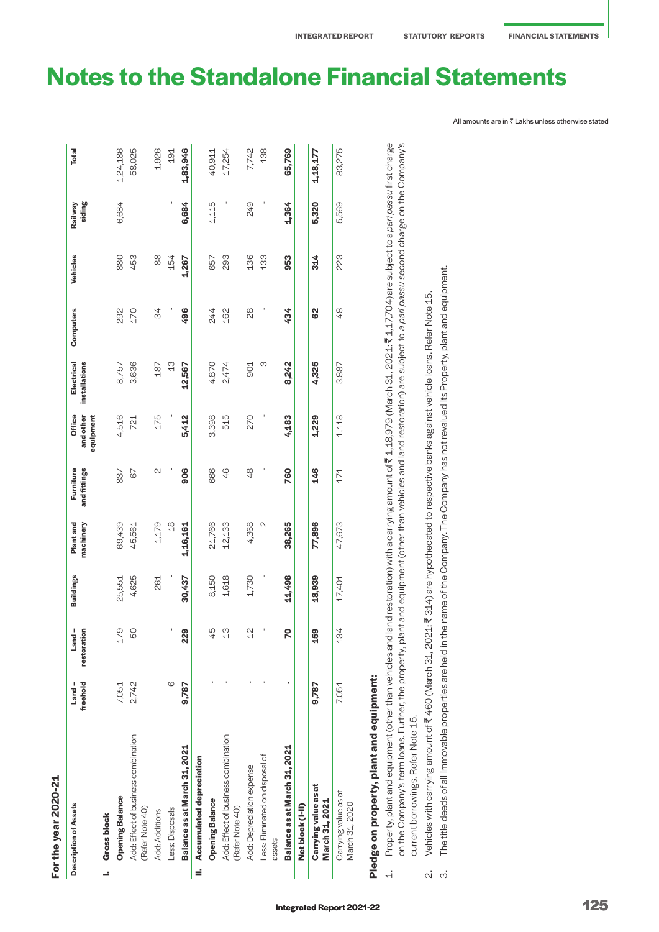# For the year 2020-21 **For the year 2020-21**

|   | <b>Description of Assets</b>                           | freehold<br>$L$ and $-$ | Land-<br>restoration | <b>Buildings</b> | Plant and<br>machinery | Furniture<br>and fittings | Office<br>and other<br>equipment | Electrical<br>installations | Computers | Vehicles        | siding<br>Railway | <b>Total</b> |
|---|--------------------------------------------------------|-------------------------|----------------------|------------------|------------------------|---------------------------|----------------------------------|-----------------------------|-----------|-----------------|-------------------|--------------|
|   | <b>Gross block</b>                                     |                         |                      |                  |                        |                           |                                  |                             |           |                 |                   |              |
|   | <b>Opening Balance</b>                                 | 7,051                   | 79                   | 25,551           | 69,439                 | 837                       | 4,516                            | 8,757                       | 292       | 880             | 6,684             | 1,24,186     |
|   | Add: Effect of business combination<br>(Refer Note 40) | 2,742                   | 50                   | 4,625            | 45,561                 | 67                        | 721                              | 3,636                       | 170       | 453             |                   | 58,025       |
|   | Add: Additions                                         |                         |                      | 261              | 1,179                  | $\mathcal{L}$             | 175                              | 187                         | 34        | $_{80}^{\circ}$ |                   | 1,926        |
|   | Less: Disposals                                        | 6                       |                      |                  | $\frac{8}{10}$         |                           |                                  | $\frac{3}{1}$               |           | 154             |                   | 191          |
|   | Balance as at March 31, 2021                           | 9,787                   | 229                  | 30,437           | 1,16,161               | 906                       | 5,412                            | 12,567                      | 496       | 1,267           | 6,684             | 1,83,946     |
| ś | <b>Accumulated depreciation</b>                        |                         |                      |                  |                        |                           |                                  |                             |           |                 |                   |              |
|   | <b>Opening Balance</b>                                 |                         | 45                   | 8,150            | 21,766                 | 666                       | 3,398                            | 4,870                       | 244       | 657             | 1,115             | 40,911       |
|   | Add: Effect of business combination<br>(Refer Note 40) |                         | $\frac{3}{4}$        | 1,618            | 12,133                 | 46                        | 515                              | 2,474                       | 162       | 293             |                   | 17,254       |
|   | Add: Depreciation expense                              |                         | $\frac{2}{1}$        | 1,730            | 4,368                  | 48                        | 270                              | 901                         | 28        | 136             | 249               | 7,742        |
|   | Less: Eliminated on disposal of<br>assets              |                         |                      |                  | 2                      |                           |                                  | ო                           |           | 133             |                   | 138          |
|   | Balance as at March 31, 2021                           |                         | 20                   | 11,498           | 38,265                 | 760                       | 4,183                            | 8,242                       | 434       | 953             | 1,364             | 65,769       |
|   | Net block (I-II)                                       |                         |                      |                  |                        |                           |                                  |                             |           |                 |                   |              |
|   | Carrying value as at<br>March 31, 2021                 | 9,787                   | 59                   | 18,939           | 77,896                 | 146                       | 1,229                            | 4,325                       | 62        | 314             | 5,320             | 1,18,177     |
|   | Carrying value as at<br>March 31, 2020                 | 7,051                   | 134                  | 17,401           | 47,673                 | 171                       | 1,118                            | 3,887                       | 48        | 223             | 5,569             | 83,275       |
|   | Diadoa on proparty plant and aquipment:                |                         |                      |                  |                        |                           |                                  |                             |           |                 |                   |              |

# **Pledge on property, plant and equipment: SILIDED IN THE PAIN Dil property, p** u<br>10 <u>č</u>

Property, plant and equipment (other than vehicles and land restoration) with a carrying amount of ₹1,18,979 (March 31, 2021: ₹1,17,704) are subject to a pari passu first charge 1. Property, plant and equipment (other than vehicles and land restoration) with a carrying amount of ` 1,18,979 (March 31, 2021: ` 1,17,704) are subject to a *pari passu* first charge on the Company's term loans. Further, the property, plant and equipment (other than vehicles and land restoration) are subject to a pari passu second charge on the Company's on the Company's term loans. Further, the property, plant and equipment (other than vehicles and land restoration) are subject to *a pari passu* second charge on the Company's current borrowings. Refer Note 15. current borrowings. Refer Note 15.  $\overline{a}$ 

Vehicles with carrying amount of ₹460 (March 31, 2021: ₹314) are hypothecated to respective banks against vehicle loans. Refer Note 15. 2. Vehicles with carrying amount of ` 460 (March 31, 2021: ` 314) are hypothecated to respective banks against vehicle loans. Refer Note 15. റി ന്

The title deeds of all immovable properties are held in the name of the Company. The Company has not revalued its Property, plant and equipment. 3. The title deeds of all immovable properties are held in the name of the Company. The Company has not revalued its Property, plant and equipment.

# **Notes to the Standalone Financial Statements**

All amounts are in ` Lakhs unless otherwise stated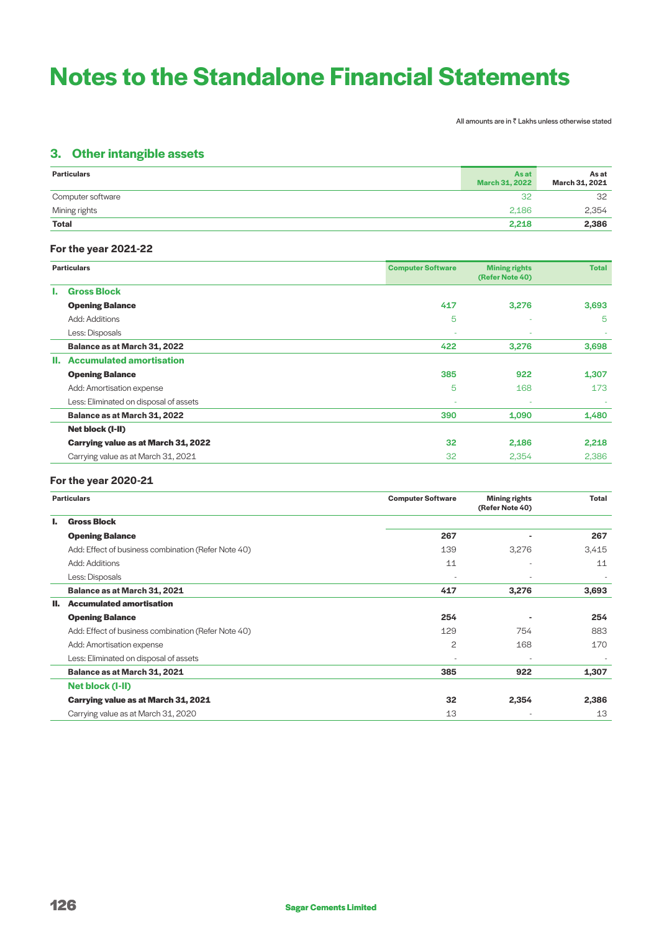All amounts are in  $\bar{\bar{\tau}}$  Lakhs unless otherwise stated

# **3. Other intangible assets**

| <b>Particulars</b> | As at<br><b>March 31, 2022</b> | As at<br>March 31, 2021 |
|--------------------|--------------------------------|-------------------------|
| Computer software  | 32                             | 32                      |
| Mining rights      | 2.186                          | 2,354                   |
| <b>Total</b>       | 2,218                          | 2,386                   |

# **For the year 2021-22**

|    | <b>Particulars</b>                     | <b>Computer Software</b> | <b>Mining rights</b><br>(Refer Note 40) | <b>Total</b> |
|----|----------------------------------------|--------------------------|-----------------------------------------|--------------|
| Ъ. | <b>Gross Block</b>                     |                          |                                         |              |
|    | <b>Opening Balance</b>                 | 417                      | 3,276                                   | 3,693        |
|    | Add: Additions                         | 5                        | $\sim$                                  | -5           |
|    | Less: Disposals                        |                          |                                         |              |
|    | Balance as at March 31, 2022           | 422                      | 3,276                                   | 3,698        |
| н. | <b>Accumulated amortisation</b>        |                          |                                         |              |
|    | <b>Opening Balance</b>                 | 385                      | 922                                     | 1,307        |
|    | Add: Amortisation expense              | 5                        | 168                                     | 173          |
|    | Less: Eliminated on disposal of assets | ۰                        |                                         |              |
|    | Balance as at March 31, 2022           | 390                      | 1,090                                   | 1,480        |
|    | Net block (I-II)                       |                          |                                         |              |
|    | Carrying value as at March 31, 2022    | 32                       | 2,186                                   | 2,218        |
|    | Carrying value as at March 31, 2021    | 32                       | 2,354                                   | 2,386        |

# **For the year 2020-21**

|    | <b>Particulars</b>                                  | <b>Computer Software</b> | <b>Mining rights</b><br>(Refer Note 40) | Total |
|----|-----------------------------------------------------|--------------------------|-----------------------------------------|-------|
| ь. | <b>Gross Block</b>                                  |                          |                                         |       |
|    | <b>Opening Balance</b>                              | 267                      |                                         | 267   |
|    | Add: Effect of business combination (Refer Note 40) | 139                      | 3,276                                   | 3,415 |
|    | Add: Additions                                      | 11                       |                                         | 11    |
|    | Less: Disposals                                     |                          |                                         |       |
|    | Balance as at March 31, 2021                        | 417                      | 3,276                                   | 3,693 |
| Ш. | <b>Accumulated amortisation</b>                     |                          |                                         |       |
|    | <b>Opening Balance</b>                              | 254                      |                                         | 254   |
|    | Add: Effect of business combination (Refer Note 40) | 129                      | 754                                     | 883   |
|    | Add: Amortisation expense                           | 2                        | 168                                     | 170   |
|    | Less: Eliminated on disposal of assets              | $\overline{\phantom{a}}$ |                                         |       |
|    | Balance as at March 31, 2021                        | 385                      | 922                                     | 1,307 |
|    | Net block (I-II)                                    |                          |                                         |       |
|    | Carrying value as at March 31, 2021                 | 32                       | 2,354                                   | 2,386 |
|    | Carrying value as at March 31, 2020                 | 13                       | $\overline{\phantom{a}}$                | 13    |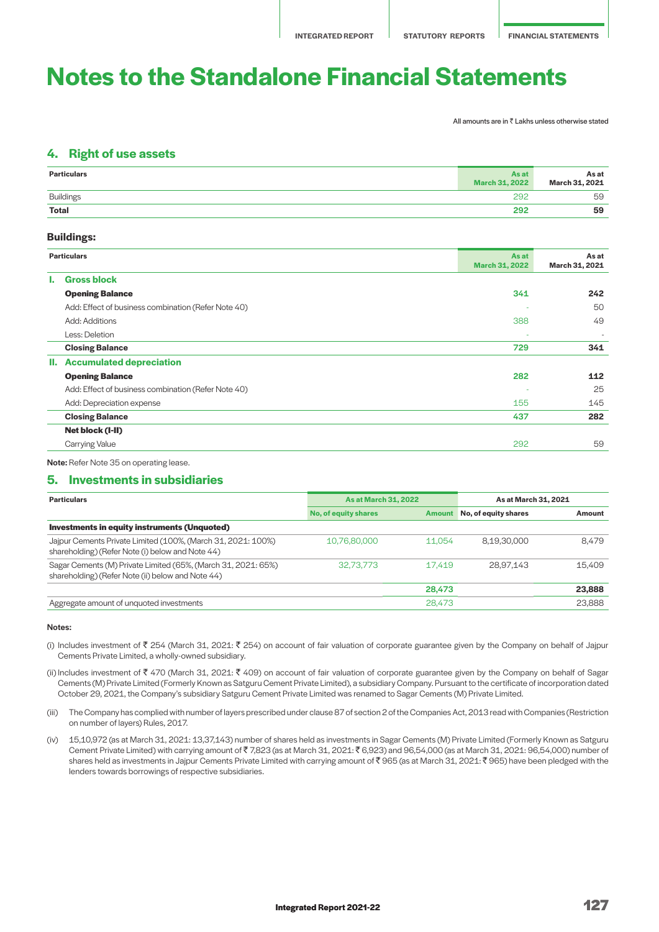All amounts are in  $\bar{\tau}$  Lakhs unless otherwise stated

# **4. Right of use assets**

| <b>Particulars</b> | <b>As at</b><br><b>March 31, 2022</b> | As at<br>March 31, 2021 |
|--------------------|---------------------------------------|-------------------------|
| <b>Buildings</b>   | 292                                   | 59                      |
| <b>Total</b>       | 292                                   | 59                      |

# **Buildings:**

|    | <b>Particulars</b>                                  | <b>As at</b><br><b>March 31, 2022</b> | As at<br>March 31, 2021 |
|----|-----------------------------------------------------|---------------------------------------|-------------------------|
| L. | <b>Gross block</b>                                  |                                       |                         |
|    | <b>Opening Balance</b>                              | 341                                   | 242                     |
|    | Add: Effect of business combination (Refer Note 40) |                                       | 50                      |
|    | Add: Additions                                      | 388                                   | 49                      |
|    | Less: Deletion                                      | ۰                                     | $\sim$                  |
|    | <b>Closing Balance</b>                              | 729                                   | 341                     |
|    | II. Accumulated depreciation                        |                                       |                         |
|    | <b>Opening Balance</b>                              | 282                                   | 112                     |
|    | Add: Effect of business combination (Refer Note 40) |                                       | 25                      |
|    | Add: Depreciation expense                           | 155                                   | 145                     |
|    | <b>Closing Balance</b>                              | 437                                   | 282                     |
|    | Net block (I-II)                                    |                                       |                         |
|    | <b>Carrying Value</b>                               | 292                                   | 59                      |
|    |                                                     |                                       |                         |

Note: Refer Note 35 on operating lease.

# **5. Investments in subsidiaries**

| <b>Particulars</b>                                                                                                 | As at March 31, 2022 |        | As at March 31, 2021        |        |
|--------------------------------------------------------------------------------------------------------------------|----------------------|--------|-----------------------------|--------|
|                                                                                                                    | No, of equity shares |        | Amount No, of equity shares | Amount |
| <b>Investments in equity instruments (Unquoted)</b>                                                                |                      |        |                             |        |
| Jajpur Cements Private Limited (100%, (March 31, 2021: 100%)<br>shareholding) (Refer Note (i) below and Note 44)   | 10,76,80,000         | 11.054 | 8.19.30.000                 | 8.479  |
| Sagar Cements (M) Private Limited (65%, (March 31, 2021: 65%)<br>shareholding) (Refer Note (ii) below and Note 44) | 32.73.773            | 17.419 | 28.97.143                   | 15.409 |
|                                                                                                                    |                      | 28,473 |                             | 23,888 |
| Aggregate amount of unquoted investments                                                                           |                      | 28,473 |                             | 23.888 |

#### Notes:

- (i) Includes investment of  $\bar{\tau}$  254 (March 31, 2021:  $\bar{\tau}$  254) on account of fair valuation of corporate guarantee given by the Company on behalf of Jajpur Cements Private Limited, a wholly-owned subsidiary.
- (ii) Includes investment of  $\bar{\xi}$  470 (March 31, 2021:  $\bar{\xi}$  409) on account of fair valuation of corporate guarantee given by the Company on behalf of Sagar Cements (M) Private Limited (Formerly Known as Satguru Cement Private Limited), a subsidiary Company. Pursuant to the certificate of incorporation dated October 29, 2021, the Company's subsidiary Satguru Cement Private Limited was renamed to Sagar Cements (M) Private Limited.
- (iii) The Company has complied with number of layers prescribed under clause 87 of section 2 of the Companies Act, 2013 read with Companies (Restriction on number of layers) Rules, 2017.
- (iv) 15,10,972 (as at March 31, 2021: 13,37,143) number of shares held as investments in Sagar Cements (M) Private Limited (Formerly Known as Satguru Cement Private Limited) with carrying amount of ₹7,823 (as at March 31, 2021: ₹6,923) and 96,54,000 (as at March 31, 2021: 96,54,000) number of shares held as investments in Jajpur Cements Private Limited with carrying amount of ₹ 965 (as at March 31, 2021: ₹ 965) have been pledged with the lenders towards borrowings of respective subsidiaries.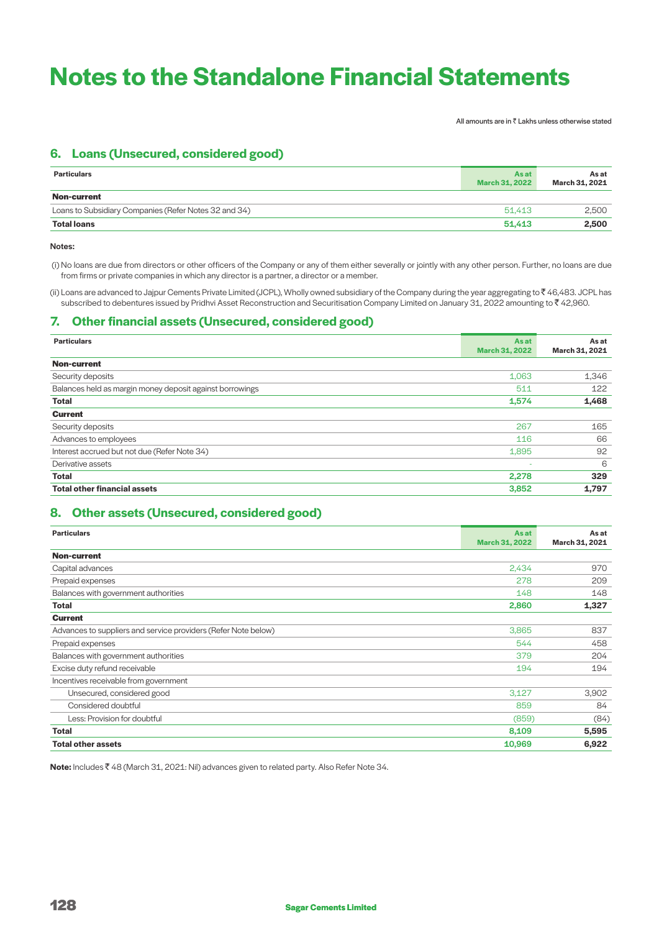All amounts are in  $\bar{\bar{\tau}}$  Lakhs unless otherwise stated

# **6. Loans (Unsecured, considered good)**

| <b>Particulars</b>                                    | As at<br><b>March 31, 2022</b> | As at<br>March 31, 2021 |
|-------------------------------------------------------|--------------------------------|-------------------------|
| Non-current                                           |                                |                         |
| Loans to Subsidiary Companies (Refer Notes 32 and 34) | 51.413                         | 2.500                   |
| <b>Total loans</b>                                    | 51,413                         | 2,500                   |

#### Notes:

 (i) No loans are due from directors or other officers of the Company or any of them either severally or jointly with any other person. Further, no loans are due from firms or private companies in which any director is a partner, a director or a member.

(ii) Loans are advanced to Jajpur Cements Private Limited (JCPL), Wholly owned subsidiary of the Company during the year aggregating to ` 46,483. JCPL has subscribed to debentures issued by Pridhvi Asset Reconstruction and Securitisation Company Limited on January 31, 2022 amounting to ₹42,960.

# **7. Other financial assets (Unsecured, considered good)**

| <b>Particulars</b>                                       | As at<br><b>March 31, 2022</b> | As at<br>March 31, 2021 |
|----------------------------------------------------------|--------------------------------|-------------------------|
| <b>Non-current</b>                                       |                                |                         |
| Security deposits                                        | 1,063                          | 1,346                   |
| Balances held as margin money deposit against borrowings | 511                            | 122                     |
| <b>Total</b>                                             | 1,574                          | 1,468                   |
| <b>Current</b>                                           |                                |                         |
| Security deposits                                        | 267                            | 165                     |
| Advances to employees                                    | 116                            | 66                      |
| Interest accrued but not due (Refer Note 34)             | 1,895                          | 92                      |
| Derivative assets                                        | $\overline{\phantom{a}}$       | 6                       |
| <b>Total</b>                                             | 2,278                          | 329                     |
| <b>Total other financial assets</b>                      | 3,852                          | 1,797                   |

# **8. Other assets (Unsecured, considered good)**

| <b>Particulars</b>                                             | As at<br><b>March 31, 2022</b> | As at<br>March 31, 2021 |
|----------------------------------------------------------------|--------------------------------|-------------------------|
| <b>Non-current</b>                                             |                                |                         |
| Capital advances                                               | 2,434                          | 970                     |
| Prepaid expenses                                               | 278                            | 209                     |
| Balances with government authorities                           | 148                            | 148                     |
| <b>Total</b>                                                   | 2,860                          | 1,327                   |
| <b>Current</b>                                                 |                                |                         |
| Advances to suppliers and service providers (Refer Note below) | 3,865                          | 837                     |
| Prepaid expenses                                               | 544                            | 458                     |
| Balances with government authorities                           | 379                            | 204                     |
| Excise duty refund receivable                                  | 194                            | 194                     |
| Incentives receivable from government                          |                                |                         |
| Unsecured, considered good                                     | 3,127                          | 3,902                   |
| Considered doubtful                                            | 859                            | 84                      |
| Less: Provision for doubtful                                   | (859)                          | (84)                    |
| <b>Total</b>                                                   | 8,109                          | 5,595                   |
| <b>Total other assets</b>                                      | 10,969                         | 6,922                   |

**Note:** Includes ₹48 (March 31, 2021: Nil) advances given to related party. Also Refer Note 34.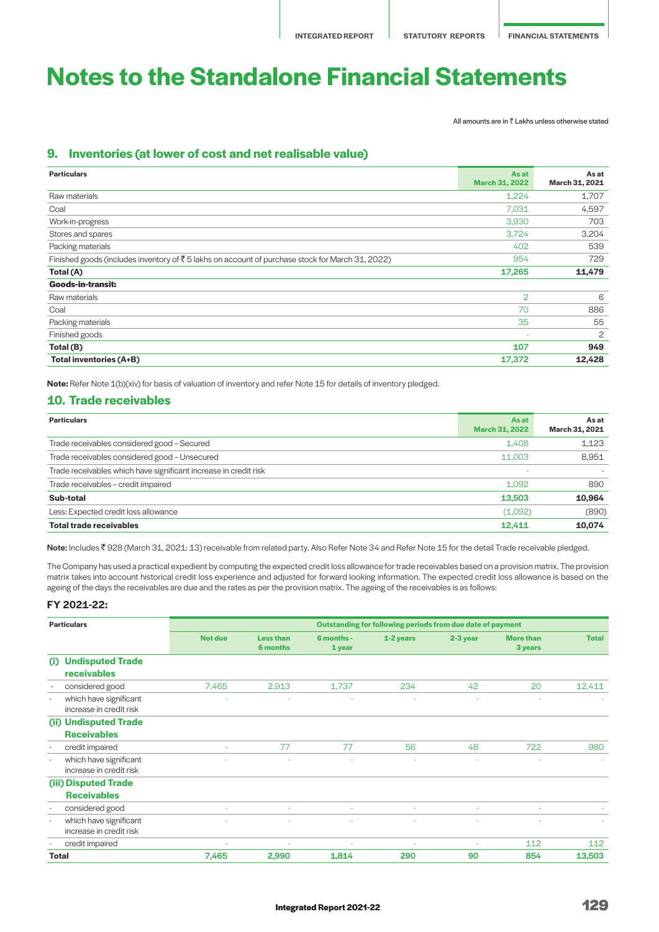All amounts are in  $\bar{\bar{\tau}}$  Lakhs unless otherwise stated

# **9. Inventories (at lower of cost and net realisable value)**

| <b>Particulars</b>                                                                                          | Asat<br><b>March 31, 2022</b> | As at<br>March 31, 2021 |
|-------------------------------------------------------------------------------------------------------------|-------------------------------|-------------------------|
| Raw materials                                                                                               | 1,224                         | 1,707                   |
| Coal                                                                                                        | 7,031                         | 4,597                   |
| Work-in-progress                                                                                            | 3,930                         | 703                     |
| Stores and spares                                                                                           | 3,724                         | 3,204                   |
| Packing materials                                                                                           | 402                           | 539                     |
| Finished goods (includes inventory of $\bar{\tau}$ 5 lakhs on account of purchase stock for March 31, 2022) | 954                           | 729                     |
| Total (A)                                                                                                   | 17,265                        | 11,479                  |
| <b>Goods-in-transit:</b>                                                                                    |                               |                         |
| Raw materials                                                                                               | 2                             | 6                       |
| Coal                                                                                                        | 70                            | 886                     |
| Packing materials                                                                                           | 35                            | 55                      |
| Finished goods                                                                                              |                               | 2                       |
| Total (B)                                                                                                   | 107                           | 949                     |
| <b>Total inventories (A+B)</b>                                                                              | 17,372                        | 12,428                  |

**Note:** Refer Note 1(b)(xiv) for basis of valuation of inventory and refer Note 15 for details of inventory pledged.

# **10. Trade receivables**

| <b>Particulars</b>                                               | <b>As at</b>          | As at          |
|------------------------------------------------------------------|-----------------------|----------------|
|                                                                  | <b>March 31, 2022</b> | March 31, 2021 |
| Trade receivables considered good - Secured                      | 1.408                 | 1,123          |
| Trade receivables considered good - Unsecured                    | 11.003                | 8,951          |
| Trade receivables which have significant increase in credit risk |                       |                |
| Trade receivables - credit impaired                              | 1.092                 | 890            |
| Sub-total                                                        | 13,503                | 10,964         |
| Less: Expected credit loss allowance                             | (1,092)               | (890)          |
| <b>Total trade receivables</b>                                   | 12,411                | 10,074         |

Note: Includes ₹928 (March 31, 2021: 13) receivable from related party. Also Refer Note 34 and Refer Note 15 for the detail Trade receivable pledged.

The Company has used a practical expedient by computing the expected credit loss allowance for trade receivables based on a provision matrix. The provision matrix takes into account historical credit loss experience and adjusted for forward looking information. The expected credit loss allowance is based on the ageing of the days the receivables are due and the rates as per the provision matrix. The ageing of the receivables is as follows:

#### **FY 2021-22:**

| <b>Particulars</b>                                                            | Outstanding for following periods from due date of payment |                                     |                      |           |                          |                             |              |
|-------------------------------------------------------------------------------|------------------------------------------------------------|-------------------------------------|----------------------|-----------|--------------------------|-----------------------------|--------------|
|                                                                               | <b>Not due</b>                                             | <b>Less than</b><br><b>6 months</b> | 6 months -<br>1 year | 1-2 years | 2-3 year                 | <b>More than</b><br>3 years | <b>Total</b> |
| <b>Undisputed Trade</b><br>(i)<br>receivables                                 |                                                            |                                     |                      |           |                          |                             |              |
| considered good<br>$\overline{\phantom{a}}$                                   | 7,465                                                      | 2,913                               | 1,737                | 234       | 42                       | 20                          | 12,411       |
| which have significant<br>$\overline{\phantom{a}}$<br>increase in credit risk |                                                            |                                     |                      |           |                          |                             |              |
| (ii) Undisputed Trade<br><b>Receivables</b>                                   |                                                            |                                     |                      |           |                          |                             |              |
| credit impaired<br>$\overline{\phantom{a}}$                                   | ٠                                                          | 77                                  | 77                   | 56        | 48                       | 722                         | 980          |
| which have significant<br>$\overline{\phantom{a}}$<br>increase in credit risk |                                                            |                                     |                      |           |                          |                             |              |
| (iii) Disputed Trade                                                          |                                                            |                                     |                      |           |                          |                             |              |
| <b>Receivables</b>                                                            |                                                            |                                     |                      |           |                          |                             |              |
| considered good<br>$\overline{\phantom{a}}$                                   | ٠                                                          | ÷                                   | ٠                    | $\sim$    | $\sim$                   | $\sim$                      |              |
| which have significant<br>$\overline{a}$<br>increase in credit risk           |                                                            | ÷                                   |                      | ÷         | $\overline{\phantom{a}}$ |                             |              |
| credit impaired                                                               |                                                            | ۰                                   |                      | ٠         |                          | 112                         | 112          |
| Total                                                                         | 7,465                                                      | 2,990                               | 1,814                | 290       | 90                       | 854                         | 13,503       |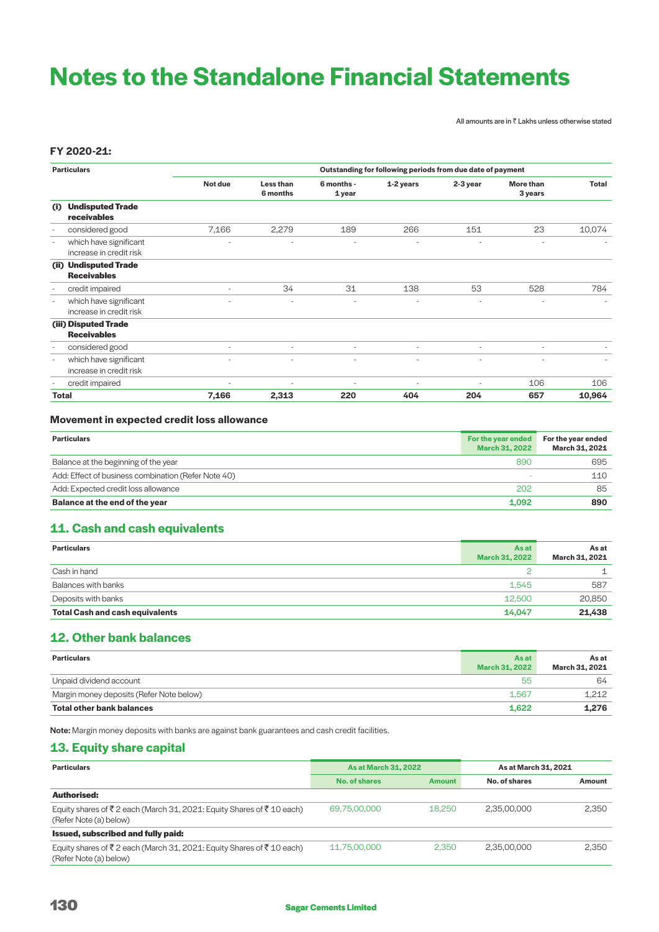All amounts are in  $\bar{\bar{\tau}}$  Lakhs unless otherwise stated

# **FY 2020-21:**

| <b>Particulars</b>       |                                                   | Outstanding for following periods from due date of payment |                          |                          |                          |          |                             |                          |
|--------------------------|---------------------------------------------------|------------------------------------------------------------|--------------------------|--------------------------|--------------------------|----------|-----------------------------|--------------------------|
|                          |                                                   | Not due                                                    | Less than<br>6 months    | 6 months -<br>1 year     | $1-2$ years              | 2-3 year | <b>More than</b><br>3 years | Total                    |
| (i)<br>receivables       | <b>Undisputed Trade</b>                           |                                                            |                          |                          |                          |          |                             |                          |
| $\overline{\phantom{a}}$ | considered good                                   | 7,166                                                      | 2,279                    | 189                      | 266                      | 151      | 23                          | 10,074                   |
| $\overline{\phantom{a}}$ | which have significant<br>increase in credit risk | $\overline{\phantom{0}}$                                   |                          | $\overline{\phantom{a}}$ | $\overline{\phantom{a}}$ |          | ۰.                          |                          |
| <b>Receivables</b>       | (ii) Undisputed Trade                             |                                                            |                          |                          |                          |          |                             |                          |
| $\overline{\phantom{a}}$ | credit impaired                                   | ۰                                                          | 34                       | 31                       | 138                      | 53       | 528                         | 784                      |
| $\overline{a}$           | which have significant<br>increase in credit risk |                                                            |                          |                          |                          |          | ٠                           | $\overline{\phantom{a}}$ |
| (iii) Disputed Trade     |                                                   |                                                            |                          |                          |                          |          |                             |                          |
| <b>Receivables</b>       |                                                   |                                                            |                          |                          |                          |          |                             |                          |
| $\overline{\phantom{a}}$ | considered good                                   | ٠                                                          | $\overline{\phantom{a}}$ | $\overline{\phantom{a}}$ | ٠                        | $\sim$   | $\overline{\phantom{a}}$    |                          |
| $\overline{\phantom{a}}$ | which have significant<br>increase in credit risk |                                                            | $\overline{\phantom{a}}$ |                          |                          |          |                             |                          |
| $\overline{a}$           | credit impaired                                   | $\overline{a}$                                             | $\overline{a}$           | $\overline{\phantom{a}}$ | $\overline{\phantom{a}}$ |          | 106                         | 106                      |
| <b>Total</b>             |                                                   | 7,166                                                      | 2,313                    | 220                      | 404                      | 204      | 657                         | 10,964                   |

# **Movement in expected credit loss allowance**

| <b>Particulars</b>                                  | For the year ended<br><b>March 31, 2022</b> | For the vear ended<br>March 31, 2021 |
|-----------------------------------------------------|---------------------------------------------|--------------------------------------|
| Balance at the beginning of the year                | 890                                         | 695                                  |
| Add: Effect of business combination (Refer Note 40) |                                             | 110                                  |
| Add: Expected credit loss allowance                 | 202                                         | 85                                   |
| Balance at the end of the year                      | 1.092                                       | 890                                  |

# **11. Cash and cash equivalents**

| <b>Particulars</b>                     | As at<br><b>March 31, 2022</b> | As at<br>March 31, 2021 |
|----------------------------------------|--------------------------------|-------------------------|
| Cash in hand                           |                                |                         |
| Balances with banks                    | 1.545                          | 587                     |
| Deposits with banks                    | 12,500                         | 20,850                  |
| <b>Total Cash and cash equivalents</b> | 14.047                         | 21,438                  |

# **12. Other bank balances**

| <b>Particulars</b>                       | As at<br><b>March 31, 2022</b> | As at<br>March 31, 2021 |
|------------------------------------------|--------------------------------|-------------------------|
| Unpaid dividend account                  | 55                             | 64                      |
| Margin money deposits (Refer Note below) | 1.567                          | 1.212                   |
| <b>Total other bank balances</b>         | 1.622                          | 1,276                   |

Note: Margin money deposits with banks are against bank guarantees and cash credit facilities.

# **13. Equity share capital**

| <b>As at March 31, 2022</b><br><b>Particulars</b>                                              |               |               | As at March 31, 2021 |        |
|------------------------------------------------------------------------------------------------|---------------|---------------|----------------------|--------|
|                                                                                                | No. of shares | <b>Amount</b> | No. of shares        | Amount |
| Authorised:                                                                                    |               |               |                      |        |
| Equity shares of ₹2 each (March 31, 2021: Equity Shares of ₹10 each)<br>(Refer Note (a) below) | 69,75,00,000  | 18,250        | 2.35.00.000          | 2.350  |
| Issued, subscribed and fully paid:                                                             |               |               |                      |        |
| Equity shares of ₹2 each (March 31, 2021: Equity Shares of ₹10 each)<br>(Refer Note (a) below) | 11.75.00.000  | 2.350         | 2.35.00.000          | 2.350  |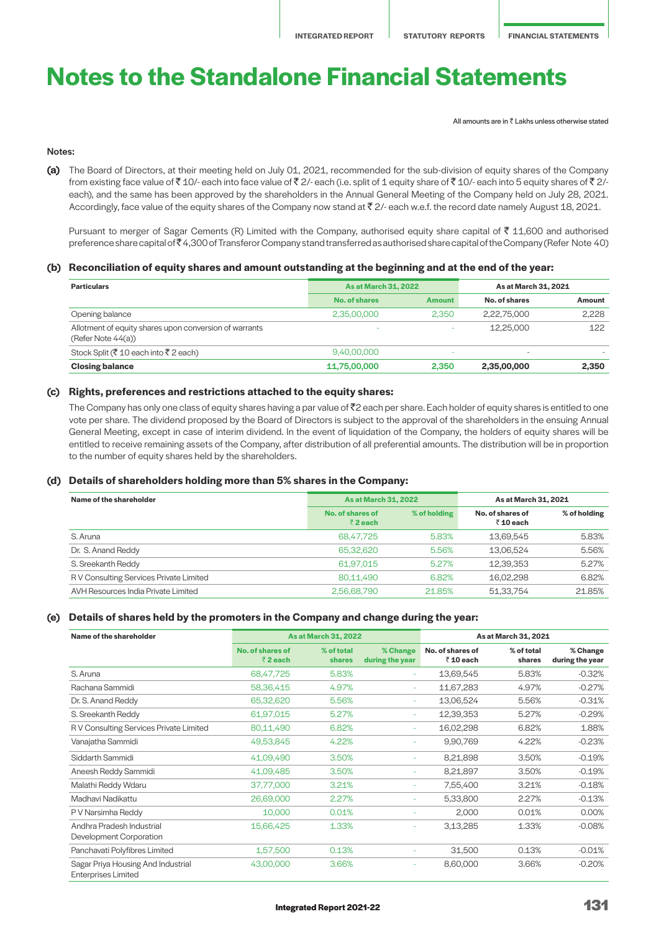All amounts are in  $\bar{z}$  Lakhs unless otherwise stated

# Notes:

**(a)** The Board of Directors, at their meeting held on July 01, 2021, recommended for the sub-division of equity shares of the Company from existing face value of  $\bar{\tau}$  10/- each into face value of  $\bar{\tau}$  2/- each (i.e. split of 1 equity share of  $\bar{\tau}$  10/- each into 5 equity shares of  $\bar{\tau}$  2/each), and the same has been approved by the shareholders in the Annual General Meeting of the Company held on July 28, 2021. Accordingly, face value of the equity shares of the Company now stand at  $\bar{\tau}$  2/- each w.e.f. the record date namely August 18, 2021.

Pursuant to merger of Sagar Cements (R) Limited with the Company, authorised equity share capital of  $\bar{z}$  11,600 and authorised preference share capital of ₹4,300 of Transferor Company stand transferred as authorised share capital of the Company (Refer Note 40)

### **(b) Reconciliation of equity shares and amount outstanding at the beginning and at the end of the year:**

| <b>Particulars</b>                                                           | <b>As at March 31, 2022</b> |               | As at March 31, 2021     |        |  |
|------------------------------------------------------------------------------|-----------------------------|---------------|--------------------------|--------|--|
|                                                                              | <b>No. of shares</b>        | <b>Amount</b> | No. of shares            | Amount |  |
| Opening balance                                                              | 2.35.00.000                 | 2.350         | 2.22.75.000              | 2.228  |  |
| Allotment of equity shares upon conversion of warrants<br>(Refer Note 44(a)) | -                           | $\sim$        | 12.25.000                | 122    |  |
| Stock Split (₹10 each into ₹2 each)                                          | 9,40,00,000                 | -             | $\overline{\phantom{a}}$ |        |  |
| <b>Closing balance</b>                                                       | 11,75,00,000                | 2,350         | 2,35,00,000              | 2,350  |  |

### **(c) Rights, preferences and restrictions attached to the equity shares:**

The Company has only one class of equity shares having a par value of  $\bar{z}$  each per share. Each holder of equity shares is entitled to one vote per share. The dividend proposed by the Board of Directors is subject to the approval of the shareholders in the ensuing Annual General Meeting, except in case of interim dividend. In the event of liquidation of the Company, the holders of equity shares will be entitled to receive remaining assets of the Company, after distribution of all preferential amounts. The distribution will be in proportion to the number of equity shares held by the shareholders.

### **(d) Details of shareholders holding more than 5% shares in the Company:**

| Name of the shareholder                 | <b>As at March 31, 2022</b> |              | As at March 31, 2021          |              |
|-----------------------------------------|-----------------------------|--------------|-------------------------------|--------------|
|                                         | No. of shares of<br>₹2 each | % of holding | No. of shares of<br>₹ 10 each | % of holding |
| S. Aruna                                | 68,47,725                   | 5.83%        | 13.69.545                     | 5.83%        |
| Dr. S. Anand Reddy                      | 65,32,620                   | 5.56%        | 13.06.524                     | 5.56%        |
| S. Sreekanth Reddy                      | 61,97,015                   | 5.27%        | 12,39,353                     | 5.27%        |
| R V Consulting Services Private Limited | 80.11.490                   | 6.82%        | 16.02.298                     | 6.82%        |
| AVH Resources India Private Limited     | 2,56,68,790                 | 21.85%       | 51,33,754                     | 21.85%       |

### **(e) Details of shares held by the promoters in the Company and change during the year:**

| Name of the shareholder                                          |                                      | <b>As at March 31, 2022</b> |                             | As at March 31, 2021         |                      |                             |
|------------------------------------------------------------------|--------------------------------------|-----------------------------|-----------------------------|------------------------------|----------------------|-----------------------------|
|                                                                  | No. of shares of<br>$\bar{z}$ 2 each | % of total<br><b>shares</b> | % Change<br>during the year | No. of shares of<br>₹10 each | % of total<br>shares | % Change<br>during the year |
| S. Aruna                                                         | 68,47,725                            | 5.83%                       | ÷                           | 13,69,545                    | 5.83%                | $-0.32%$                    |
| Rachana Sammidi                                                  | 58,36,415                            | 4.97%                       | ÷                           | 11,67,283                    | 4.97%                | $-0.27%$                    |
| Dr. S. Anand Reddy                                               | 65,32,620                            | 5.56%                       | ÷                           | 13,06,524                    | 5.56%                | $-0.31%$                    |
| S. Sreekanth Reddy                                               | 61,97,015                            | 5.27%                       | ÷                           | 12,39,353                    | 5.27%                | $-0.29%$                    |
| R V Consulting Services Private Limited                          | 80,11,490                            | 6.82%                       | ÷                           | 16,02,298                    | 6.82%                | 1.88%                       |
| Vanajatha Sammidi                                                | 49,53,845                            | 4.22%                       | ÷.                          | 9,90,769                     | 4.22%                | $-0.23%$                    |
| Siddarth Sammidi                                                 | 41,09,490                            | 3.50%                       | ٠                           | 8,21,898                     | 3.50%                | $-0.19%$                    |
| Aneesh Reddy Sammidi                                             | 41,09,485                            | 3.50%                       | ٠                           | 8,21,897                     | 3.50%                | $-0.19%$                    |
| Malathi Reddy Wdaru                                              | 37,77,000                            | 3.21%                       | ÷                           | 7,55,400                     | 3.21%                | $-0.18%$                    |
| Madhavi Nadikattu                                                | 26,69,000                            | 2.27%                       | ÷                           | 5,33,800                     | 2.27%                | $-0.13%$                    |
| P V Narsimha Reddy                                               | 10,000                               | 0.01%                       | ٠                           | 2,000                        | 0.01%                | 0.00%                       |
| Andhra Pradesh Industrial<br>Development Corporation             | 15,66,425                            | 1.33%                       | ÷,                          | 3,13,285                     | 1.33%                | $-0.08%$                    |
| Panchavati Polyfibres Limited                                    | 1,57,500                             | 0.13%                       |                             | 31,500                       | 0.13%                | $-0.01%$                    |
| Sagar Priya Housing And Industrial<br><b>Enterprises Limited</b> | 43,00,000                            | 3.66%                       | ÷                           | 8,60,000                     | 3.66%                | $-0.20%$                    |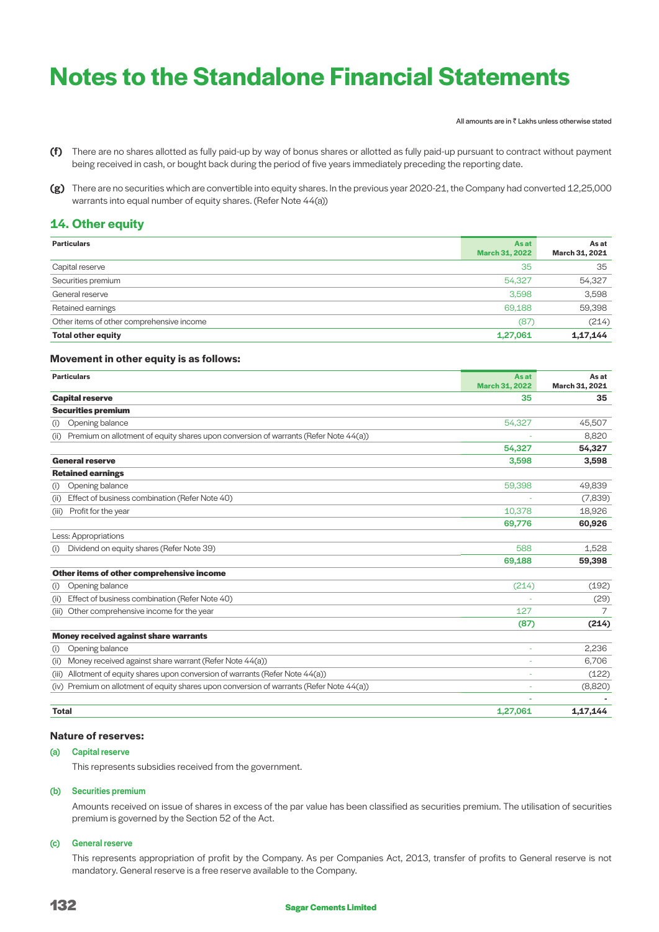All amounts are in  $\bar{\bar{\tau}}$  Lakhs unless otherwise stated

- **(f)** There are no shares allotted as fully paid-up by way of bonus shares or allotted as fully paid-up pursuant to contract without payment being received in cash, or bought back during the period of five years immediately preceding the reporting date.
- **(g)** There are no securities which are convertible into equity shares. In the previous year 2020-21, the Company had converted 12,25,000 warrants into equal number of equity shares. (Refer Note 44(a))

# **14. Other equity**

| <b>Particulars</b>                        | As at<br><b>March 31, 2022</b> | As at<br>March 31, 2021 |
|-------------------------------------------|--------------------------------|-------------------------|
| Capital reserve                           | 35                             | 35                      |
| Securities premium                        | 54,327                         | 54,327                  |
| General reserve                           | 3.598                          | 3,598                   |
| Retained earnings                         | 69,188                         | 59,398                  |
| Other items of other comprehensive income | (87)                           | (214)                   |
| <b>Total other equity</b>                 | 1,27,061                       | 1,17,144                |

# **Movement in other equity is as follows:**

| <b>Particulars</b>                                                                           | As at                 | As at          |
|----------------------------------------------------------------------------------------------|-----------------------|----------------|
|                                                                                              | <b>March 31, 2022</b> | March 31, 2021 |
| <b>Capital reserve</b>                                                                       | 35                    | 35             |
| <b>Securities premium</b>                                                                    |                       |                |
| Opening balance<br>(i)                                                                       | 54,327                | 45,507         |
| Premium on allotment of equity shares upon conversion of warrants (Refer Note 44(a))<br>(ii) |                       | 8,820          |
|                                                                                              | 54,327                | 54,327         |
| <b>General reserve</b>                                                                       | 3,598                 | 3,598          |
| <b>Retained earnings</b>                                                                     |                       |                |
| Opening balance<br>(i)                                                                       | 59,398                | 49,839         |
| Effect of business combination (Refer Note 40)<br>(ii)                                       |                       | (7,839)        |
| Profit for the year<br>(iii)                                                                 | 10.378                | 18,926         |
|                                                                                              | 69,776                | 60,926         |
| Less: Appropriations                                                                         |                       |                |
| Dividend on equity shares (Refer Note 39)<br>(i)                                             | 588                   | 1,528          |
|                                                                                              | 69,188                | 59,398         |
| Other items of other comprehensive income                                                    |                       |                |
| Opening balance<br>(i)                                                                       | (214)                 | (192)          |
| Effect of business combination (Refer Note 40)<br>(i)                                        |                       | (29)           |
| Other comprehensive income for the year<br>(iii)                                             | 127                   | 7              |
|                                                                                              | (87)                  | (214)          |
| <b>Money received against share warrants</b>                                                 |                       |                |
| Opening balance<br>(i)                                                                       |                       | 2,236          |
| Money received against share warrant (Refer Note 44(a))<br>(ii)                              |                       | 6,706          |
| Allotment of equity shares upon conversion of warrants (Refer Note 44(a))<br>(iii)           |                       | (122)          |
| (iv) Premium on allotment of equity shares upon conversion of warrants (Refer Note 44(a))    |                       | (8,820)        |
|                                                                                              |                       |                |
| <b>Total</b>                                                                                 | 1,27,061              | 1,17,144       |

# **Nature of reserves:**

# (a) Capital reserve

This represents subsidies received from the government.

### (b) Securities premium

 Amounts received on issue of shares in excess of the par value has been classified as securities premium. The utilisation of securities premium is governed by the Section 52 of the Act.

### (c) General reserve

 This represents appropriation of profit by the Company. As per Companies Act, 2013, transfer of profits to General reserve is not mandatory. General reserve is a free reserve available to the Company.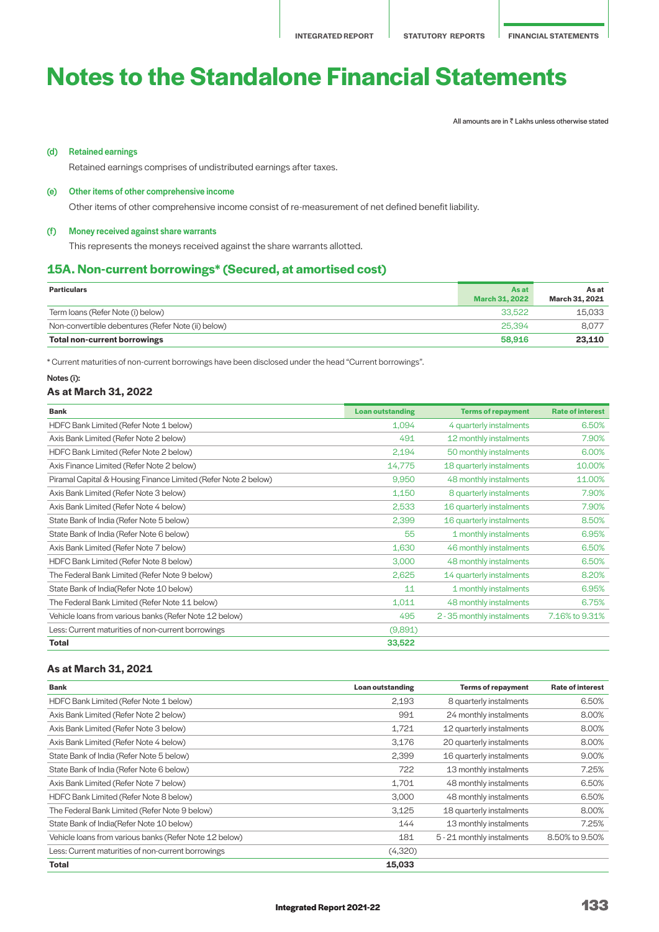All amounts are in  $\bar{\bar{\tau}}$  Lakhs unless otherwise stated

# (d) Retained earnings

Retained earnings comprises of undistributed earnings after taxes.

#### (e) Other items of other comprehensive income

Other items of other comprehensive income consist of re-measurement of net defined benefit liability.

### (f) Money received against share warrants

This represents the moneys received against the share warrants allotted.

# **15A. Non-current borrowings\* (Secured, at amortised cost)**

| <b>Particulars</b>                                 | <b>As at</b><br>March 31, 2022 | As at<br>March 31, 2021 |
|----------------------------------------------------|--------------------------------|-------------------------|
| Term loans (Refer Note (i) below)                  | 33.522                         | 15.033                  |
| Non-convertible debentures (Refer Note (ii) below) | 25,394                         | 8.077                   |
| Total non-current borrowings                       | 58,916                         | 23,110                  |

\* Current maturities of non-current borrowings have been disclosed under the head "Current borrowings".

### Notes (i):

# **As at March 31, 2022**

| <b>Bank</b>                                                    | <b>Loan outstanding</b> | <b>Terms of repayment</b>  | <b>Rate of interest</b> |
|----------------------------------------------------------------|-------------------------|----------------------------|-------------------------|
| HDFC Bank Limited (Refer Note 1 below)                         | 1,094                   | 4 quarterly instalments    | 6.50%                   |
| Axis Bank Limited (Refer Note 2 below)                         | 491                     | 12 monthly instalments     | 7.90%                   |
| HDFC Bank Limited (Refer Note 2 below)                         | 2,194                   | 50 monthly instalments     | 6.00%                   |
| Axis Finance Limited (Refer Note 2 below)                      | 14,775                  | 18 quarterly instalments   | 10.00%                  |
| Piramal Capital & Housing Finance Limited (Refer Note 2 below) | 9.950                   | 48 monthly instalments     | 11.00%                  |
| Axis Bank Limited (Refer Note 3 below)                         | 1,150                   | 8 quarterly instalments    | 7.90%                   |
| Axis Bank Limited (Refer Note 4 below)                         | 2,533                   | 16 quarterly instalments   | 7.90%                   |
| State Bank of India (Refer Note 5 below)                       | 2,399                   | 16 quarterly instalments   | 8.50%                   |
| State Bank of India (Refer Note 6 below)                       | 55                      | 1 monthly instalments      | 6.95%                   |
| Axis Bank Limited (Refer Note 7 below)                         | 1,630                   | 46 monthly instalments     | 6.50%                   |
| HDFC Bank Limited (Refer Note 8 below)                         | 3,000                   | 48 monthly instalments     | 6.50%                   |
| The Federal Bank Limited (Refer Note 9 below)                  | 2,625                   | 14 quarterly instalments   | 8.20%                   |
| State Bank of India(Refer Note 10 below)                       | 11                      | 1 monthly instalments      | 6.95%                   |
| The Federal Bank Limited (Refer Note 11 below)                 | 1,011                   | 48 monthly instalments     | 6.75%                   |
| Vehicle loans from various banks (Refer Note 12 below)         | 495                     | 2 - 35 monthly instalments | 7.16% to 9.31%          |
| Less: Current maturities of non-current borrowings             | (9,891)                 |                            |                         |
| <b>Total</b>                                                   | 33,522                  |                            |                         |

# **As at March 31, 2021**

| <b>Bank</b>                                            | Loan outstanding | <b>Terms of repayment</b>  | <b>Rate of interest</b> |
|--------------------------------------------------------|------------------|----------------------------|-------------------------|
| HDFC Bank Limited (Refer Note 1 below)                 | 2,193            | 8 quarterly instalments    | 6.50%                   |
| Axis Bank Limited (Refer Note 2 below)                 | 991              | 24 monthly instalments     | 8.00%                   |
| Axis Bank Limited (Refer Note 3 below)                 | 1,721            | 12 quarterly instalments   | 8.00%                   |
| Axis Bank Limited (Refer Note 4 below)                 | 3,176            | 20 quarterly instalments   | 8.00%                   |
| State Bank of India (Refer Note 5 below)               | 2,399            | 16 quarterly instalments   | 9.00%                   |
| State Bank of India (Refer Note 6 below)               | 722              | 13 monthly instalments     | 7.25%                   |
| Axis Bank Limited (Refer Note 7 below)                 | 1,701            | 48 monthly instalments     | 6.50%                   |
| HDFC Bank Limited (Refer Note 8 below)                 | 3,000            | 48 monthly instalments     | 6.50%                   |
| The Federal Bank Limited (Refer Note 9 below)          | 3,125            | 18 quarterly instalments   | 8.00%                   |
| State Bank of India(Refer Note 10 below)               | 144              | 13 monthly instalments     | 7.25%                   |
| Vehicle loans from various banks (Refer Note 12 below) | 181              | 5 - 21 monthly instalments | 8.50% to 9.50%          |
| Less: Current maturities of non-current borrowings     | (4,320)          |                            |                         |
| Total                                                  | 15,033           |                            |                         |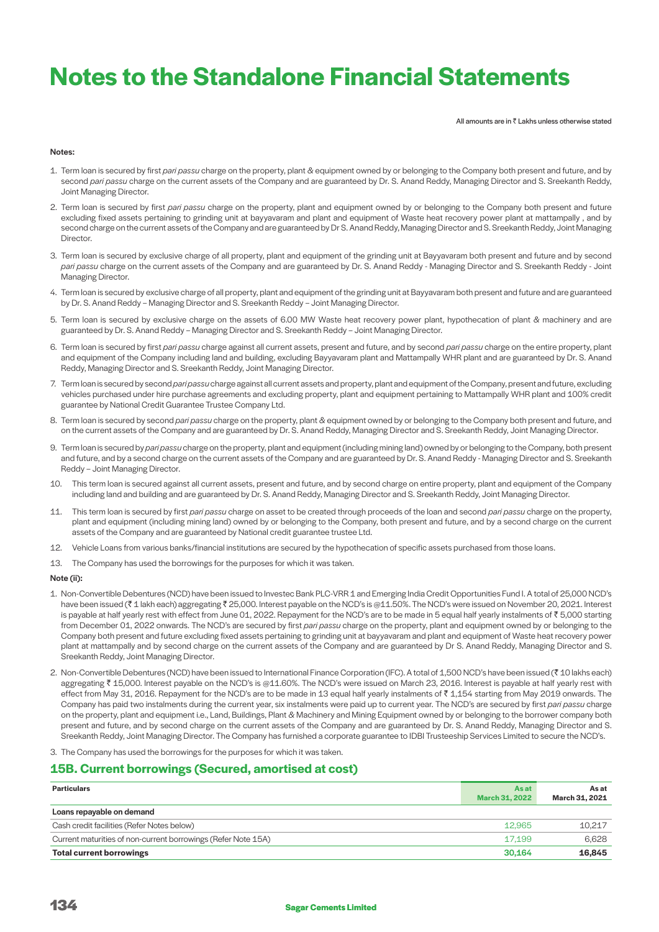All amounts are in  $\bar{z}$  Lakhs unless otherwise stated

#### Notes:

- 1. Term loan is secured by first *pari passu* charge on the property, plant & equipment owned by or belonging to the Company both present and future, and by second *pari passu* charge on the current assets of the Company and are guaranteed by Dr. S. Anand Reddy, Managing Director and S. Sreekanth Reddy, Joint Managing Director.
- 2. Term loan is secured by first *pari passu* charge on the property, plant and equipment owned by or belonging to the Company both present and future excluding fixed assets pertaining to grinding unit at bayyavaram and plant and equipment of Waste heat recovery power plant at mattampally, and by second charge on the current assets of the Company and are guaranteed by Dr S. Anand Reddy, Managing Director and S. Sreekanth Reddy, Joint Managing Director.
- 3. Term loan is secured by exclusive charge of all property, plant and equipment of the grinding unit at Bayyavaram both present and future and by second *pari passu* charge on the current assets of the Company and are guaranteed by Dr. S. Anand Reddy - Managing Director and S. Sreekanth Reddy - Joint Managing Director.
- 4. Term loan is secured by exclusive charge of all property, plant and equipment of the grinding unit at Bayyavaram both present and future and are guaranteed by Dr. S. Anand Reddy – Managing Director and S. Sreekanth Reddy – Joint Managing Director.
- 5. Term loan is secured by exclusive charge on the assets of 6.00 MW Waste heat recovery power plant, hypothecation of plant & machinery and are guaranteed by Dr. S. Anand Reddy – Managing Director and S. Sreekanth Reddy – Joint Managing Director.
- 6. Term loan is secured by first *pari passu* charge against all current assets, present and future, and by second *pari passu* charge on the entire property, plant and equipment of the Company including land and building, excluding Bayyavaram plant and Mattampally WHR plant and are guaranteed by Dr. S. Anand Reddy, Managing Director and S. Sreekanth Reddy, Joint Managing Director.
- 7. Term loan is secured by second *pari passu* charge against all current assets and property, plant and equipment of the Company, present and future, excluding vehicles purchased under hire purchase agreements and excluding property, plant and equipment pertaining to Mattampally WHR plant and 100% credit guarantee by National Credit Guarantee Trustee Company Ltd.
- 8. Term loan is secured by second *pari passu* charge on the property, plant & equipment owned by or belonging to the Company both present and future, and on the current assets of the Company and are guaranteed by Dr. S. Anand Reddy, Managing Director and S. Sreekanth Reddy, Joint Managing Director.
- 9. Term loan is secured by *pari passu* charge on the property, plant and equipment (including mining land) owned by or belonging to the Company, both present and future, and by a second charge on the current assets of the Company and are guaranteed by Dr. S. Anand Reddy - Managing Director and S. Sreekanth Reddy – Joint Managing Director.
- 10. This term loan is secured against all current assets, present and future, and by second charge on entire property, plant and equipment of the Company including land and building and are guaranteed by Dr. S. Anand Reddy, Managing Director and S. Sreekanth Reddy, Joint Managing Director.
- 11. This term loan is secured by first *pari passu* charge on asset to be created through proceeds of the loan and second *pari passu* charge on the property, plant and equipment (including mining land) owned by or belonging to the Company, both present and future, and by a second charge on the current assets of the Company and are guaranteed by National credit guarantee trustee Ltd.
- 12. Vehicle Loans from various banks/financial institutions are secured by the hypothecation of specific assets purchased from those loans.
- 13. The Company has used the borrowings for the purposes for which it was taken.

### Note (ii):

- 1. Non-Convertible Debentures (NCD) have been issued to Investec Bank PLC-VRR 1 and Emerging India Credit Opportunities Fund I. A total of 25,000 NCD's have been issued (₹1 lakh each) aggregating ₹25,000. Interest payable on the NCD's is @11.50%. The NCD's were issued on November 20, 2021. Interest is payable at half yearly rest with effect from June 01, 2022. Repayment for the NCD's are to be made in 5 equal half yearly instalments of  $\bar{\tau}$  5,000 starting from December 01, 2022 onwards. The NCD's are secured by first *pari passu* charge on the property, plant and equipment owned by or belonging to the Company both present and future excluding fixed assets pertaining to grinding unit at bayyavaram and plant and equipment of Waste heat recovery power plant at mattampally and by second charge on the current assets of the Company and are guaranteed by Dr S. Anand Reddy, Managing Director and S. Sreekanth Reddy, Joint Managing Director.
- 2. Non-Convertible Debentures (NCD) have been issued to International Finance Corporation (IFC). A total of 1,500 NCD's have been issued (₹ 10 lakhs each) aggregating ₹ 15,000. Interest payable on the NCD's is @11.60%. The NCD's were issued on March 23, 2016. Interest is payable at half yearly rest with effect from May 31, 2016. Repayment for the NCD's are to be made in 13 equal half yearly instalments of ₹ 1,154 starting from May 2019 onwards. The Company has paid two instalments during the current year, six instalments were paid up to current year. The NCD's are secured by first *pari passu* charge on the property, plant and equipment i.e., Land, Buildings, Plant & Machinery and Mining Equipment owned by or belonging to the borrower company both present and future, and by second charge on the current assets of the Company and are guaranteed by Dr. S. Anand Reddy, Managing Director and S. Sreekanth Reddy, Joint Managing Director. The Company has furnished a corporate guarantee to IDBI Trusteeship Services Limited to secure the NCD's.
- 3. The Company has used the borrowings for the purposes for which it was taken.

# **15B. Current borrowings (Secured, amortised at cost)**

| <b>Particulars</b>                                            | As at<br><b>March 31, 2022</b> | As at<br>March 31, 2021 |
|---------------------------------------------------------------|--------------------------------|-------------------------|
| Loans repayable on demand                                     |                                |                         |
| Cash credit facilities (Refer Notes below)                    | 12.965                         | 10,217                  |
| Current maturities of non-current borrowings (Refer Note 15A) | 17.199                         | 6.628                   |
| <b>Total current borrowings</b>                               | 30.164                         | 16,845                  |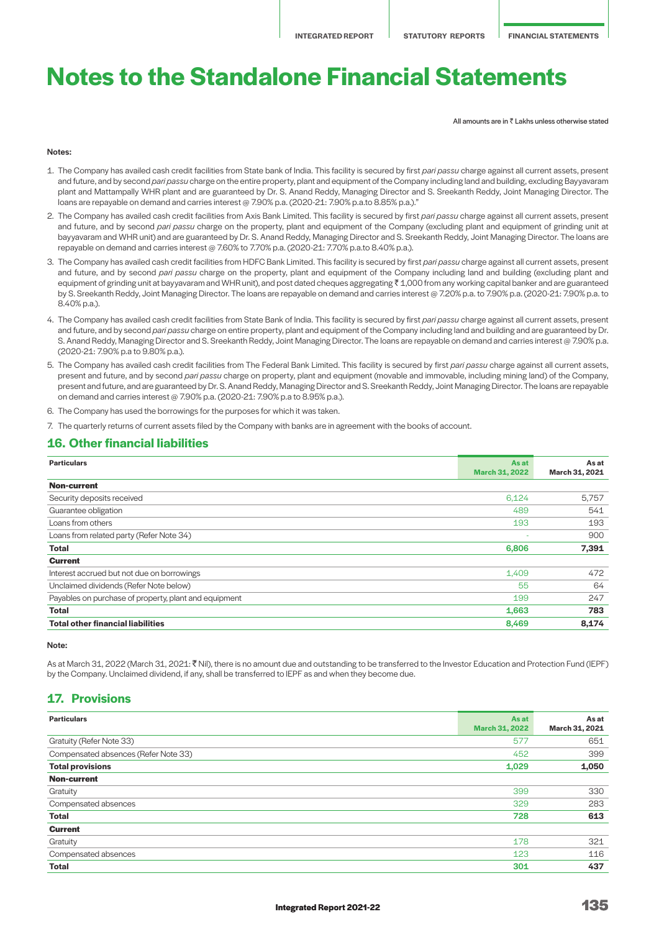All amounts are in  $\bar{z}$  Lakhs unless otherwise stated

#### Notes:

- 1. The Company has availed cash credit facilities from State bank of India. This facility is secured by first *pari passu* charge against all current assets, present and future, and by second pari passu charge on the entire property, plant and equipment of the Company including land and building, excluding Bayyavaram plant and Mattampally WHR plant and are guaranteed by Dr. S. Anand Reddy, Managing Director and S. Sreekanth Reddy, Joint Managing Director. The loans are repayable on demand and carries interest @ 7.90% p.a. (2020-21: 7.90% p.a.to 8.85% p.a.)."
- 2. The Company has availed cash credit facilities from Axis Bank Limited. This facility is secured by first *pari passu* charge against all current assets, present and future, and by second *pari passu* charge on the property, plant and equipment of the Company (excluding plant and equipment of grinding unit at bayyavaram and WHR unit) and are guaranteed by Dr. S. Anand Reddy, Managing Director and S. Sreekanth Reddy, Joint Managing Director. The loans are repayable on demand and carries interest @ 7.60% to 7.70% p.a. (2020-21: 7.70% p.a.to 8.40% p.a.).
- 3. The Company has availed cash credit facilities from HDFC Bank Limited. This facility is secured by first *pari passu* charge against all current assets, present and future, and by second *pari passu* charge on the property, plant and equipment of the Company including land and building (excluding plant and equipment of grinding unit at bayyavaram and WHR unit), and post dated cheques aggregating ₹ 1,000 from any working capital banker and are guaranteed by S. Sreekanth Reddy, Joint Managing Director. The loans are repayable on demand and carries interest @ 7.20% p.a. to 7.90% p.a. (2020-21: 7.90% p.a. to 8.40% p.a.).
- 4. The Company has availed cash credit facilities from State Bank of India. This facility is secured by first *pari passu* charge against all current assets, present and future, and by second *pari passu* charge on entire property, plant and equipment of the Company including land and building and are guaranteed by Dr. S. Anand Reddy, Managing Director and S. Sreekanth Reddy, Joint Managing Director. The loans are repayable on demand and carries interest @ 7.90% p.a. (2020-21: 7.90% p.a to 9.80% p.a.).
- 5. The Company has availed cash credit facilities from The Federal Bank Limited. This facility is secured by first *pari passu* charge against all current assets, present and future, and by second *pari passu* charge on property, plant and equipment (movable and immovable, including mining land) of the Company, present and future, and are guaranteed by Dr. S. Anand Reddy, Managing Director and S. Sreekanth Reddy, Joint Managing Director. The loans are repayable on demand and carries interest @ 7.90% p.a. (2020-21: 7.90% p.a to 8.95% p.a.).
- 6. The Company has used the borrowings for the purposes for which it was taken.

7. The quarterly returns of current assets filed by the Company with banks are in agreement with the books of account.

# **16. Other financial Iiabilities**

| <b>Particulars</b>                                    | <b>As at</b><br><b>March 31, 2022</b> | As at<br>March 31, 2021 |
|-------------------------------------------------------|---------------------------------------|-------------------------|
| <b>Non-current</b>                                    |                                       |                         |
| Security deposits received                            | 6,124                                 | 5,757                   |
| Guarantee obligation                                  | 489                                   | 541                     |
| Loans from others                                     | 193                                   | 193                     |
| Loans from related party (Refer Note 34)              |                                       | 900                     |
| <b>Total</b>                                          | 6,806                                 | 7,391                   |
| <b>Current</b>                                        |                                       |                         |
| Interest accrued but not due on borrowings            | 1,409                                 | 472                     |
| Unclaimed dividends (Refer Note below)                | 55                                    | 64                      |
| Payables on purchase of property, plant and equipment | 199                                   | 247                     |
| <b>Total</b>                                          | 1,663                                 | 783                     |
| <b>Total other financial liabilities</b>              | 8,469                                 | 8,174                   |

Note:

As at March 31, 2022 (March 31, 2021: ₹ Nil), there is no amount due and outstanding to be transferred to the Investor Education and Protection Fund (IEPF) by the Company. Unclaimed dividend, if any, shall be transferred to IEPF as and when they become due.

# **17. Provisions**

| <b>Particulars</b>                   | <b>As at</b><br><b>March 31, 2022</b> | As at<br>March 31, 2021 |
|--------------------------------------|---------------------------------------|-------------------------|
| Gratuity (Refer Note 33)             | 577                                   | 651                     |
| Compensated absences (Refer Note 33) | 452                                   | 399                     |
| <b>Total provisions</b>              | 1,029                                 | 1,050                   |
| <b>Non-current</b>                   |                                       |                         |
| Gratuity                             | 399                                   | 330                     |
| Compensated absences                 | 329                                   | 283                     |
| <b>Total</b>                         | 728                                   | 613                     |
| <b>Current</b>                       |                                       |                         |
| Gratuity                             | 178                                   | 321                     |
| Compensated absences                 | 123                                   | 116                     |
| <b>Total</b>                         | 301                                   | 437                     |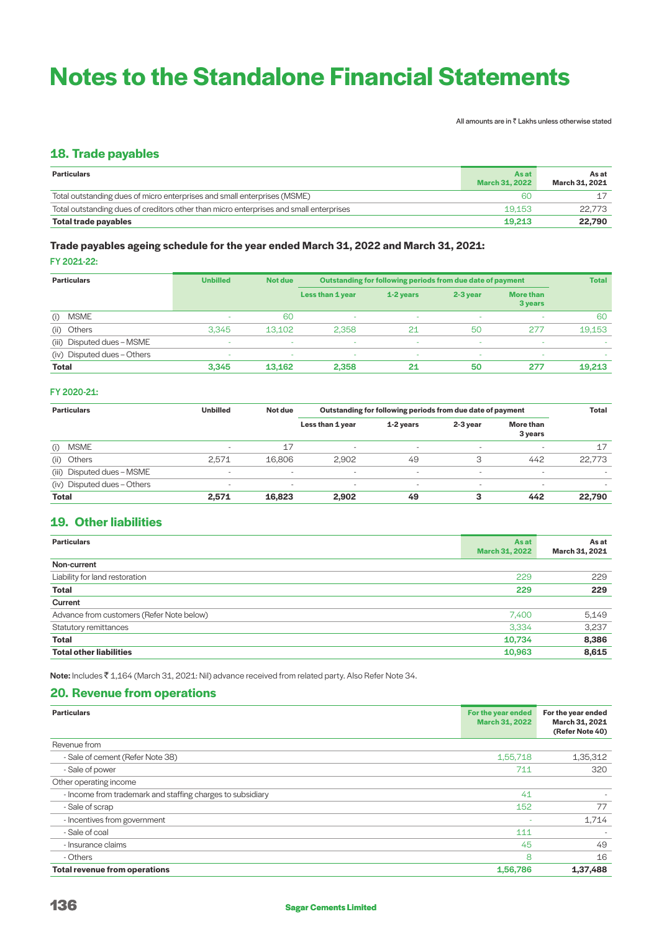All amounts are in  $\bar{\bar{\tau}}$  Lakhs unless otherwise stated

# **18. Trade payables**

| <b>Particulars</b>                                                                     | As at<br><b>March 31, 2022</b> | As at<br>March 31, 2021 |
|----------------------------------------------------------------------------------------|--------------------------------|-------------------------|
| Total outstanding dues of micro enterprises and small enterprises (MSME)               | 60                             |                         |
| Total outstanding dues of creditors other than micro enterprises and small enterprises | 19.153                         | 22.773                  |
| Total trade payables                                                                   | 19.213                         | 22,790                  |

# **Trade payables ageing schedule for the year ended March 31, 2022 and March 31, 2021:**

FY 2021-22:

| <b>Particulars</b>          | <b>Unbilled</b> | Not due |                  | Outstanding for following periods from due date of payment |            |                             |        |
|-----------------------------|-----------------|---------|------------------|------------------------------------------------------------|------------|-----------------------------|--------|
|                             |                 |         | Less than 1 year | 1-2 years                                                  | $2-3$ year | <b>More than</b><br>3 years |        |
| <b>MSME</b><br>(i)          | -               | 60      | $\sim$           | $\sim$                                                     | ×.         |                             | 60     |
| Others<br>(ii)              | 3.345           | 13.102  | 2.358            | 21                                                         | 50         | 277                         | 19,153 |
| (iii) Disputed dues - MSME  | ۰               | $\sim$  | $\sim$           | $\sim$                                                     | ×.         | $\sim$                      | $\sim$ |
| (iv) Disputed dues - Others | -               | $\sim$  | $\sim$           | $\sim$                                                     | $\sim$     | $\sim$                      | $\sim$ |
| <b>Total</b>                | 3.345           | 13.162  | 2,358            | 21                                                         | 50         | 277                         | 19,213 |

# FY 2020-21:

| <b>Particulars</b>          | <b>Unbilled</b>          | Not due                  | Outstanding for following periods from due date of payment |                |                          |                          | <b>Total</b> |
|-----------------------------|--------------------------|--------------------------|------------------------------------------------------------|----------------|--------------------------|--------------------------|--------------|
|                             |                          |                          | Less than 1 year                                           | 1-2 years      | $2-3$ year               | More than<br>3 years     |              |
| <b>MSME</b><br>(i)          |                          | 17                       | $\overline{\phantom{0}}$                                   | -              | $\sim$                   |                          | 17           |
| (ii) Others                 | 2.571                    | 16,806                   | 2.902                                                      | 49             | 3                        | 442                      | 22.773       |
| (iii) Disputed dues - MSME  |                          | $\overline{\phantom{a}}$ | $\overline{\phantom{a}}$                                   | $\blacksquare$ | $\overline{\phantom{0}}$ | . .                      |              |
| (iv) Disputed dues - Others | $\overline{\phantom{0}}$ | $\overline{\phantom{a}}$ | $\overline{\phantom{0}}$                                   | $\blacksquare$ | $\sim$                   | $\overline{\phantom{0}}$ |              |
| <b>Total</b>                | 2.571                    | 16,823                   | 2,902                                                      | 49             |                          | 442                      | 22,790       |

# **19. Other liabilities**

| <b>Particulars</b>                        | As at<br><b>March 31, 2022</b> | As at<br>March 31, 2021 |
|-------------------------------------------|--------------------------------|-------------------------|
| Non-current                               |                                |                         |
| Liability for land restoration            | 229                            | 229                     |
| <b>Total</b>                              | 229                            | 229                     |
| Current                                   |                                |                         |
| Advance from customers (Refer Note below) | 7,400                          | 5,149                   |
| <b>Statutory remittances</b>              | 3,334                          | 3,237                   |
| <b>Total</b>                              | 10,734                         | 8,386                   |
| <b>Total other liabilities</b>            | 10,963                         | 8,615                   |

Note: Includes ₹1,164 (March 31, 2021: Nil) advance received from related party. Also Refer Note 34.

# **20. Revenue from operations**

| <b>Particulars</b>                                         | For the year ended<br><b>March 31, 2022</b> | For the year ended<br>March 31, 2021<br>(Refer Note 40) |
|------------------------------------------------------------|---------------------------------------------|---------------------------------------------------------|
| Revenue from                                               |                                             |                                                         |
| - Sale of cement (Refer Note 38)                           | 1,55,718                                    | 1,35,312                                                |
| - Sale of power                                            | 711                                         | 320                                                     |
| Other operating income                                     |                                             |                                                         |
| - Income from trademark and staffing charges to subsidiary | 41                                          |                                                         |
| - Sale of scrap                                            | 152                                         | 77                                                      |
| - Incentives from government                               |                                             | 1,714                                                   |
| - Sale of coal                                             | 111                                         |                                                         |
| - Insurance claims                                         | 45                                          | 49                                                      |
| - Others                                                   | 8                                           | 16                                                      |
| <b>Total revenue from operations</b>                       | 1,56,786                                    | 1,37,488                                                |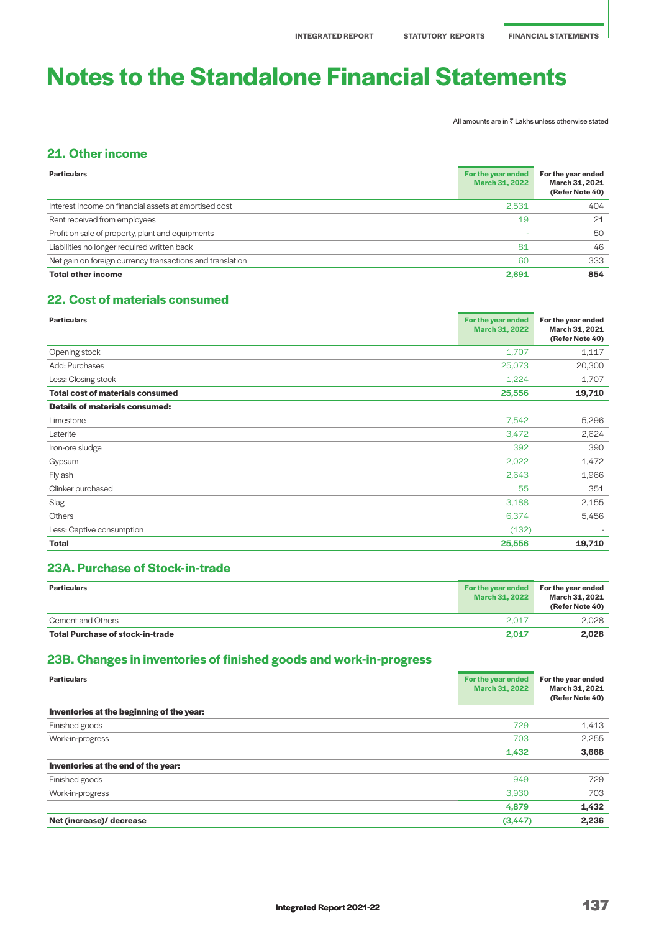All amounts are in  $\bar{\bar{\tau}}$  Lakhs unless otherwise stated

# **21. Other income**

| <b>Particulars</b>                                        | For the year ended<br><b>March 31, 2022</b> | For the year ended<br>March 31, 2021<br>(Refer Note 40) |
|-----------------------------------------------------------|---------------------------------------------|---------------------------------------------------------|
| Interest Income on financial assets at amortised cost     | 2,531                                       | 404                                                     |
| Rent received from employees                              | 19                                          | 21                                                      |
| Profit on sale of property, plant and equipments          |                                             | 50                                                      |
| Liabilities no longer required written back               | 81                                          | 46                                                      |
| Net gain on foreign currency transactions and translation | 60                                          | 333                                                     |
| <b>Total other income</b>                                 | 2.691                                       | 854                                                     |

# **22. Cost of materials consumed**

| <b>Particulars</b>                      | For the year ended<br><b>March 31, 2022</b> | For the year ended<br>March 31, 2021<br>(Refer Note 40) |
|-----------------------------------------|---------------------------------------------|---------------------------------------------------------|
| Opening stock                           | 1,707                                       | 1,117                                                   |
| Add: Purchases                          | 25,073                                      | 20,300                                                  |
| Less: Closing stock                     | 1,224                                       | 1,707                                                   |
| <b>Total cost of materials consumed</b> | 25,556                                      | 19,710                                                  |
| <b>Details of materials consumed:</b>   |                                             |                                                         |
| Limestone                               | 7,542                                       | 5,296                                                   |
| Laterite                                | 3,472                                       | 2,624                                                   |
| Iron-ore sludge                         | 392                                         | 390                                                     |
| Gypsum                                  | 2,022                                       | 1,472                                                   |
| Fly ash                                 | 2,643                                       | 1,966                                                   |
| Clinker purchased                       | 55                                          | 351                                                     |
| Slag                                    | 3,188                                       | 2,155                                                   |
| <b>Others</b>                           | 6,374                                       | 5,456                                                   |
| Less: Captive consumption               | (132)                                       |                                                         |
| <b>Total</b>                            | 25,556                                      | 19,710                                                  |

# **23A. Purchase of Stock-in-trade**

| <b>Particulars</b>               | For the year ended<br>March 31, 2022 | For the year ended<br>March 31, 2021<br>(Refer Note 40) |
|----------------------------------|--------------------------------------|---------------------------------------------------------|
| <b>Cement and Others</b>         | 2.017                                | 2.028                                                   |
| Total Purchase of stock-in-trade | 2.017                                | 2.028                                                   |

# **23B. Changes in inventories of finished goods and work-in-progress**

| <b>Particulars</b>                        | For the year ended<br><b>March 31, 2022</b> | For the year ended<br>March 31, 2021<br>(Refer Note 40) |
|-------------------------------------------|---------------------------------------------|---------------------------------------------------------|
| Inventories at the beginning of the year: |                                             |                                                         |
| Finished goods                            | 729                                         | 1,413                                                   |
| Work-in-progress                          | 703                                         | 2,255                                                   |
|                                           | 1,432                                       | 3,668                                                   |
| Inventories at the end of the year:       |                                             |                                                         |
| Finished goods                            | 949                                         | 729                                                     |
| Work-in-progress                          | 3,930                                       | 703                                                     |
|                                           | 4,879                                       | 1,432                                                   |
| Net (increase)/ decrease                  | (3, 447)                                    | 2,236                                                   |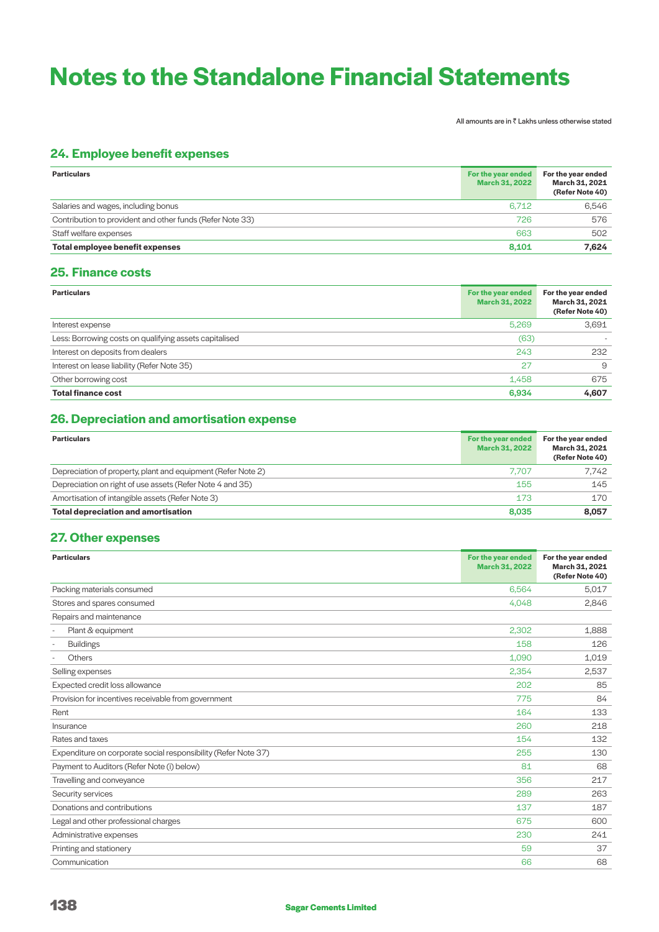All amounts are in  $\bar{\bar{\tau}}$  Lakhs unless otherwise stated

# **24. Employee benefit expenses**

| <b>Particulars</b>                                        | For the year ended<br><b>March 31, 2022</b> | For the year ended<br>March 31, 2021<br>(Refer Note 40) |
|-----------------------------------------------------------|---------------------------------------------|---------------------------------------------------------|
| Salaries and wages, including bonus                       | 6.712                                       | 6.546                                                   |
| Contribution to provident and other funds (Refer Note 33) | 726                                         | 576                                                     |
| Staff welfare expenses                                    | 663                                         | 502                                                     |
| Total employee benefit expenses                           | 8.101                                       | 7.624                                                   |

# **25. Finance costs**

| <b>Particulars</b>                                     | For the year ended<br><b>March 31, 2022</b> | For the year ended<br>March 31, 2021<br>(Refer Note 40) |
|--------------------------------------------------------|---------------------------------------------|---------------------------------------------------------|
| Interest expense                                       | 5,269                                       | 3,691                                                   |
| Less: Borrowing costs on qualifying assets capitalised | (63)                                        |                                                         |
| Interest on deposits from dealers                      | 243                                         | 232                                                     |
| Interest on lease liability (Refer Note 35)            | 27                                          | $\Omega$                                                |
| Other borrowing cost                                   | 1,458                                       | 675                                                     |
| <b>Total finance cost</b>                              | 6,934                                       | 4,607                                                   |

# **26. Depreciation and amortisation expense**

| <b>Particulars</b>                                           | For the year ended<br><b>March 31, 2022</b> | For the year ended<br>March 31, 2021<br>(Refer Note 40) |
|--------------------------------------------------------------|---------------------------------------------|---------------------------------------------------------|
| Depreciation of property, plant and equipment (Refer Note 2) | 7.707                                       | 7.742                                                   |
| Depreciation on right of use assets (Refer Note 4 and 35)    | 155                                         | 145                                                     |
| Amortisation of intangible assets (Refer Note 3)             | 173                                         | 170                                                     |
| <b>Total depreciation and amortisation</b>                   | 8.035                                       | 8,057                                                   |

# **27. Other expenses**

| <b>Particulars</b>                                             | For the year ended<br>March 31, 2022 | For the year ended<br>March 31, 2021<br>(Refer Note 40) |
|----------------------------------------------------------------|--------------------------------------|---------------------------------------------------------|
| Packing materials consumed                                     | 6,564                                | 5,017                                                   |
| Stores and spares consumed                                     | 4,048                                | 2,846                                                   |
| Repairs and maintenance                                        |                                      |                                                         |
| Plant & equipment                                              | 2.302                                | 1,888                                                   |
| <b>Buildings</b><br>$\overline{\phantom{a}}$                   | 158                                  | 126                                                     |
| Others                                                         | 1,090                                | 1,019                                                   |
| Selling expenses                                               | 2,354                                | 2,537                                                   |
| Expected credit loss allowance                                 | 202                                  | 85                                                      |
| Provision for incentives receivable from government            | 775                                  | 84                                                      |
| Rent                                                           | 164                                  | 133                                                     |
| Insurance                                                      | 260                                  | 218                                                     |
| Rates and taxes                                                | 154                                  | 132                                                     |
| Expenditure on corporate social responsibility (Refer Note 37) | 255                                  | 130                                                     |
| Payment to Auditors (Refer Note (i) below)                     | 81                                   | 68                                                      |
| Travelling and conveyance                                      | 356                                  | 217                                                     |
| Security services                                              | 289                                  | 263                                                     |
| Donations and contributions                                    | 137                                  | 187                                                     |
| Legal and other professional charges                           | 675                                  | 600                                                     |
| Administrative expenses                                        | 230                                  | 241                                                     |
| Printing and stationery                                        | 59                                   | 37                                                      |
| Communication                                                  | 66                                   | 68                                                      |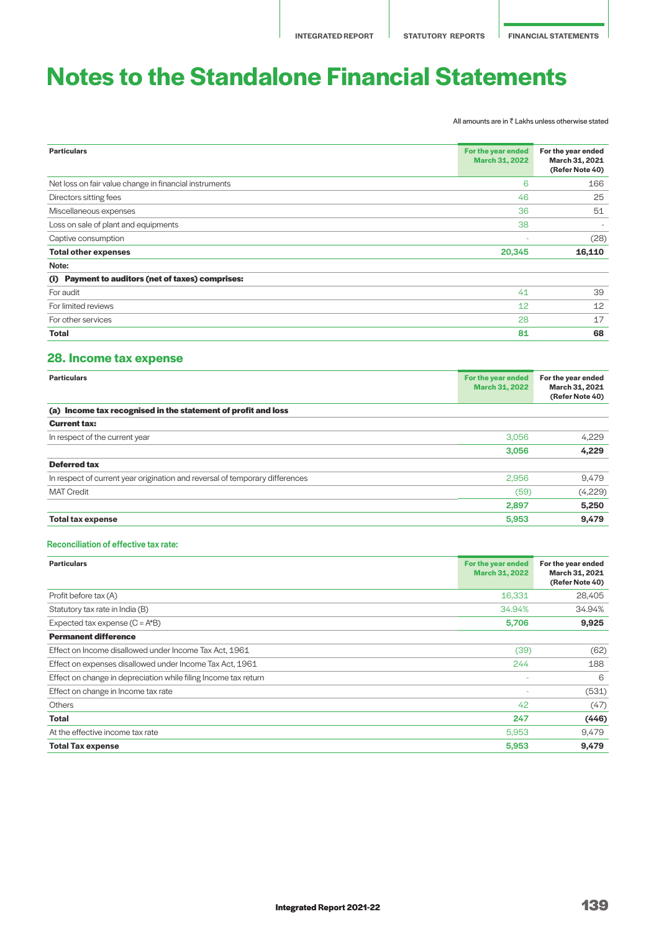All amounts are in  $\bar{\bar{\tau}}$  Lakhs unless otherwise stated

| <b>Particulars</b>                                          | For the year ended<br><b>March 31, 2022</b> | For the year ended<br>March 31, 2021<br>(Refer Note 40) |
|-------------------------------------------------------------|---------------------------------------------|---------------------------------------------------------|
| Net loss on fair value change in financial instruments      | 6                                           | 166                                                     |
| Directors sitting fees                                      | 46                                          | 25                                                      |
| Miscellaneous expenses                                      | 36                                          | 51                                                      |
| Loss on sale of plant and equipments                        | 38                                          | $\sim$                                                  |
| Captive consumption                                         |                                             | (28)                                                    |
| <b>Total other expenses</b>                                 | 20,345                                      | 16,110                                                  |
| Note:                                                       |                                             |                                                         |
| <b>Payment to auditors (net of taxes) comprises:</b><br>(i) |                                             |                                                         |
| For audit                                                   | 41                                          | 39                                                      |
| For limited reviews                                         | 12                                          | 12                                                      |
| For other services                                          | 28                                          | 17                                                      |
| Total                                                       | 81                                          | 68                                                      |

# **28. Income tax expense**

| <b>Particulars</b>                                                           | For the year ended<br><b>March 31, 2022</b> | For the year ended<br>March 31, 2021<br>(Refer Note 40) |
|------------------------------------------------------------------------------|---------------------------------------------|---------------------------------------------------------|
| (a) Income tax recognised in the statement of profit and loss                |                                             |                                                         |
| <b>Current tax:</b>                                                          |                                             |                                                         |
| In respect of the current year                                               | 3,056                                       | 4.229                                                   |
|                                                                              | 3,056                                       | 4,229                                                   |
| <b>Deferred tax</b>                                                          |                                             |                                                         |
| In respect of current year origination and reversal of temporary differences | 2,956                                       | 9,479                                                   |
| <b>MAT Credit</b>                                                            | (59)                                        | (4,229)                                                 |
|                                                                              | 2,897                                       | 5,250                                                   |
| <b>Total tax expense</b>                                                     | 5,953                                       | 9,479                                                   |

### Reconciliation of effective tax rate:

| <b>Particulars</b>                                              | For the year ended<br><b>March 31, 2022</b> | For the year ended<br>March 31, 2021<br>(Refer Note 40) |
|-----------------------------------------------------------------|---------------------------------------------|---------------------------------------------------------|
| Profit before tax (A)                                           | 16,331                                      | 28,405                                                  |
| Statutory tax rate in India (B)                                 | 34.94%                                      | 34.94%                                                  |
| Expected tax expense $(C = A^*B)$                               | 5,706                                       | 9,925                                                   |
| <b>Permanent difference</b>                                     |                                             |                                                         |
| Effect on Income disallowed under Income Tax Act, 1961          | (39)                                        | (62)                                                    |
| Effect on expenses disallowed under Income Tax Act, 1961        | 244                                         | 188                                                     |
| Effect on change in depreciation while filing Income tax return |                                             | 6                                                       |
| Effect on change in Income tax rate                             |                                             | (531)                                                   |
| <b>Others</b>                                                   | 42                                          | (47)                                                    |
| <b>Total</b>                                                    | 247                                         | (446)                                                   |
| At the effective income tax rate                                | 5,953                                       | 9,479                                                   |
| <b>Total Tax expense</b>                                        | 5,953                                       | 9,479                                                   |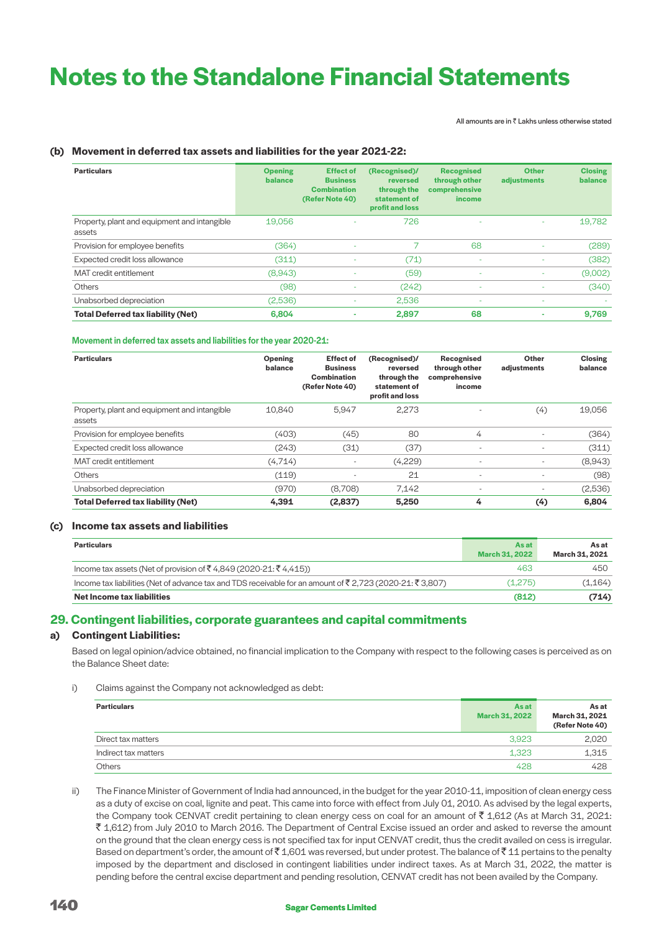All amounts are in  $\bar{z}$  Lakhs unless otherwise stated

# **(b) Movement in deferred tax assets and liabilities for the year 2021-22:**

| <b>Particulars</b>                                     | <b>Opening</b><br>balance | <b>Effect of</b><br><b>Business</b><br><b>Combination</b><br>(Refer Note 40) | (Recognised)/<br>reversed<br>through the<br>statement of<br>profit and loss | <b>Recognised</b><br>through other<br>comprehensive<br><i>income</i> | <b>Other</b><br>adjustments | <b>Closing</b><br>balance |
|--------------------------------------------------------|---------------------------|------------------------------------------------------------------------------|-----------------------------------------------------------------------------|----------------------------------------------------------------------|-----------------------------|---------------------------|
| Property, plant and equipment and intangible<br>assets | 19.056                    | $\overline{\phantom{a}}$                                                     | 726                                                                         | ٠                                                                    | ٠                           | 19,782                    |
| Provision for employee benefits                        | (364)                     | ٠                                                                            |                                                                             | 68                                                                   |                             | (289)                     |
| Expected credit loss allowance                         | (311)                     |                                                                              | (71)                                                                        | ٠                                                                    |                             | (382)                     |
| MAT credit entitlement                                 | (8,943)                   | ٠                                                                            | (59)                                                                        | $\sim$                                                               | $\overline{\phantom{a}}$    | (9,002)                   |
| <b>Others</b>                                          | (98)                      | ٠                                                                            | (242)                                                                       | $\sim$                                                               | ٠                           | (340)                     |
| Unabsorbed depreciation                                | (2,536)                   | $\overline{\phantom{a}}$                                                     | 2,536                                                                       | ٠                                                                    | $\overline{\phantom{a}}$    |                           |
| <b>Total Deferred tax liability (Net)</b>              | 6,804                     | ۰                                                                            | 2,897                                                                       | 68                                                                   | ۰                           | 9,769                     |

### Movement in deferred tax assets and liabilities for the year 2020-21:

| <b>Particulars</b>                                     | Opening<br>balance | <b>Effect of</b><br><b>Business</b><br><b>Combination</b><br>(Refer Note 40) | (Recognised)/<br>reversed<br>through the<br>statement of<br>profit and loss | Recognised<br>through other<br>comprehensive<br>income | Other<br>adjustments     | <b>Closing</b><br>balance |
|--------------------------------------------------------|--------------------|------------------------------------------------------------------------------|-----------------------------------------------------------------------------|--------------------------------------------------------|--------------------------|---------------------------|
| Property, plant and equipment and intangible<br>assets | 10.840             | 5.947                                                                        | 2,273                                                                       | $\overline{\phantom{a}}$                               | (4)                      | 19,056                    |
| Provision for employee benefits                        | (403)              | (45)                                                                         | 80                                                                          | 4                                                      |                          | (364)                     |
| Expected credit loss allowance                         | (243)              | (31)                                                                         | (37)                                                                        | $\overline{\phantom{a}}$                               |                          | (311)                     |
| MAT credit entitlement                                 | (4,714)            | $\overline{\phantom{a}}$                                                     | (4,229)                                                                     | $\overline{\phantom{a}}$                               | $\overline{\phantom{a}}$ | (8,943)                   |
| <b>Others</b>                                          | (119)              | $\overline{\phantom{a}}$                                                     | 21                                                                          | $\overline{\phantom{a}}$                               | $\overline{\phantom{a}}$ | (98)                      |
| Unabsorbed depreciation                                | (970)              | (8,708)                                                                      | 7,142                                                                       | $\overline{\phantom{a}}$                               | $\overline{\phantom{a}}$ | (2,536)                   |
| <b>Total Deferred tax liability (Net)</b>              | 4.391              | (2.837)                                                                      | 5,250                                                                       | 4                                                      | (4)                      | 6,804                     |

# **(c) Income tax assets and liabilities**

| <b>Particulars</b>                                                                                      | As at<br>March 31, 2022 | As at<br>March 31, 2021 |
|---------------------------------------------------------------------------------------------------------|-------------------------|-------------------------|
| Income tax assets (Net of provision of ₹4,849 (2020-21: ₹4,415))                                        | 463                     | 450                     |
| Income tax liabilities (Net of advance tax and TDS receivable for an amount of ₹2,723 (2020-21: ₹3,807) | (1.275)                 | (1,164)                 |
| Net Income tax liabilities                                                                              | (812)                   | (714)                   |

# **29. Contingent liabilities, corporate guarantees and capital commitments**

# **a) Contingent Liabilities:**

 Based on legal opinion/advice obtained, no financial implication to the Company with respect to the following cases is perceived as on the Balance Sheet date:

i) Claims against the Company not acknowledged as debt:

| <b>Particulars</b>   | As at<br><b>March 31, 2022</b> | As at<br>March 31, 2021<br>(Refer Note 40) |
|----------------------|--------------------------------|--------------------------------------------|
| Direct tax matters   | 3.923                          | 2,020                                      |
| Indirect tax matters | 1,323                          | 1.315                                      |
| <b>Others</b>        | 428                            | 428                                        |

ii) The Finance Minister of Government of India had announced, in the budget for the year 2010-11, imposition of clean energy cess as a duty of excise on coal, lignite and peat. This came into force with effect from July 01, 2010. As advised by the legal experts, the Company took CENVAT credit pertaining to clean energy cess on coal for an amount of ₹ 1,612 (As at March 31, 2021: ` 1,612) from July 2010 to March 2016. The Department of Central Excise issued an order and asked to reverse the amount on the ground that the clean energy cess is not specified tax for input CENVAT credit, thus the credit availed on cess is irregular. Based on department's order, the amount of  $\bar{\tau}$  1,601 was reversed, but under protest. The balance of  $\bar{\tau}$  11 pertains to the penalty imposed by the department and disclosed in contingent liabilities under indirect taxes. As at March 31, 2022, the matter is pending before the central excise department and pending resolution, CENVAT credit has not been availed by the Company.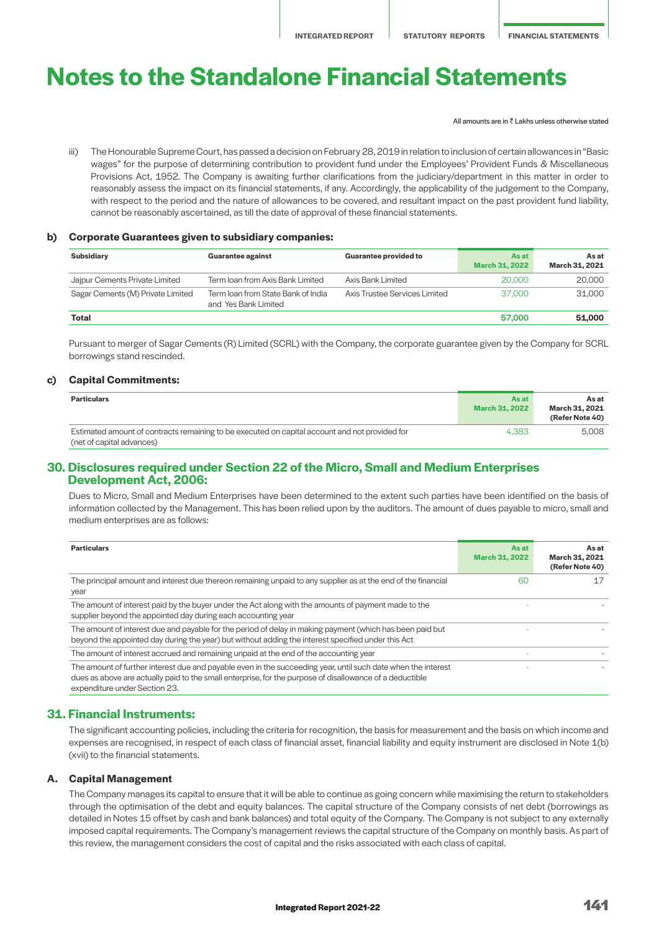All amounts are in  $\bar{z}$  Lakhs unless otherwise stated

iii) The Honourable Supreme Court, has passed a decision on February 28, 2019 in relation to inclusion of certain allowances in "Basic wages" for the purpose of determining contribution to provident fund under the Employees' Provident Funds & Miscellaneous Provisions Act, 1952. The Company is awaiting further clarifications from the judiciary/department in this matter in order to reasonably assess the impact on its financial statements, if any. Accordingly, the applicability of the judgement to the Company, with respect to the period and the nature of allowances to be covered, and resultant impact on the past provident fund liability, cannot be reasonably ascertained, as till the date of approval of these financial statements.

#### **b) Corporate Guarantees given to subsidiary companies:**

| <b>Subsidiary</b>                 | <b>Guarantee against</b>                                   | <b>Guarantee provided to</b>  | <b>As at</b><br><b>March 31, 2022</b> | As at<br>March 31, 2021 |
|-----------------------------------|------------------------------------------------------------|-------------------------------|---------------------------------------|-------------------------|
| Jajpur Cements Private Limited    | Term Ioan from Axis Bank Limited                           | Axis Bank Limited             | 20,000                                | 20,000                  |
| Sagar Cements (M) Private Limited | Term Ioan from State Bank of India<br>and Yes Bank Limited | Axis Trustee Services Limited | 37,000                                | 31.000                  |
| Total                             |                                                            |                               | 57,000                                | 51,000                  |

Pursuant to merger of Sagar Cements (R) Limited (SCRL) with the Company, the corporate guarantee given by the Company for SCRL borrowings stand rescinded.

### **c) Capital Commitments:**

| <b>Particulars</b>                                                                                                          | Asat<br>March 31, 2022 | As at<br>March 31, 2021<br>(Refer Note 40) |
|-----------------------------------------------------------------------------------------------------------------------------|------------------------|--------------------------------------------|
| Estimated amount of contracts remaining to be executed on capital account and not provided for<br>(net of capital advances) | 4.383                  | 5.008                                      |

# **30. Disclosures required under Section 22 of the Micro, Small and Medium Enterprises Development Act, 2006:**

 Dues to Micro, Small and Medium Enterprises have been determined to the extent such parties have been identified on the basis of information collected by the Management. This has been relied upon by the auditors. The amount of dues payable to micro, small and medium enterprises are as follows:

| <b>Particulars</b>                                                                                                                                                                                                                                         | <b>As at</b><br><b>March 31, 2022</b> | As at<br>March 31, 2021<br>(Refer Note 40) |
|------------------------------------------------------------------------------------------------------------------------------------------------------------------------------------------------------------------------------------------------------------|---------------------------------------|--------------------------------------------|
| The principal amount and interest due thereon remaining unpaid to any supplier as at the end of the financial<br>year                                                                                                                                      | 60                                    |                                            |
| The amount of interest paid by the buyer under the Act along with the amounts of payment made to the<br>supplier beyond the appointed day during each accounting year                                                                                      |                                       |                                            |
| The amount of interest due and payable for the period of delay in making payment (which has been paid but<br>beyond the appointed day during the year) but without adding the interest specified under this Act                                            |                                       |                                            |
| The amount of interest accrued and remaining unpaid at the end of the accounting year                                                                                                                                                                      |                                       |                                            |
| The amount of further interest due and payable even in the succeeding year, until such date when the interest<br>dues as above are actually paid to the small enterprise, for the purpose of disallowance of a deductible<br>expenditure under Section 23. |                                       |                                            |

### **31. Financial Instruments:**

 The significant accounting policies, including the criteria for recognition, the basis for measurement and the basis on which income and expenses are recognised, in respect of each class of financial asset, financial liability and equity instrument are disclosed in Note 1(b) (xvii) to the financial statements.

### **A. Capital Management**

 The Company manages its capital to ensure that it will be able to continue as going concern while maximising the return to stakeholders through the optimisation of the debt and equity balances. The capital structure of the Company consists of net debt (borrowings as detailed in Notes 15 offset by cash and bank balances) and total equity of the Company. The Company is not subject to any externally imposed capital requirements. The Company's management reviews the capital structure of the Company on monthly basis. As part of this review, the management considers the cost of capital and the risks associated with each class of capital.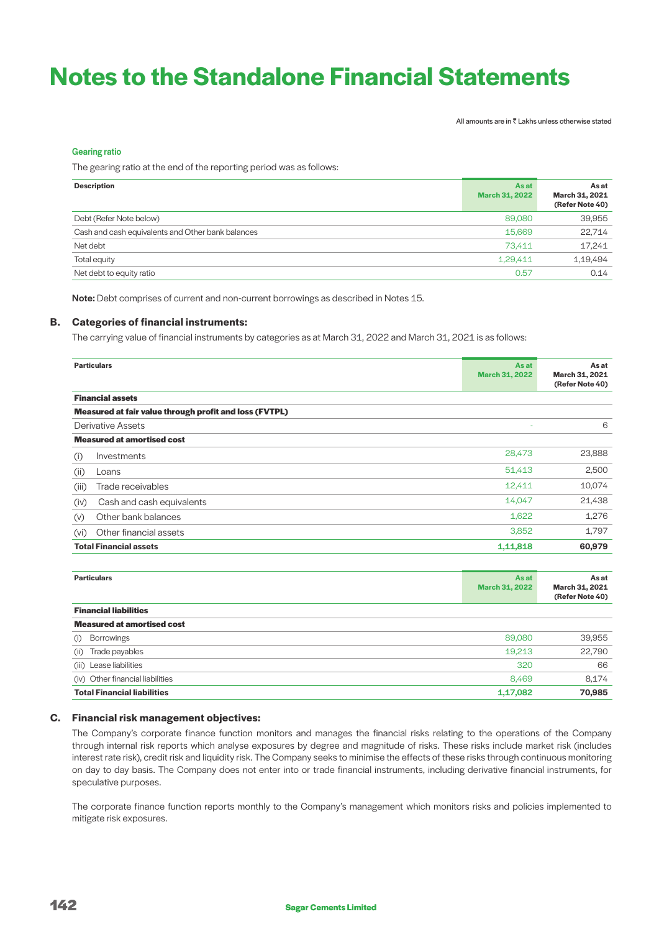All amounts are in  $\bar{\bar{\tau}}$  Lakhs unless otherwise stated

### Gearing ratio

The gearing ratio at the end of the reporting period was as follows:

| <b>Description</b>                                | As at<br><b>March 31, 2022</b> | As at<br>March 31, 2021<br>(Refer Note 40) |
|---------------------------------------------------|--------------------------------|--------------------------------------------|
| Debt (Refer Note below)                           | 89,080                         | 39,955                                     |
| Cash and cash equivalents and Other bank balances | 15,669                         | 22,714                                     |
| Net debt                                          | 73.411                         | 17,241                                     |
| Total equity                                      | 1.29.411                       | 1,19,494                                   |
| Net debt to equity ratio                          | 0.57                           | 0.14                                       |

Note: Debt comprises of current and non-current borrowings as described in Notes 15.

### **B. Categories of financial instruments:**

The carrying value of financial instruments by categories as at March 31, 2022 and March 31, 2021 is as follows:

| <b>Particulars</b>                                     | As at<br><b>March 31, 2022</b> | As at<br>March 31, 2021<br>(Refer Note 40) |
|--------------------------------------------------------|--------------------------------|--------------------------------------------|
| <b>Financial assets</b>                                |                                |                                            |
| Measured at fair value through profit and loss (FVTPL) |                                |                                            |
| Derivative Assets                                      | ÷                              | 6                                          |
| <b>Measured at amortised cost</b>                      |                                |                                            |
| Investments<br>(i)                                     | 28,473                         | 23,888                                     |
| (ii)<br>Loans                                          | 51,413                         | 2,500                                      |
| Trade receivables<br>(iii)                             | 12,411                         | 10,074                                     |
| Cash and cash equivalents<br>(iv)                      | 14,047                         | 21,438                                     |
| Other bank balances<br>(V)                             | 1,622                          | 1,276                                      |
| Other financial assets<br>(vi)                         | 3,852                          | 1,797                                      |
| <b>Total Financial assets</b>                          | 1,11,818                       | 60,979                                     |

| <b>Particulars</b>                 | As at<br><b>March 31, 2022</b> | As at<br>March 31, 2021<br>(Refer Note 40) |
|------------------------------------|--------------------------------|--------------------------------------------|
| <b>Financial liabilities</b>       |                                |                                            |
| <b>Measured at amortised cost</b>  |                                |                                            |
| <b>Borrowings</b><br>(i)           | 89,080                         | 39,955                                     |
| Trade payables<br>(ii)             | 19,213                         | 22,790                                     |
| (iii) Lease liabilities            | 320                            | 66                                         |
| (iv) Other financial liabilities   | 8,469                          | 8,174                                      |
| <b>Total Financial liabilities</b> | 1,17,082                       | 70,985                                     |

### **C. Financial risk management objectives:**

 The Company's corporate finance function monitors and manages the financial risks relating to the operations of the Company through internal risk reports which analyse exposures by degree and magnitude of risks. These risks include market risk (includes interest rate risk), credit risk and liquidity risk. The Company seeks to minimise the effects of these risks through continuous monitoring on day to day basis. The Company does not enter into or trade financial instruments, including derivative financial instruments, for speculative purposes.

 The corporate finance function reports monthly to the Company's management which monitors risks and policies implemented to mitigate risk exposures.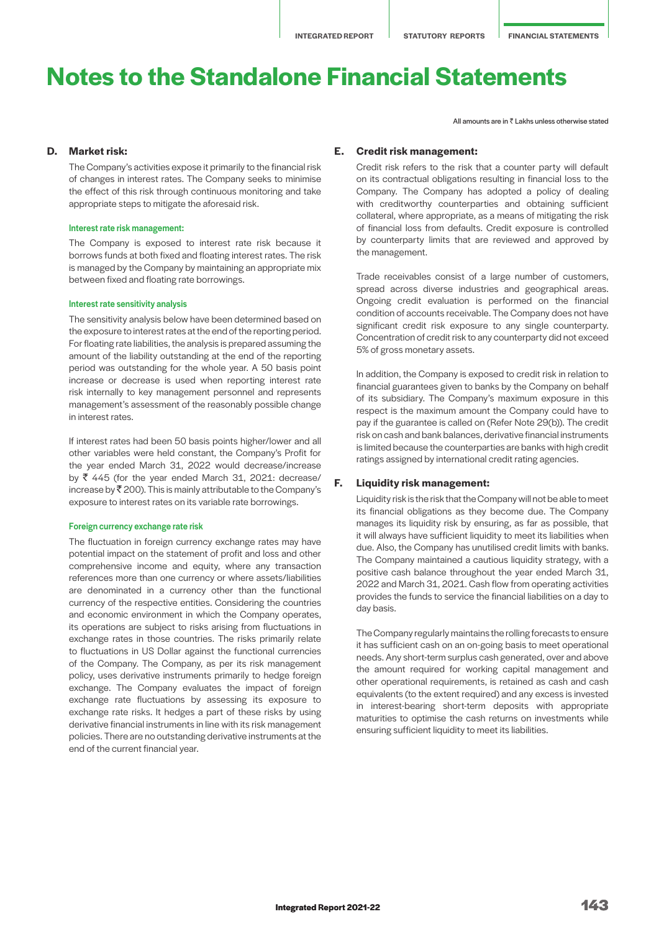### **D. Market risk:**

 The Company's activities expose it primarily to the financial risk of changes in interest rates. The Company seeks to minimise the effect of this risk through continuous monitoring and take appropriate steps to mitigate the aforesaid risk.

#### Interest rate risk management:

The Company is exposed to interest rate risk because it borrows funds at both fixed and floating interest rates. The risk is managed by the Company by maintaining an appropriate mix between fixed and floating rate borrowings.

#### Interest rate sensitivity analysis

The sensitivity analysis below have been determined based on the exposure to interest rates at the end of the reporting period. For floating rate liabilities, the analysis is prepared assuming the amount of the liability outstanding at the end of the reporting period was outstanding for the whole year. A 50 basis point increase or decrease is used when reporting interest rate risk internally to key management personnel and represents management's assessment of the reasonably possible change in interest rates.

If interest rates had been 50 basis points higher/lower and all other variables were held constant, the Company's Profit for the year ended March 31, 2022 would decrease/increase by  $\bar{\tau}$  445 (for the year ended March 31, 2021: decrease/ increase by  $\bar{\mathfrak{c}}$  200). This is mainly attributable to the Company's exposure to interest rates on its variable rate borrowings.

#### Foreign currency exchange rate risk

The fluctuation in foreign currency exchange rates may have potential impact on the statement of profit and loss and other comprehensive income and equity, where any transaction references more than one currency or where assets/liabilities are denominated in a currency other than the functional currency of the respective entities. Considering the countries and economic environment in which the Company operates, its operations are subject to risks arising from fluctuations in exchange rates in those countries. The risks primarily relate to fluctuations in US Dollar against the functional currencies of the Company. The Company, as per its risk management policy, uses derivative instruments primarily to hedge foreign exchange. The Company evaluates the impact of foreign exchange rate fluctuations by assessing its exposure to exchange rate risks. It hedges a part of these risks by using derivative financial instruments in line with its risk management policies. There are no outstanding derivative instruments at the end of the current financial year.

#### All amounts are in  $\bar{z}$  Lakhs unless otherwise stated

### **E. Credit risk management:**

Credit risk refers to the risk that a counter party will default on its contractual obligations resulting in financial loss to the Company. The Company has adopted a policy of dealing with creditworthy counterparties and obtaining sufficient collateral, where appropriate, as a means of mitigating the risk of financial loss from defaults. Credit exposure is controlled by counterparty limits that are reviewed and approved by the management.

Trade receivables consist of a large number of customers, spread across diverse industries and geographical areas. Ongoing credit evaluation is performed on the financial condition of accounts receivable. The Company does not have significant credit risk exposure to any single counterparty. Concentration of credit risk to any counterparty did not exceed 5% of gross monetary assets.

In addition, the Company is exposed to credit risk in relation to financial guarantees given to banks by the Company on behalf of its subsidiary. The Company's maximum exposure in this respect is the maximum amount the Company could have to pay if the guarantee is called on (Refer Note 29(b)). The credit risk on cash and bank balances, derivative financial instruments is limited because the counterparties are banks with high credit ratings assigned by international credit rating agencies.

### **F. Liquidity risk management:**

Liquidity risk is the risk that the Company will not be able to meet its financial obligations as they become due. The Company manages its liquidity risk by ensuring, as far as possible, that it will always have sufficient liquidity to meet its liabilities when due. Also, the Company has unutilised credit limits with banks. The Company maintained a cautious liquidity strategy, with a positive cash balance throughout the year ended March 31, 2022 and March 31, 2021. Cash flow from operating activities provides the funds to service the financial liabilities on a day to day basis.

The Company regularly maintains the rolling forecasts to ensure it has sufficient cash on an on-going basis to meet operational needs. Any short-term surplus cash generated, over and above the amount required for working capital management and other operational requirements, is retained as cash and cash equivalents (to the extent required) and any excess is invested in interest-bearing short-term deposits with appropriate maturities to optimise the cash returns on investments while ensuring sufficient liquidity to meet its liabilities.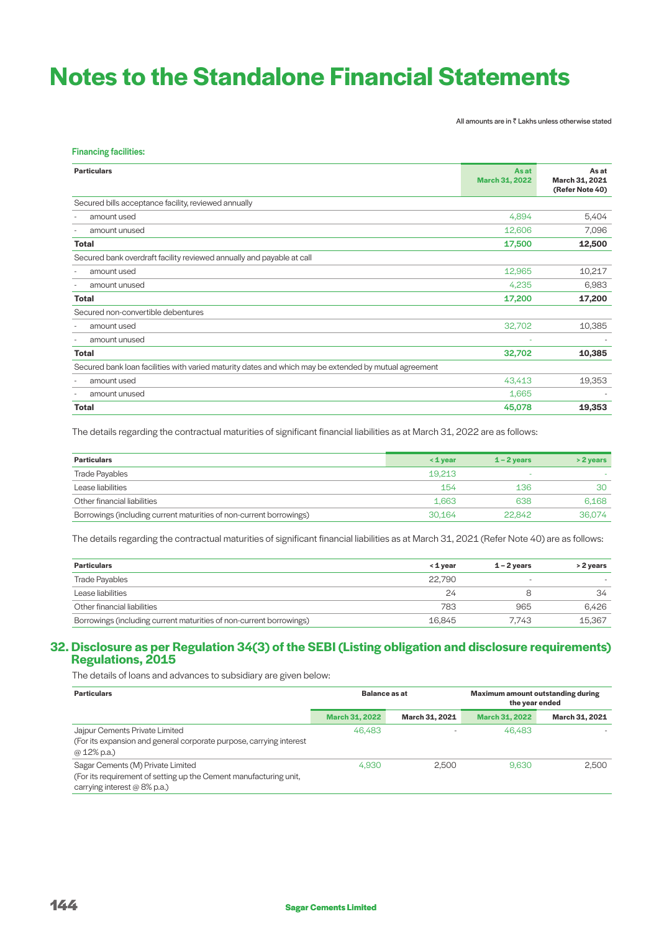All amounts are in  $\bar{\bar{\tau}}$  Lakhs unless otherwise stated

| <b>Financing facilities:</b>                                                                          |                                |                                            |
|-------------------------------------------------------------------------------------------------------|--------------------------------|--------------------------------------------|
| <b>Particulars</b>                                                                                    | As at<br><b>March 31, 2022</b> | As at<br>March 31, 2021<br>(Refer Note 40) |
| Secured bills acceptance facility, reviewed annually                                                  |                                |                                            |
| amount used                                                                                           | 4,894                          | 5,404                                      |
| amount unused                                                                                         | 12,606                         | 7,096                                      |
| <b>Total</b>                                                                                          | 17,500                         | 12,500                                     |
| Secured bank overdraft facility reviewed annually and payable at call                                 |                                |                                            |
| amount used                                                                                           | 12,965                         | 10,217                                     |
| amount unused                                                                                         | 4,235                          | 6,983                                      |
| <b>Total</b>                                                                                          | 17,200                         | 17,200                                     |
| Secured non-convertible debentures                                                                    |                                |                                            |
| amount used                                                                                           | 32,702                         | 10,385                                     |
| amount unused                                                                                         |                                |                                            |
| <b>Total</b>                                                                                          | 32,702                         | 10,385                                     |
| Secured bank loan facilities with varied maturity dates and which may be extended by mutual agreement |                                |                                            |
| amount used                                                                                           | 43,413                         | 19,353                                     |
| amount unused                                                                                         | 1,665                          |                                            |
| Total                                                                                                 | 45,078                         | 19,353                                     |
|                                                                                                       |                                |                                            |

The details regarding the contractual maturities of significant financial liabilities as at March 31, 2022 are as follows:

| <b>Particulars</b>                                                  | $\leq 1$ vear | $1 - 2$ vears | $>$ 2 years |
|---------------------------------------------------------------------|---------------|---------------|-------------|
| <b>Trade Payables</b>                                               | 19.213        | ۰             |             |
| Lease liabilities                                                   | 154           | 136           | 30          |
| Other financial liabilities                                         | 1.663         | 638           | 6.168       |
| Borrowings (including current maturities of non-current borrowings) | 30.164        | 22.842        | 36.074      |

The details regarding the contractual maturities of significant financial liabilities as at March 31, 2021 (Refer Note 40) are as follows:

| <b>Particulars</b>                                                  | ≺ 1 vear | $1 - 2$ vears            | > 2 years                |
|---------------------------------------------------------------------|----------|--------------------------|--------------------------|
| <b>Trade Payables</b>                                               | 22.790   | $\overline{\phantom{a}}$ | $\overline{\phantom{a}}$ |
| Lease liabilities                                                   | 24       |                          | 34                       |
| Other financial liabilities                                         | 783      | 965                      | 6.426                    |
| Borrowings (including current maturities of non-current borrowings) | 16.845   | 7.743                    | 15.367                   |
|                                                                     |          |                          |                          |

# **32. Disclosure as per Regulation 34(3) of the SEBI (Listing obligation and disclosure requirements) Regulations, 2015**

The details of loans and advances to subsidiary are given below:

| <b>Particulars</b>                                                                                                                     | Balance as at         |                | <b>Maximum amount outstanding during</b><br>the year ended |                |
|----------------------------------------------------------------------------------------------------------------------------------------|-----------------------|----------------|------------------------------------------------------------|----------------|
|                                                                                                                                        | <b>March 31, 2022</b> | March 31, 2021 | <b>March 31, 2022</b>                                      | March 31, 2021 |
| Jajpur Cements Private Limited<br>(For its expansion and general corporate purpose, carrying interest<br>$@12\%$ p.a.)                 | 46.483                |                | 46.483                                                     |                |
| Sagar Cements (M) Private Limited<br>(For its requirement of setting up the Cement manufacturing unit,<br>carrying interest @ 8% p.a.) | 4.930                 | 2.500          | 9.630                                                      | 2.500          |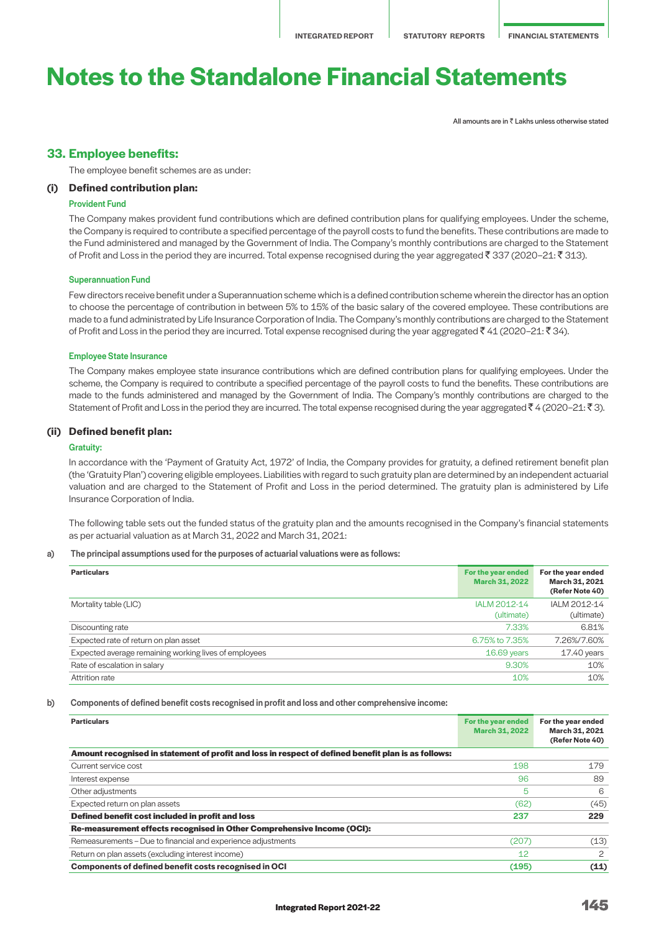All amounts are in  $\bar{z}$  Lakhs unless otherwise stated

# **33. Employee benefits:**

The employee benefit schemes are as under:

# **(i) Defined contribution plan:**

### Provident Fund

 The Company makes provident fund contributions which are defined contribution plans for qualifying employees. Under the scheme, the Company is required to contribute a specified percentage of the payroll costs to fund the benefits. These contributions are made to the Fund administered and managed by the Government of India. The Company's monthly contributions are charged to the Statement of Profit and Loss in the period they are incurred. Total expense recognised during the year aggregated  $\bar{f}$  337 (2020–21:  $\bar{f}$  313).

#### Superannuation Fund

 Few directors receive benefit under a Superannuation scheme which is a defined contribution scheme wherein the director has an option to choose the percentage of contribution in between 5% to 15% of the basic salary of the covered employee. These contributions are made to a fund administrated by Life Insurance Corporation of India. The Company's monthly contributions are charged to the Statement of Profit and Loss in the period they are incurred. Total expense recognised during the year aggregated  $\bar{f}$  41 (2020–21:  $\bar{f}$  34).

#### Employee State Insurance

 The Company makes employee state insurance contributions which are defined contribution plans for qualifying employees. Under the scheme, the Company is required to contribute a specified percentage of the payroll costs to fund the benefits. These contributions are made to the funds administered and managed by the Government of India. The Company's monthly contributions are charged to the Statement of Profit and Loss in the period they are incurred. The total expense recognised during the year aggregated  $\bar{\tau}$  4 (2020–21:  $\bar{\tau}$ 3).

### **(ii) Defined benefit plan:**

#### Gratuity:

 In accordance with the 'Payment of Gratuity Act, 1972' of India, the Company provides for gratuity, a defined retirement benefit plan (the 'Gratuity Plan') covering eligible employees. Liabilities with regard to such gratuity plan are determined by an independent actuarial valuation and are charged to the Statement of Profit and Loss in the period determined. The gratuity plan is administered by Life Insurance Corporation of India.

 The following table sets out the funded status of the gratuity plan and the amounts recognised in the Company's financial statements as per actuarial valuation as at March 31, 2022 and March 31, 2021:

### a) The principal assumptions used for the purposes of actuarial valuations were as follows:

| <b>Particulars</b>                                    | For the year ended<br><b>March 31, 2022</b> | For the year ended<br>March 31, 2021<br>(Refer Note 40) |
|-------------------------------------------------------|---------------------------------------------|---------------------------------------------------------|
| Mortality table (LIC)                                 | IALM 2012-14                                | IALM 2012-14                                            |
|                                                       | (ultimate)                                  | (ultimate)                                              |
| Discounting rate                                      | 7.33%                                       | 6.81%                                                   |
| Expected rate of return on plan asset                 | 6.75% to 7.35%                              | 7.26%/7.60%                                             |
| Expected average remaining working lives of employees | $16.69$ years                               | 17.40 years                                             |
| Rate of escalation in salary                          | 9.30%                                       | 10%                                                     |
| Attrition rate                                        | 10%                                         | 10%                                                     |

#### b) Components of defined benefit costs recognised in profit and loss and other comprehensive income:

| <b>Particulars</b>                                                                                  | For the year ended<br><b>March 31, 2022</b> | For the year ended<br>March 31, 2021<br>(Refer Note 40) |
|-----------------------------------------------------------------------------------------------------|---------------------------------------------|---------------------------------------------------------|
| Amount recognised in statement of profit and loss in respect of defined benefit plan is as follows: |                                             |                                                         |
| Current service cost                                                                                | 198                                         | 179                                                     |
| Interest expense                                                                                    | 96                                          | 89                                                      |
| Other adjustments                                                                                   | 5                                           | 6                                                       |
| Expected return on plan assets                                                                      | (62)                                        | (45)                                                    |
| Defined benefit cost included in profit and loss                                                    | 237                                         | 229                                                     |
| Re-measurement effects recognised in Other Comprehensive Income (OCI):                              |                                             |                                                         |
| Remeasurements – Due to financial and experience adjustments                                        | (207)                                       | (13)                                                    |
| Return on plan assets (excluding interest income)                                                   | 12                                          | 2                                                       |
| <b>Components of defined benefit costs recognised in OCI</b>                                        | (195)                                       | (11)                                                    |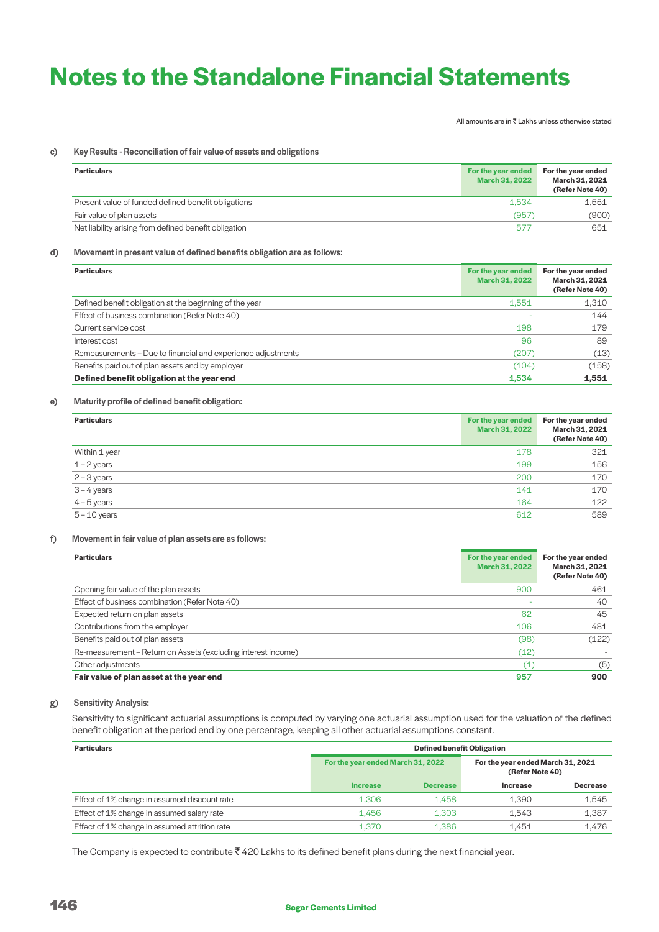All amounts are in  $\bar{\bar{\tau}}$  Lakhs unless otherwise stated

#### c) Key Results - Reconciliation of fair value of assets and obligations

| <b>Particulars</b>                                    | For the year ended<br><b>March 31, 2022</b> | For the year ended<br>March 31, 2021<br>(Refer Note 40) |
|-------------------------------------------------------|---------------------------------------------|---------------------------------------------------------|
| Present value of funded defined benefit obligations   | 1.534                                       | 1.551                                                   |
| Fair value of plan assets                             | (957                                        | (900)                                                   |
| Net liability arising from defined benefit obligation | 577                                         | 651                                                     |

# d) Movement in present value of defined benefits obligation are as follows:

| <b>Particulars</b>                                           | For the year ended<br><b>March 31, 2022</b> | For the year ended<br>March 31, 2021<br>(Refer Note 40) |
|--------------------------------------------------------------|---------------------------------------------|---------------------------------------------------------|
| Defined benefit obligation at the beginning of the year      | 1,551                                       | 1,310                                                   |
| Effect of business combination (Refer Note 40)               |                                             | 144                                                     |
| Current service cost                                         | 198                                         | 179                                                     |
| Interest cost                                                | 96                                          | 89                                                      |
| Remeasurements – Due to financial and experience adjustments | (207)                                       | (13)                                                    |
| Benefits paid out of plan assets and by employer             | (104)                                       | (158)                                                   |
| Defined benefit obligation at the year end                   | 1,534                                       | 1,551                                                   |

### e) Maturity profile of defined benefit obligation:

| <b>Particulars</b> | For the year ended<br>March 31, 2022 | For the year ended<br>March 31, 2021<br>(Refer Note 40) |
|--------------------|--------------------------------------|---------------------------------------------------------|
| Within 1 year      | 178                                  | 321                                                     |
| $1 - 2$ years      | 199                                  | 156                                                     |
| $2 - 3$ years      | 200                                  | 170                                                     |
| $3 - 4$ years      | 141                                  | 170                                                     |
| $4 - 5$ years      | 164                                  | 122                                                     |
| $5 - 10$ years     | 612                                  | 589                                                     |

# f) Movement in fair value of plan assets are as follows:

| <b>Particulars</b>                                            | For the year ended<br><b>March 31, 2022</b> | For the year ended<br>March 31, 2021<br>(Refer Note 40) |
|---------------------------------------------------------------|---------------------------------------------|---------------------------------------------------------|
| Opening fair value of the plan assets                         | 900                                         | 461                                                     |
| Effect of business combination (Refer Note 40)                |                                             | 40                                                      |
| Expected return on plan assets                                | 62                                          | 45                                                      |
| Contributions from the employer                               | 106                                         | 481                                                     |
| Benefits paid out of plan assets                              | (98)                                        | (122)                                                   |
| Re-measurement – Return on Assets (excluding interest income) | (12)                                        |                                                         |
| Other adjustments                                             | (1)                                         | (5)                                                     |
| Fair value of plan asset at the year end                      | 957                                         | 900                                                     |

# g) Sensitivity Analysis:

Sensitivity to significant actuarial assumptions is computed by varying one actuarial assumption used for the valuation of the defined benefit obligation at the period end by one percentage, keeping all other actuarial assumptions constant.

| <b>Particulars</b>                            | <b>Defined benefit Obligation</b> |                 |                                                      |                 |
|-----------------------------------------------|-----------------------------------|-----------------|------------------------------------------------------|-----------------|
|                                               | For the year ended March 31, 2022 |                 | For the year ended March 31, 2021<br>(Refer Note 40) |                 |
|                                               | <b>Increase</b>                   | <b>Decrease</b> | <b>Increase</b>                                      | <b>Decrease</b> |
| Effect of 1% change in assumed discount rate  | 1.306                             | 1.458           | 1,390                                                | 1,545           |
| Effect of 1% change in assumed salary rate    | 1.456                             | 1.303           | 1.543                                                | 1,387           |
| Effect of 1% change in assumed attrition rate | 1.370                             | 1.386           | 1.451                                                | 1.476           |

The Company is expected to contribute  $\bar{\tau}$  420 Lakhs to its defined benefit plans during the next financial year.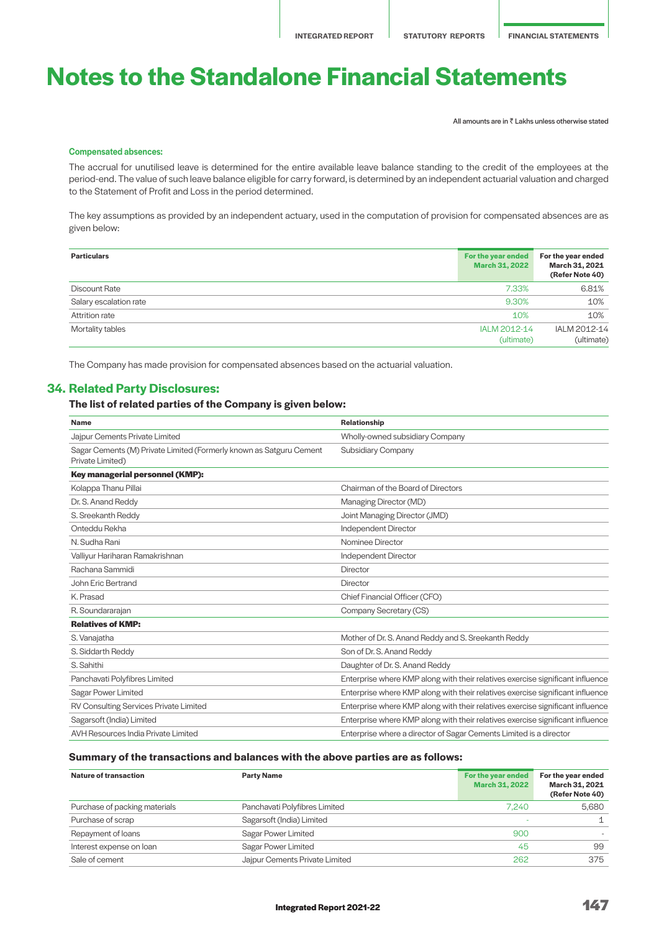All amounts are in  $\bar{\bar{\tau}}$  Lakhs unless otherwise stated

### Compensated absences:

 The accrual for unutilised leave is determined for the entire available leave balance standing to the credit of the employees at the period-end. The value of such leave balance eligible for carry forward, is determined by an independent actuarial valuation and charged to the Statement of Profit and Loss in the period determined.

 The key assumptions as provided by an independent actuary, used in the computation of provision for compensated absences are as given below:

| <b>Particulars</b>     | For the year ended<br><b>March 31, 2022</b> | For the year ended<br>March 31, 2021<br>(Refer Note 40) |
|------------------------|---------------------------------------------|---------------------------------------------------------|
| <b>Discount Rate</b>   | 7.33%                                       | 6.81%                                                   |
| Salary escalation rate | 9.30%                                       | 10%                                                     |
| Attrition rate         | 10%                                         | 10%                                                     |
| Mortality tables       | IALM 2012-14<br>(ultimate)                  | IALM 2012-14<br>(ultimate)                              |

The Company has made provision for compensated absences based on the actuarial valuation.

# **34. Related Party Disclosures:**

# **The list of related parties of the Company is given below:**

| <b>Name</b>                                                                             | <b>Relationship</b>                                                            |
|-----------------------------------------------------------------------------------------|--------------------------------------------------------------------------------|
| Jajpur Cements Private Limited                                                          | Wholly-owned subsidiary Company                                                |
| Sagar Cements (M) Private Limited (Formerly known as Satguru Cement<br>Private Limited) | <b>Subsidiary Company</b>                                                      |
| Key managerial personnel (KMP):                                                         |                                                                                |
| Kolappa Thanu Pillai                                                                    | Chairman of the Board of Directors                                             |
| Dr. S. Anand Reddy                                                                      | Managing Director (MD)                                                         |
| S. Sreekanth Reddy                                                                      | Joint Managing Director (JMD)                                                  |
| Onteddu Rekha                                                                           | Independent Director                                                           |
| N. Sudha Rani                                                                           | Nominee Director                                                               |
| Valliyur Hariharan Ramakrishnan                                                         | Independent Director                                                           |
| Rachana Sammidi                                                                         | <b>Director</b>                                                                |
| John Eric Bertrand                                                                      | Director                                                                       |
| K. Prasad                                                                               | Chief Financial Officer (CFO)                                                  |
| R. Soundararajan                                                                        | Company Secretary (CS)                                                         |
| <b>Relatives of KMP:</b>                                                                |                                                                                |
| S. Vanajatha                                                                            | Mother of Dr. S. Anand Reddy and S. Sreekanth Reddy                            |
| S. Siddarth Reddy                                                                       | Son of Dr. S. Anand Reddy                                                      |
| S. Sahithi                                                                              | Daughter of Dr. S. Anand Reddy                                                 |
| Panchavati Polyfibres Limited                                                           | Enterprise where KMP along with their relatives exercise significant influence |
| Sagar Power Limited                                                                     | Enterprise where KMP along with their relatives exercise significant influence |
| RV Consulting Services Private Limited                                                  | Enterprise where KMP along with their relatives exercise significant influence |
| Sagarsoft (India) Limited                                                               | Enterprise where KMP along with their relatives exercise significant influence |
| AVH Resources India Private Limited                                                     | Enterprise where a director of Sagar Cements Limited is a director             |

# **Summary of the transactions and balances with the above parties are as follows:**

| Nature of transaction         | <b>Party Name</b>              | For the year ended<br><b>March 31, 2022</b> | For the year ended<br>March 31, 2021<br>(Refer Note 40) |
|-------------------------------|--------------------------------|---------------------------------------------|---------------------------------------------------------|
| Purchase of packing materials | Panchavati Polyfibres Limited  | 7.240                                       | 5.680                                                   |
| Purchase of scrap             | Sagarsoft (India) Limited      |                                             |                                                         |
| Repayment of loans            | Sagar Power Limited            | 900                                         |                                                         |
| Interest expense on loan      | Sagar Power Limited            | 45                                          | 99                                                      |
| Sale of cement                | Jajpur Cements Private Limited | 262                                         | 375                                                     |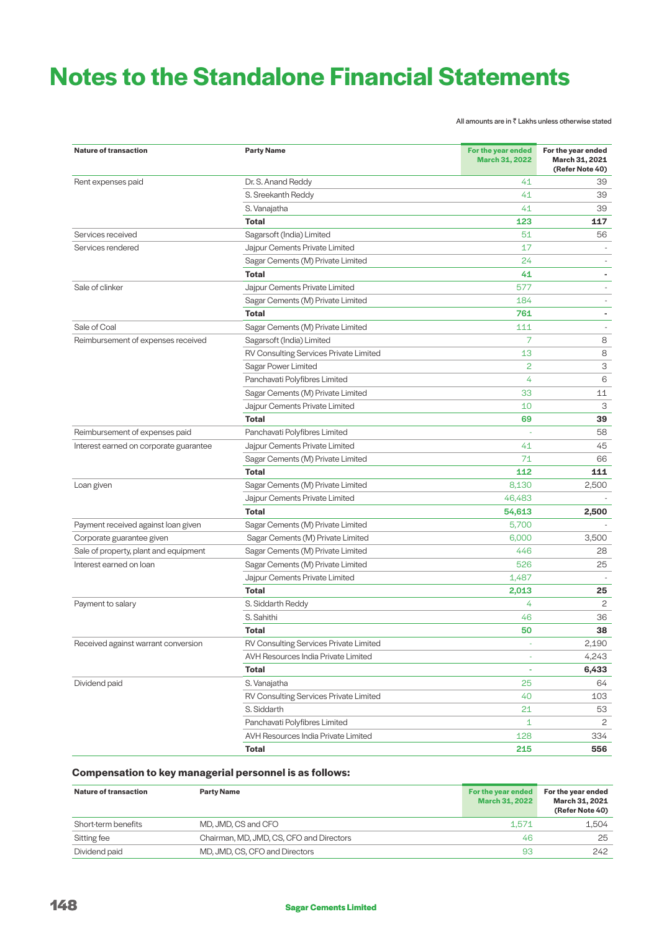All amounts are in  $\bar{\bar{\tau}}$  Lakhs unless otherwise stated

| <b>Nature of transaction</b>           | <b>Party Name</b>                      | For the year ended<br><b>March 31, 2022</b> | For the year ended<br>March 31, 2021<br>(Refer Note 40) |
|----------------------------------------|----------------------------------------|---------------------------------------------|---------------------------------------------------------|
| Rent expenses paid                     | Dr. S. Anand Reddy                     | 41                                          | 39                                                      |
|                                        | S. Sreekanth Reddy                     | 41                                          | 39                                                      |
|                                        | S. Vanajatha                           | 41                                          | 39                                                      |
|                                        | <b>Total</b>                           | 123                                         | 117                                                     |
| Services received                      | Sagarsoft (India) Limited              | 51                                          | 56                                                      |
| Services rendered                      | Jajpur Cements Private Limited         | 17                                          |                                                         |
|                                        | Sagar Cements (M) Private Limited      | 24                                          | $\overline{\phantom{0}}$                                |
|                                        | <b>Total</b>                           | 41                                          | $\blacksquare$                                          |
| Sale of clinker                        | Jajpur Cements Private Limited         | 577                                         | $\frac{1}{2}$                                           |
|                                        | Sagar Cements (M) Private Limited      | 184                                         | $\overline{\phantom{0}}$                                |
|                                        | <b>Total</b>                           | 761                                         | $\overline{\phantom{a}}$                                |
| Sale of Coal                           | Sagar Cements (M) Private Limited      | 111                                         | $\overline{\phantom{a}}$                                |
| Reimbursement of expenses received     | Sagarsoft (India) Limited              | 7                                           | 8                                                       |
|                                        | RV Consulting Services Private Limited | 13                                          | 8                                                       |
|                                        | Sagar Power Limited                    | 2                                           | З                                                       |
|                                        | Panchavati Polyfibres Limited          | 4                                           | 6                                                       |
|                                        | Sagar Cements (M) Private Limited      | 33                                          | 11                                                      |
|                                        | Jajpur Cements Private Limited         | 10                                          | 3                                                       |
|                                        | <b>Total</b>                           | 69                                          | 39                                                      |
| Reimbursement of expenses paid         | Panchavati Polyfibres Limited          | ÷,                                          | 58                                                      |
| Interest earned on corporate guarantee | Jajpur Cements Private Limited         | 41                                          | 45                                                      |
|                                        | Sagar Cements (M) Private Limited      | 71                                          | 66                                                      |
|                                        | <b>Total</b>                           | 112                                         | 111                                                     |
| Loan given                             | Sagar Cements (M) Private Limited      | 8,130                                       | 2,500                                                   |
|                                        | Jajpur Cements Private Limited         | 46,483                                      |                                                         |
|                                        | <b>Total</b>                           | 54,613                                      | 2,500                                                   |
| Payment received against loan given    | Sagar Cements (M) Private Limited      | 5,700                                       |                                                         |
| Corporate guarantee given              | Sagar Cements (M) Private Limited      | 6,000                                       | 3,500                                                   |
| Sale of property, plant and equipment  | Sagar Cements (M) Private Limited      | 446                                         | 28                                                      |
| Interest earned on loan                | Sagar Cements (M) Private Limited      | 526                                         | 25                                                      |
|                                        | Jajpur Cements Private Limited         | 1,487                                       |                                                         |
|                                        | <b>Total</b>                           | 2,013                                       | 25                                                      |
| Payment to salary                      | S. Siddarth Reddy                      | 4                                           | 2                                                       |
|                                        | S. Sahithi                             | 46                                          | 36                                                      |
|                                        | <b>Total</b>                           | 50                                          | 38                                                      |
| Received against warrant conversion    | RV Consulting Services Private Limited | ÷,                                          | 2,190                                                   |
|                                        | AVH Resources India Private Limited    |                                             | 4,243                                                   |
|                                        | <b>Total</b>                           | ä                                           | 6,433                                                   |
| Dividend paid                          | S. Vanajatha                           | 25                                          | 64                                                      |
|                                        | RV Consulting Services Private Limited | 40                                          | 103                                                     |
|                                        | S. Siddarth                            | 21                                          | 53                                                      |
|                                        | Panchavati Polyfibres Limited          | $\mathbf{1}$                                | 2                                                       |
|                                        | AVH Resources India Private Limited    | 128                                         | 334                                                     |
|                                        | Total                                  | 215                                         | 556                                                     |

# **Compensation to key managerial personnel is as follows:**

| Nature of transaction | <b>Party Name</b>                        | For the year ended<br><b>March 31, 2022</b> | For the year ended<br>March 31, 2021<br>(Refer Note 40) |
|-----------------------|------------------------------------------|---------------------------------------------|---------------------------------------------------------|
| Short-term benefits   | MD, JMD, CS and CFO                      | 1.571                                       | 1.504                                                   |
| Sitting fee           | Chairman, MD, JMD, CS, CFO and Directors | 46                                          | 25                                                      |
| Dividend paid         | MD, JMD, CS, CFO and Directors           | 93                                          | 242                                                     |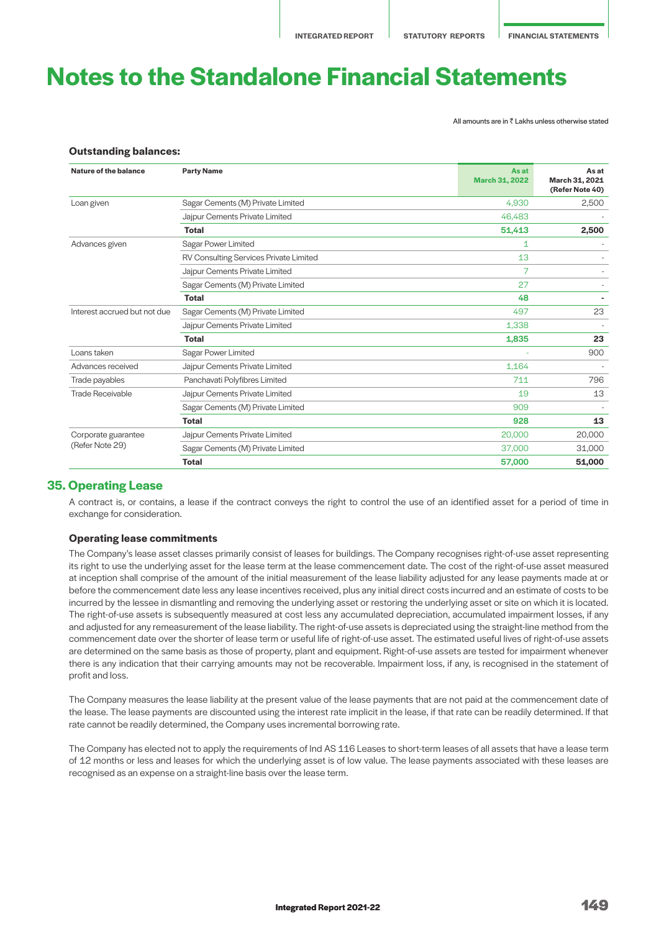All amounts are in  $\bar{z}$  Lakhs unless otherwise stated

### **Outstanding balances:**

| Sagar Cements (M) Private Limited<br>4.930<br>Loan given<br>Jajpur Cements Private Limited<br>46,483<br><b>Total</b><br>51,413<br>Sagar Power Limited<br>Advances given<br>1<br>RV Consulting Services Private Limited<br>13<br>7<br>Jajpur Cements Private Limited<br>27<br>Sagar Cements (M) Private Limited<br>48<br><b>Total</b><br>Interest accrued but not due<br>Sagar Cements (M) Private Limited<br>497<br>1,338<br>Jajpur Cements Private Limited<br><b>Total</b><br>1,835<br>Loans taken<br>Sagar Power Limited<br>Jajpur Cements Private Limited<br>1,164<br>Advances received<br>Panchavati Polyfibres Limited<br>711<br>Trade payables<br>Trade Receivable<br>19<br>Jajpur Cements Private Limited<br>Sagar Cements (M) Private Limited<br>909<br><b>Total</b><br>928<br>Jajpur Cements Private Limited<br>20,000<br>Corporate guarantee<br>(Refer Note 29)<br>Sagar Cements (M) Private Limited<br>37,000 | Nature of the balance | <b>Party Name</b> | <b>As at</b><br><b>March 31, 2022</b> | As at<br>March 31, 2021<br>(Refer Note 40) |
|--------------------------------------------------------------------------------------------------------------------------------------------------------------------------------------------------------------------------------------------------------------------------------------------------------------------------------------------------------------------------------------------------------------------------------------------------------------------------------------------------------------------------------------------------------------------------------------------------------------------------------------------------------------------------------------------------------------------------------------------------------------------------------------------------------------------------------------------------------------------------------------------------------------------------|-----------------------|-------------------|---------------------------------------|--------------------------------------------|
|                                                                                                                                                                                                                                                                                                                                                                                                                                                                                                                                                                                                                                                                                                                                                                                                                                                                                                                          |                       |                   |                                       | 2,500                                      |
|                                                                                                                                                                                                                                                                                                                                                                                                                                                                                                                                                                                                                                                                                                                                                                                                                                                                                                                          |                       |                   |                                       |                                            |
|                                                                                                                                                                                                                                                                                                                                                                                                                                                                                                                                                                                                                                                                                                                                                                                                                                                                                                                          |                       |                   |                                       | 2,500                                      |
|                                                                                                                                                                                                                                                                                                                                                                                                                                                                                                                                                                                                                                                                                                                                                                                                                                                                                                                          |                       |                   |                                       |                                            |
|                                                                                                                                                                                                                                                                                                                                                                                                                                                                                                                                                                                                                                                                                                                                                                                                                                                                                                                          |                       |                   |                                       |                                            |
|                                                                                                                                                                                                                                                                                                                                                                                                                                                                                                                                                                                                                                                                                                                                                                                                                                                                                                                          |                       |                   |                                       |                                            |
|                                                                                                                                                                                                                                                                                                                                                                                                                                                                                                                                                                                                                                                                                                                                                                                                                                                                                                                          |                       |                   |                                       |                                            |
|                                                                                                                                                                                                                                                                                                                                                                                                                                                                                                                                                                                                                                                                                                                                                                                                                                                                                                                          |                       |                   |                                       |                                            |
|                                                                                                                                                                                                                                                                                                                                                                                                                                                                                                                                                                                                                                                                                                                                                                                                                                                                                                                          |                       |                   |                                       | 23                                         |
|                                                                                                                                                                                                                                                                                                                                                                                                                                                                                                                                                                                                                                                                                                                                                                                                                                                                                                                          |                       |                   |                                       |                                            |
|                                                                                                                                                                                                                                                                                                                                                                                                                                                                                                                                                                                                                                                                                                                                                                                                                                                                                                                          |                       |                   |                                       | 23                                         |
|                                                                                                                                                                                                                                                                                                                                                                                                                                                                                                                                                                                                                                                                                                                                                                                                                                                                                                                          |                       |                   |                                       | 900                                        |
|                                                                                                                                                                                                                                                                                                                                                                                                                                                                                                                                                                                                                                                                                                                                                                                                                                                                                                                          |                       |                   |                                       |                                            |
|                                                                                                                                                                                                                                                                                                                                                                                                                                                                                                                                                                                                                                                                                                                                                                                                                                                                                                                          |                       |                   |                                       | 796                                        |
|                                                                                                                                                                                                                                                                                                                                                                                                                                                                                                                                                                                                                                                                                                                                                                                                                                                                                                                          |                       |                   |                                       | 13                                         |
|                                                                                                                                                                                                                                                                                                                                                                                                                                                                                                                                                                                                                                                                                                                                                                                                                                                                                                                          |                       |                   |                                       |                                            |
|                                                                                                                                                                                                                                                                                                                                                                                                                                                                                                                                                                                                                                                                                                                                                                                                                                                                                                                          |                       |                   |                                       | 13                                         |
|                                                                                                                                                                                                                                                                                                                                                                                                                                                                                                                                                                                                                                                                                                                                                                                                                                                                                                                          |                       |                   |                                       | 20,000                                     |
|                                                                                                                                                                                                                                                                                                                                                                                                                                                                                                                                                                                                                                                                                                                                                                                                                                                                                                                          |                       |                   |                                       | 31,000                                     |
| <b>Total</b><br>57,000                                                                                                                                                                                                                                                                                                                                                                                                                                                                                                                                                                                                                                                                                                                                                                                                                                                                                                   |                       |                   |                                       | 51,000                                     |

# **35. Operating Lease**

 A contract is, or contains, a lease if the contract conveys the right to control the use of an identified asset for a period of time in exchange for consideration.

### **Operating lease commitments**

 The Company's lease asset classes primarily consist of leases for buildings. The Company recognises right-of-use asset representing its right to use the underlying asset for the lease term at the lease commencement date. The cost of the right-of-use asset measured at inception shall comprise of the amount of the initial measurement of the lease liability adjusted for any lease payments made at or before the commencement date less any lease incentives received, plus any initial direct costs incurred and an estimate of costs to be incurred by the lessee in dismantling and removing the underlying asset or restoring the underlying asset or site on which it is located. The right-of-use assets is subsequently measured at cost less any accumulated depreciation, accumulated impairment losses, if any and adjusted for any remeasurement of the lease liability. The right-of-use assets is depreciated using the straight-line method from the commencement date over the shorter of lease term or useful life of right-of-use asset. The estimated useful lives of right-of-use assets are determined on the same basis as those of property, plant and equipment. Right-of-use assets are tested for impairment whenever there is any indication that their carrying amounts may not be recoverable. Impairment loss, if any, is recognised in the statement of profit and loss.

 The Company measures the lease liability at the present value of the lease payments that are not paid at the commencement date of the lease. The lease payments are discounted using the interest rate implicit in the lease, if that rate can be readily determined. If that rate cannot be readily determined, the Company uses incremental borrowing rate.

 The Company has elected not to apply the requirements of Ind AS 116 Leases to short-term leases of all assets that have a lease term of 12 months or less and leases for which the underlying asset is of low value. The lease payments associated with these leases are recognised as an expense on a straight-line basis over the lease term.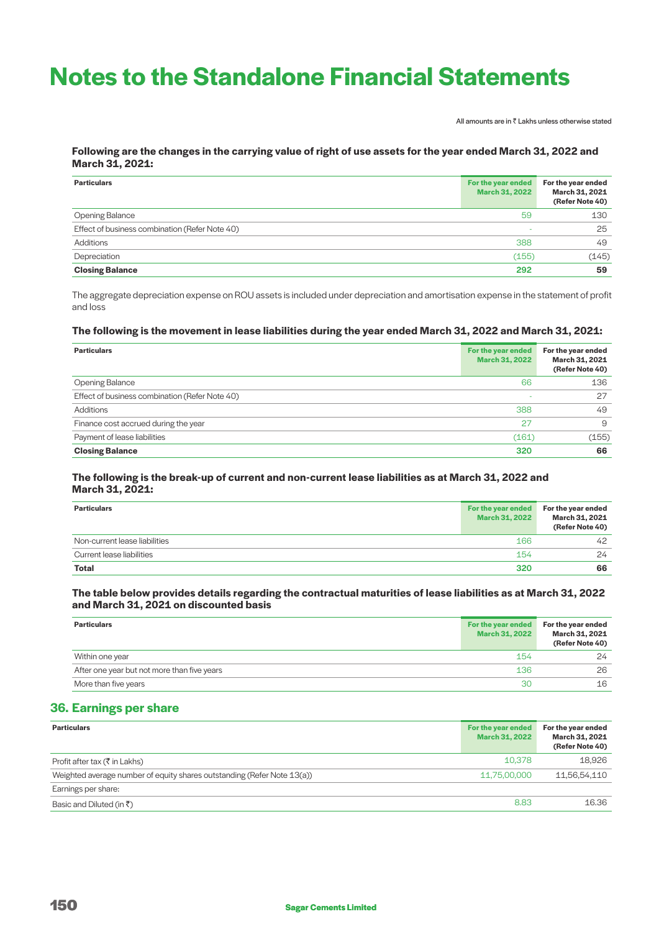All amounts are in  $\bar{\bar{\tau}}$  Lakhs unless otherwise stated

# **Following are the changes in the carrying value of right of use assets for the year ended March 31, 2022 and March 31, 2021:**

| <b>Particulars</b>                             | For the year ended<br><b>March 31, 2022</b> | For the year ended<br>March 31, 2021<br>(Refer Note 40) |
|------------------------------------------------|---------------------------------------------|---------------------------------------------------------|
| Opening Balance                                | 59                                          | 130                                                     |
| Effect of business combination (Refer Note 40) | -                                           | 25                                                      |
| Additions                                      | 388                                         | 49                                                      |
| Depreciation                                   | (155)                                       | (145)                                                   |
| <b>Closing Balance</b>                         | 292                                         | 59                                                      |

The aggregate depreciation expense on ROU assets is included under depreciation and amortisation expense in the statement of profit and loss

### **The following is the movement in lease liabilities during the year ended March 31, 2022 and March 31, 2021:**

| <b>Particulars</b>                             | For the year ended<br><b>March 31, 2022</b> | For the year ended<br>March 31, 2021<br>(Refer Note 40) |
|------------------------------------------------|---------------------------------------------|---------------------------------------------------------|
| Opening Balance                                | 66                                          | 136                                                     |
| Effect of business combination (Refer Note 40) |                                             | 27                                                      |
| Additions                                      | 388                                         | 49                                                      |
| Finance cost accrued during the year           | 27                                          | 9                                                       |
| Payment of lease liabilities                   | (161)                                       | (155)                                                   |
| <b>Closing Balance</b>                         | 320                                         | 66                                                      |

# **The following is the break-up of current and non-current lease liabilities as at March 31, 2022 and March 31, 2021:**

| <b>Particulars</b>            | For the year ended<br><b>March 31, 2022</b> | For the year ended<br>March 31, 2021<br>(Refer Note 40) |
|-------------------------------|---------------------------------------------|---------------------------------------------------------|
| Non-current lease liabilities | 166                                         | 42                                                      |
| Current lease liabilities     | 154                                         | 24                                                      |
| <b>Total</b>                  | 320                                         | 66                                                      |

# **The table below provides details regarding the contractual maturities of lease liabilities as at March 31, 2022 and March 31, 2021 on discounted basis**

| <b>Particulars</b>                          | For the year ended<br><b>March 31, 2022</b> | For the year ended<br>March 31, 2021<br>(Refer Note 40) |
|---------------------------------------------|---------------------------------------------|---------------------------------------------------------|
| Within one year                             | 154                                         | 24                                                      |
| After one year but not more than five years | 136                                         | 26                                                      |
| More than five years                        | 30                                          | 16                                                      |

# **36. Earnings per share**

| <b>Particulars</b>                                                      | For the year ended<br><b>March 31, 2022</b> | For the year ended<br>March 31, 2021<br>(Refer Note 40) |
|-------------------------------------------------------------------------|---------------------------------------------|---------------------------------------------------------|
| Profit after tax ( $\bar{\tau}$ in Lakhs)                               | 10.378                                      | 18.926                                                  |
| Weighted average number of equity shares outstanding (Refer Note 13(a)) | 11,75,00,000                                | 11,56,54,110                                            |
| Earnings per share:                                                     |                                             |                                                         |
| Basic and Diluted (in $\bar{z}$ )                                       | 8.83                                        | 16.36                                                   |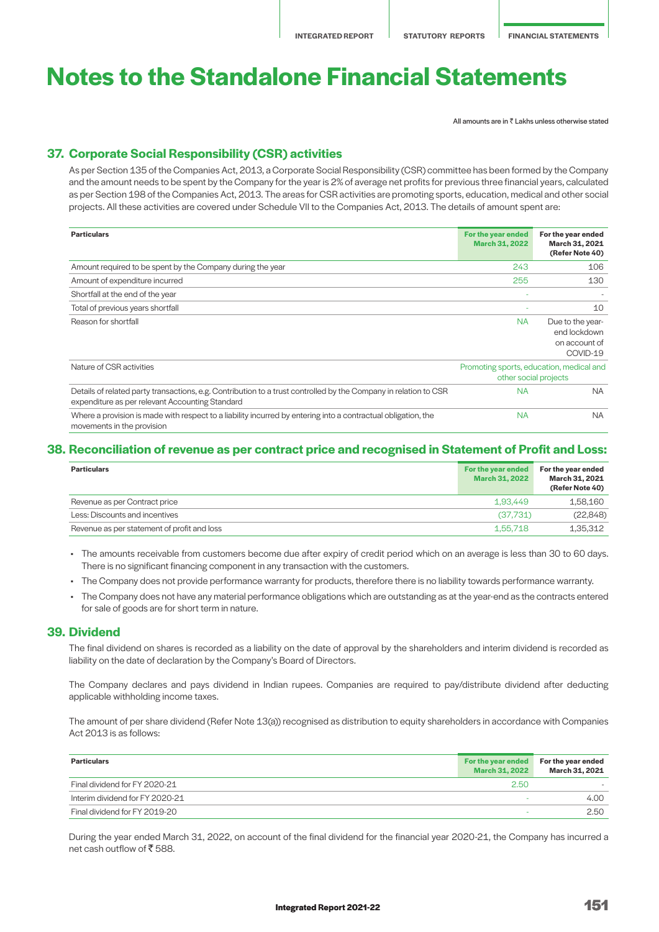All amounts are in  $\bar{z}$  Lakhs unless otherwise stated

# **37. Corporate Social Responsibility (CSR) activities**

 As per Section 135 of the Companies Act, 2013, a Corporate Social Responsibility (CSR) committee has been formed by the Company and the amount needs to be spent by the Company for the year is 2% of average net profits for previous three financial years, calculated as per Section 198 of the Companies Act, 2013. The areas for CSR activities are promoting sports, education, medical and other social projects. All these activities are covered under Schedule VII to the Companies Act, 2013. The details of amount spent are:

| <b>Particulars</b>                                                                                                                                                  | For the year ended<br><b>March 31, 2022</b> | For the year ended<br>March 31, 2021<br>(Refer Note 40)           |
|---------------------------------------------------------------------------------------------------------------------------------------------------------------------|---------------------------------------------|-------------------------------------------------------------------|
| Amount required to be spent by the Company during the year                                                                                                          | 243                                         | 106                                                               |
| Amount of expenditure incurred                                                                                                                                      | 255                                         | 130                                                               |
| Shortfall at the end of the year                                                                                                                                    |                                             |                                                                   |
| Total of previous years shortfall                                                                                                                                   |                                             | 10                                                                |
| Reason for shortfall                                                                                                                                                | <b>NA</b>                                   | Due to the year-<br>end lockdown<br>on account of<br>COVID-19     |
| Nature of CSR activities                                                                                                                                            |                                             | Promoting sports, education, medical and<br>other social projects |
| Details of related party transactions, e.g. Contribution to a trust controlled by the Company in relation to CSR<br>expenditure as per relevant Accounting Standard | <b>NA</b>                                   | <b>NA</b>                                                         |
| Where a provision is made with respect to a liability incurred by entering into a contractual obligation, the<br>movements in the provision                         | <b>NA</b>                                   | <b>NA</b>                                                         |

# **38. Reconciliation of revenue as per contract price and recognised in Statement of Profit and Loss:**

| <b>Particulars</b>                          | For the year ended<br><b>March 31, 2022</b> | For the year ended<br>March 31, 2021<br>(Refer Note 40) |
|---------------------------------------------|---------------------------------------------|---------------------------------------------------------|
| Revenue as per Contract price               | 1.93.449                                    | 1.58.160                                                |
| Less: Discounts and incentives              | (37,731)                                    | (22,848)                                                |
| Revenue as per statement of profit and loss | 1.55.718                                    | 1.35.312                                                |

• The amounts receivable from customers become due after expiry of credit period which on an average is less than 30 to 60 days. There is no significant financing component in any transaction with the customers.

- The Company does not provide performance warranty for products, therefore there is no liability towards performance warranty.
- The Company does not have any material performance obligations which are outstanding as at the year-end as the contracts entered for sale of goods are for short term in nature.

# **39. Dividend**

The final dividend on shares is recorded as a liability on the date of approval by the shareholders and interim dividend is recorded as liability on the date of declaration by the Company's Board of Directors.

The Company declares and pays dividend in Indian rupees. Companies are required to pay/distribute dividend after deducting applicable withholding income taxes.

The amount of per share dividend (Refer Note 13(a)) recognised as distribution to equity shareholders in accordance with Companies Act 2013 is as follows:

| <b>Particulars</b>              | March 31, 2022 | For the year ended For the year ended<br>March 31, 2021 |
|---------------------------------|----------------|---------------------------------------------------------|
| Final dividend for FY 2020-21   | 2.50           |                                                         |
| Interim dividend for FY 2020-21 |                | 4.00                                                    |
| Final dividend for FY 2019-20   |                | 2.50                                                    |

During the year ended March 31, 2022, on account of the final dividend for the financial year 2020-21, the Company has incurred a net cash outflow of  $\bar{z}$  588.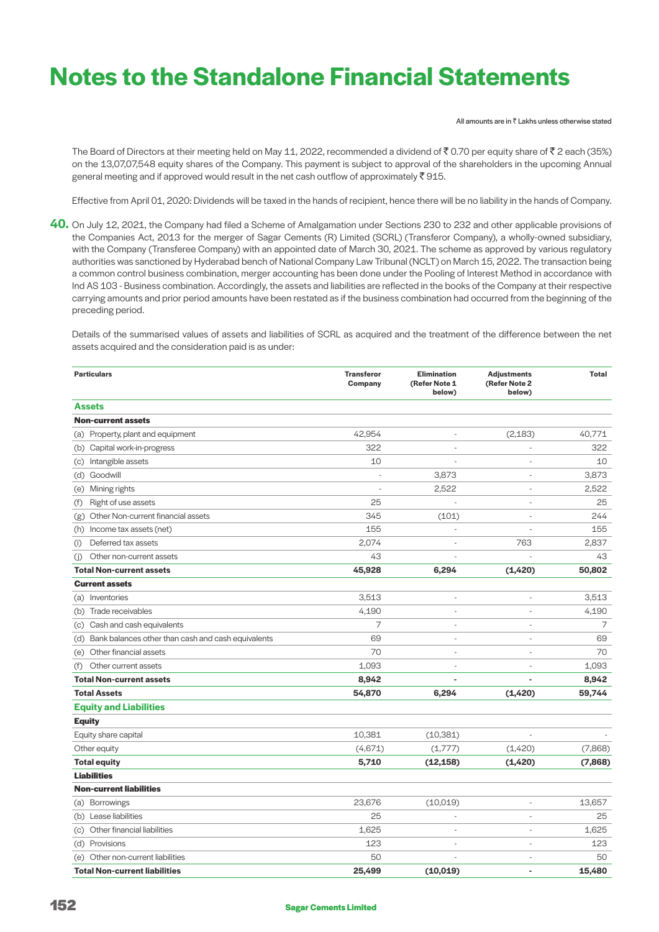All amounts are in  $\bar{\bar{\xi}}$  Lakhs unless otherwise stated

The Board of Directors at their meeting held on May 11, 2022, recommended a dividend of  $\bar{X}$  0.70 per equity share of  $\bar{X}$  2 each (35%) on the 13,07,07,548 equity shares of the Company. This payment is subject to approval of the shareholders in the upcoming Annual general meeting and if approved would result in the net cash outflow of approximately  $\bar{\tau}$  915.

Effective from April 01, 2020: Dividends will be taxed in the hands of recipient, hence there will be no liability in the hands of Company.

**40.** On July 12, 2021, the Company had filed a Scheme of Amalgamation under Sections 230 to 232 and other applicable provisions of the Companies Act, 2013 for the merger of Sagar Cements (R) Limited (SCRL) (Transferor Company), a wholly-owned subsidiary, with the Company (Transferee Company) with an appointed date of March 30, 2021. The scheme as approved by various regulatory authorities was sanctioned by Hyderabad bench of National Company Law Tribunal (NCLT) on March 15, 2022. The transaction being a common control business combination, merger accounting has been done under the Pooling of Interest Method in accordance with Ind AS 103 - Business combination. Accordingly, the assets and liabilities are reflected in the books of the Company at their respective carrying amounts and prior period amounts have been restated as if the business combination had occurred from the beginning of the preceding period.

 Details of the summarised values of assets and liabilities of SCRL as acquired and the treatment of the difference between the net assets acquired and the consideration paid is as under:

| <b>Particulars</b>                                     | <b>Transferor</b><br>Company | <b>Elimination</b><br>(Refer Note 1<br>below) | <b>Adjustments</b><br>(Refer Note 2<br>below) | <b>Total</b> |
|--------------------------------------------------------|------------------------------|-----------------------------------------------|-----------------------------------------------|--------------|
| <b>Assets</b>                                          |                              |                                               |                                               |              |
| <b>Non-current assets</b>                              |                              |                                               |                                               |              |
| (a) Property, plant and equipment                      | 42,954                       |                                               | (2, 183)                                      | 40,771       |
| (b) Capital work-in-progress                           | 322                          | ÷,                                            |                                               | 322          |
| (c) Intangible assets                                  | 10                           |                                               | $\overline{\phantom{a}}$                      | 10           |
| (d) Goodwill                                           |                              | 3,873                                         | $\overline{\phantom{a}}$                      | 3,873        |
| (e) Mining rights                                      |                              | 2,522                                         | ÷,                                            | 2,522        |
| Right of use assets<br>(f)                             | 25                           |                                               | L,                                            | 25           |
| Other Non-current financial assets<br>(g)              | 345                          | (101)                                         | L,                                            | 244          |
| (h) Income tax assets (net)                            | 155                          |                                               |                                               | 155          |
| Deferred tax assets<br>(i)                             | 2,074                        | ÷.                                            | 763                                           | 2,837        |
| Other non-current assets<br>(i)                        | 43                           |                                               |                                               | 43           |
| <b>Total Non-current assets</b>                        | 45,928                       | 6,294                                         | (1, 420)                                      | 50,802       |
| <b>Current assets</b>                                  |                              |                                               |                                               |              |
| (a) Inventories                                        | 3,513                        | $\overline{a}$                                |                                               | 3,513        |
| (b) Trade receivables                                  | 4,190                        | $\overline{a}$                                |                                               | 4,190        |
| (c) Cash and cash equivalents                          | 7                            | $\overline{a}$                                | ÷,                                            | 7            |
| (d) Bank balances other than cash and cash equivalents | 69                           | $\overline{a}$                                | ÷,                                            | 69           |
| (e) Other financial assets                             | 70                           | ÷,                                            | ÷,                                            | 70           |
| Other current assets<br>(f)                            | 1,093                        | $\overline{a}$                                |                                               | 1,093        |
| <b>Total Non-current assets</b>                        | 8,942                        |                                               |                                               | 8,942        |
| <b>Total Assets</b>                                    | 54,870                       | 6,294                                         | (1,420)                                       | 59,744       |
| <b>Equity and Liabilities</b>                          |                              |                                               |                                               |              |
| <b>Equity</b>                                          |                              |                                               |                                               |              |
| Equity share capital                                   | 10,381                       | (10, 381)                                     |                                               |              |
| Other equity                                           | (4,671)                      | (1,777)                                       | (1,420)                                       | (7,868)      |
| <b>Total equity</b>                                    | 5,710                        | (12, 158)                                     | (1, 420)                                      | (7,868)      |
| <b>Liabilities</b>                                     |                              |                                               |                                               |              |
| <b>Non-current liabilities</b>                         |                              |                                               |                                               |              |
| (a) Borrowings                                         | 23,676                       | (10,019)                                      |                                               | 13,657       |
| (b) Lease liabilities                                  | 25                           | $\overline{a}$                                | L,                                            | 25           |
| (c) Other financial liabilities                        | 1,625                        | $\overline{a}$                                | $\overline{\phantom{a}}$                      | 1,625        |
| (d) Provisions                                         | 123                          | $\overline{a}$                                | $\overline{\phantom{a}}$                      | 123          |
| (e) Other non-current liabilities                      | 50                           |                                               | $\overline{a}$                                | 50           |
| <b>Total Non-current liabilities</b>                   | 25,499                       | (10, 019)                                     | ä,                                            | 15,480       |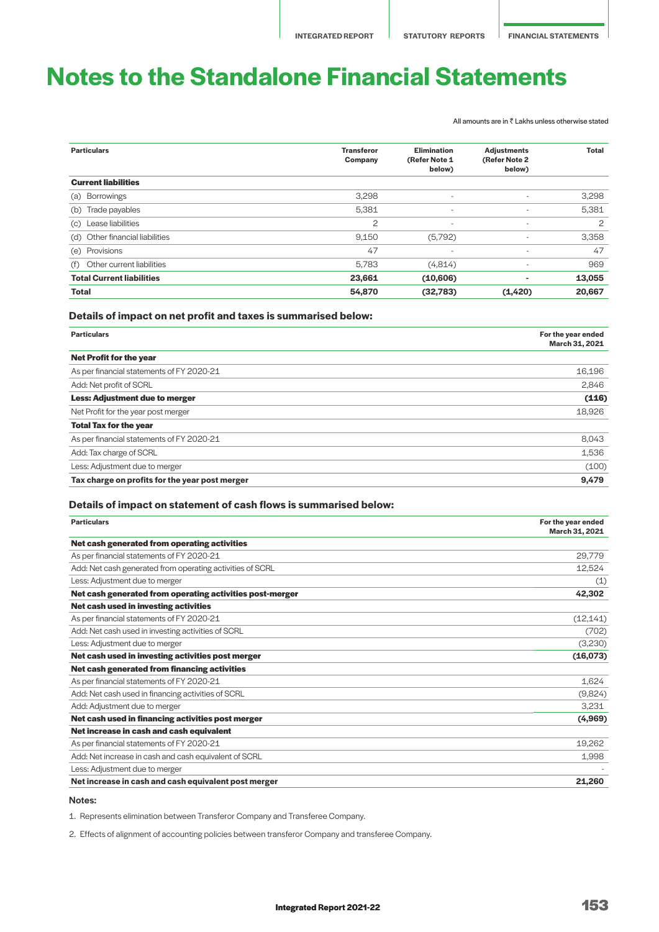All amounts are in  $\bar{\bar{\tau}}$  Lakhs unless otherwise stated

| <b>Particulars</b>               | <b>Transferor</b><br>Company | <b>Elimination</b><br>(Refer Note 1<br>below) | <b>Adjustments</b><br>(Refer Note 2<br>below) | <b>Total</b>   |
|----------------------------------|------------------------------|-----------------------------------------------|-----------------------------------------------|----------------|
| <b>Current liabilities</b>       |                              |                                               |                                               |                |
| <b>Borrowings</b><br>(a)         | 3,298                        | $\overline{\phantom{a}}$                      | $\overline{\phantom{a}}$                      | 3,298          |
| Trade payables<br>(b)            | 5,381                        | $\overline{\phantom{a}}$                      | $\overline{\phantom{a}}$                      | 5,381          |
| Lease liabilities<br>(c)         | 2                            | $\overline{\phantom{a}}$                      | $\overline{\phantom{a}}$                      | $\overline{c}$ |
| (d) Other financial liabilities  | 9,150                        | (5,792)                                       | $\overline{\phantom{a}}$                      | 3,358          |
| (e) Provisions                   | 47                           | $\overline{\phantom{a}}$                      | $\overline{\phantom{a}}$                      | 47             |
| Other current liabilities<br>(f) | 5,783                        | (4,814)                                       | $\overline{\phantom{a}}$                      | 969            |
| <b>Total Current liabilities</b> | 23,661                       | (10,606)                                      | $\overline{a}$                                | 13,055         |
| <b>Total</b>                     | 54,870                       | (32,783)                                      | (1, 420)                                      | 20,667         |

## **Details of impact on net profit and taxes is summarised below:**

| <b>Particulars</b>                             | For the year ended<br>March 31, 2021 |
|------------------------------------------------|--------------------------------------|
| <b>Net Profit for the year</b>                 |                                      |
| As per financial statements of FY 2020-21      | 16,196                               |
| Add: Net profit of SCRL                        | 2,846                                |
| <b>Less: Adjustment due to merger</b>          | (116)                                |
| Net Profit for the year post merger            | 18,926                               |
| <b>Total Tax for the year</b>                  |                                      |
| As per financial statements of FY 2020-21      | 8.043                                |
| Add: Tax charge of SCRL                        | 1,536                                |
| Less: Adjustment due to merger                 | (100)                                |
| Tax charge on profits for the year post merger | 9,479                                |

# **Details of impact on statement of cash flows is summarised below:**

| <b>Particulars</b>                                        | For the year ended<br>March 31, 2021 |
|-----------------------------------------------------------|--------------------------------------|
| Net cash generated from operating activities              |                                      |
| As per financial statements of FY 2020-21                 | 29,779                               |
| Add: Net cash generated from operating activities of SCRL | 12,524                               |
| Less: Adjustment due to merger                            | (1)                                  |
| Net cash generated from operating activities post-merger  | 42,302                               |
| Net cash used in investing activities                     |                                      |
| As per financial statements of FY 2020-21                 | (12, 141)                            |
| Add: Net cash used in investing activities of SCRL        | (702)                                |
| Less: Adjustment due to merger                            | (3,230)                              |
| Net cash used in investing activities post merger         | (16,073)                             |
| Net cash generated from financing activities              |                                      |
| As per financial statements of FY 2020-21                 | 1,624                                |
| Add: Net cash used in financing activities of SCRL        | (9,824)                              |
| Add: Adjustment due to merger                             | 3,231                                |
| Net cash used in financing activities post merger         | (4,969)                              |
| Net increase in cash and cash equivalent                  |                                      |
| As per financial statements of FY 2020-21                 | 19,262                               |
| Add: Net increase in cash and cash equivalent of SCRL     | 1,998                                |
| Less: Adjustment due to merger                            |                                      |
| Net increase in cash and cash equivalent post merger      | 21,260                               |

#### Notes:

1. Represents elimination between Transferor Company and Transferee Company.

2. Effects of alignment of accounting policies between transferor Company and transferee Company.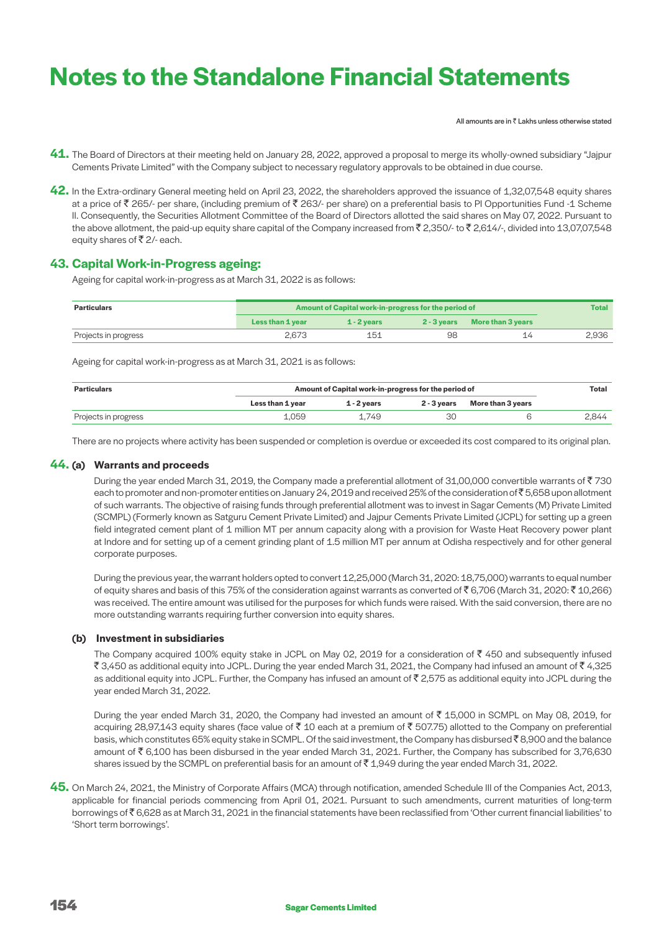All amounts are in  $\bar{z}$  Lakhs unless otherwise stated

- **41.** The Board of Directors at their meeting held on January 28, 2022, approved a proposal to merge its wholly-owned subsidiary "Jajpur Cements Private Limited" with the Company subject to necessary regulatory approvals to be obtained in due course.
- **42.** In the Extra-ordinary General meeting held on April 23, 2022, the shareholders approved the issuance of 1,32,07,548 equity shares at a price of  $\bar{\tau}$  265/- per share, (including premium of  $\bar{\tau}$  263/- per share) on a preferential basis to PI Opportunities Fund -1 Scheme II. Consequently, the Securities Allotment Committee of the Board of Directors allotted the said shares on May 07, 2022. Pursuant to the above allotment, the paid-up equity share capital of the Company increased from  $\bar{\zeta}$  2,350/- to  $\bar{\zeta}$  2,614/-, divided into 13,07,07,548 equity shares of  $\bar{z}$  2/- each.

# **43. Capital Work-in-Progress ageing:**

Ageing for capital work-in-progress as at March 31, 2022 is as follows:

| <b>Particulars</b>   | Amount of Capital work-in-progress for the period of | <b>Total</b>  |    |                               |       |
|----------------------|------------------------------------------------------|---------------|----|-------------------------------|-------|
|                      | Less than 1 year                                     | $1 - 2$ vears |    | 2 - 3 years More than 3 years |       |
| Projects in progress | 2.673                                                | 151           | 98 |                               | 2.936 |

Ageing for capital work-in-progress as at March 31, 2021 is as follows:

| <b>Particulars</b>   | Amount of Capital work-in-progress for the period of | Total       |    |                               |       |
|----------------------|------------------------------------------------------|-------------|----|-------------------------------|-------|
|                      | Less than 1 year                                     | 1 - 2 vears |    | 2 - 3 years More than 3 years |       |
| Projects in progress | 1.059                                                | 1.749       | ЗС |                               | 2.844 |

There are no projects where activity has been suspended or completion is overdue or exceeded its cost compared to its original plan.

# **44. (a) Warrants and proceeds**

During the year ended March 31, 2019, the Company made a preferential allotment of 31,00,000 convertible warrants of  $\bar{z}$  730 each to promoter and non-promoter entities on January 24, 2019 and received 25% of the consideration of  $\bar{\xi}$  5,658 upon allotment of such warrants. The objective of raising funds through preferential allotment was to invest in Sagar Cements (M) Private Limited (SCMPL) (Formerly known as Satguru Cement Private Limited) and Jajpur Cements Private Limited (JCPL) for setting up a green field integrated cement plant of 1 million MT per annum capacity along with a provision for Waste Heat Recovery power plant at Indore and for setting up of a cement grinding plant of 1.5 million MT per annum at Odisha respectively and for other general corporate purposes.

 During the previous year, the warrant holders opted to convert 12,25,000 (March 31, 2020: 18,75,000) warrants to equal number of equity shares and basis of this 75% of the consideration against warrants as converted of  $\bar{\xi}$  6,706 (March 31, 2020:  $\bar{\xi}$  10,266) was received. The entire amount was utilised for the purposes for which funds were raised. With the said conversion, there are no more outstanding warrants requiring further conversion into equity shares.

# **(b) Investment in subsidiaries**

The Company acquired 100% equity stake in JCPL on May 02, 2019 for a consideration of  $\bar{z}$  450 and subsequently infused ₹3,450 as additional equity into JCPL. During the year ended March 31, 2021, the Company had infused an amount of ₹4,325 as additional equity into JCPL. Further, the Company has infused an amount of  $\bar{\tau}$  2,575 as additional equity into JCPL during the year ended March 31, 2022.

During the year ended March 31, 2020, the Company had invested an amount of  $\bar{\tau}$  15,000 in SCMPL on May 08, 2019, for acquiring 28,97,143 equity shares (face value of  $\bar{z}$  10 each at a premium of  $\bar{z}$  507.75) allotted to the Company on preferential basis, which constitutes 65% equity stake in SCMPL. Of the said investment, the Company has disbursed  $\bar{z}$  8,900 and the balance amount of  $\bar{\tau}$  6,100 has been disbursed in the year ended March 31, 2021. Further, the Company has subscribed for 3,76,630 shares issued by the SCMPL on preferential basis for an amount of  $\bar{c}$  1,949 during the year ended March 31, 2022.

**45.** On March 24, 2021, the Ministry of Corporate Affairs (MCA) through notification, amended Schedule III of the Companies Act, 2013, applicable for financial periods commencing from April 01, 2021. Pursuant to such amendments, current maturities of long-term borrowings of ₹6,628 as at March 31, 2021 in the financial statements have been reclassified from 'Other current financial liabilities' to 'Short term borrowings'.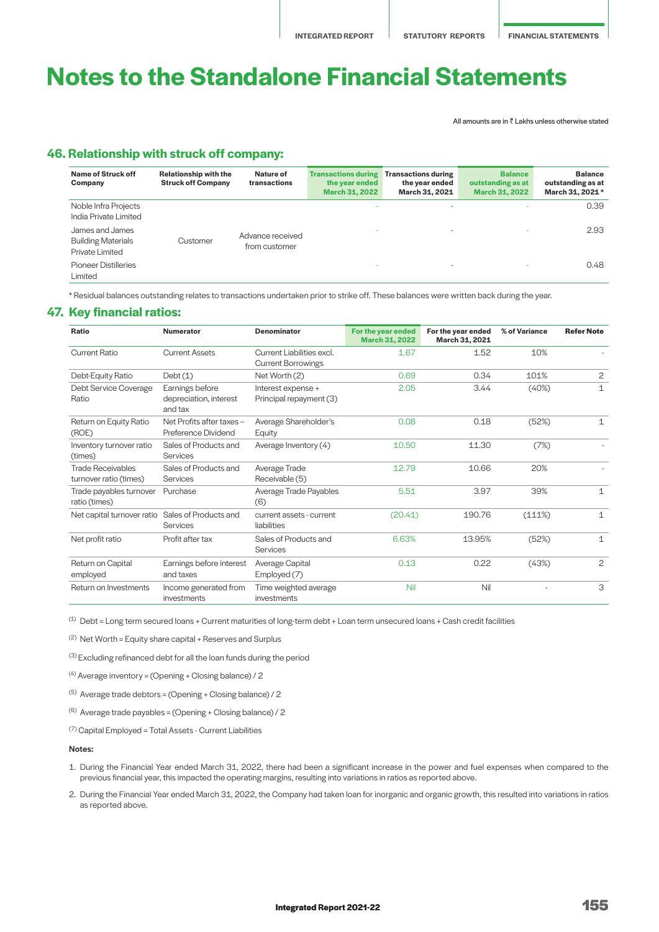All amounts are in  $\bar{\bar{\xi}}$  Lakhs unless otherwise stated

# **46. Relationship with struck off company:**

| Name of Struck off<br>Company                                   | <b>Relationship with the</b><br><b>Struck off Company</b> | Nature of<br>transactions         | <b>Transactions during</b><br>the year ended<br><b>March 31, 2022</b> | <b>Transactions during</b><br>the year ended<br>March 31, 2021 | <b>Balance</b><br>outstanding as at<br><b>March 31, 2022</b> | <b>Balance</b><br>outstanding as at<br>March 31, 2021 * |
|-----------------------------------------------------------------|-----------------------------------------------------------|-----------------------------------|-----------------------------------------------------------------------|----------------------------------------------------------------|--------------------------------------------------------------|---------------------------------------------------------|
| Noble Infra Projects<br>India Private Limited                   |                                                           |                                   | ۰                                                                     | $\overline{\phantom{0}}$                                       |                                                              | 0.39                                                    |
| James and James<br><b>Building Materials</b><br>Private Limited | Customer                                                  | Advance received<br>from customer |                                                                       | ۰                                                              | $\overline{\phantom{a}}$                                     | 2.93                                                    |
| <b>Pioneer Distilleries</b><br>Limited                          |                                                           |                                   |                                                                       | ۰                                                              | $\overline{\phantom{a}}$                                     | 0.48                                                    |

\* Residual balances outstanding relates to transactions undertaken prior to strike off. These balances were written back during the year.

# **47. Key financial ratios:**

| Ratio                                              | <b>Numerator</b>                                     | <b>Denominator</b>                                     | For the year ended<br><b>March 31, 2022</b> | For the year ended<br>March 31, 2021 | % of Variance | <b>Refer Note</b> |
|----------------------------------------------------|------------------------------------------------------|--------------------------------------------------------|---------------------------------------------|--------------------------------------|---------------|-------------------|
| <b>Current Ratio</b>                               | <b>Current Assets</b>                                | Current Liabilities excl.<br><b>Current Borrowings</b> | 1.67                                        | 1.52                                 | 10%           |                   |
| Debt-Equity Ratio                                  | Debt(1)                                              | Net Worth (2)                                          | 0.69                                        | 0.34                                 | 101%          | $\overline{c}$    |
| Debt Service Coverage<br>Ratio                     | Earnings before<br>depreciation, interest<br>and tax | Interest expense +<br>Principal repayment (3)          | 2.05                                        | 3.44                                 | (40%)         | 1                 |
| Return on Equity Ratio<br>(ROE)                    | Net Profits after taxes -<br>Preference Dividend     | Average Shareholder's<br>Equity                        | 0.08                                        | 0.18                                 | (52%)         | $\mathbf{1}$      |
| Inventory turnover ratio<br>(times)                | Sales of Products and<br><b>Services</b>             | Average Inventory (4)                                  | 10.50                                       | 11.30                                | (7%)          |                   |
| <b>Trade Receivables</b><br>turnover ratio (times) | Sales of Products and<br>Services                    | Average Trade<br>Receivable (5)                        | 12.79                                       | 10.66                                | 20%           |                   |
| Trade payables turnover<br>ratio (times)           | Purchase                                             | Average Trade Payables<br>(6)                          | 5.51                                        | 3.97                                 | 39%           | $\mathbf{1}$      |
| Net capital turnover ratio Sales of Products and   | Services                                             | current assets - current<br>liabilities                | (20.41)                                     | 190.76                               | (111%)        | $\mathbf{1}$      |
| Net profit ratio                                   | Profit after tax                                     | Sales of Products and<br><b>Services</b>               | 6.63%                                       | 13.95%                               | (52%)         | $\mathbf{1}$      |
| Return on Capital<br>employed                      | Earnings before interest<br>and taxes                | Average Capital<br>Employed (7)                        | 0.13                                        | 0.22                                 | (43%)         | $\overline{c}$    |
| Return on Investments                              | Income generated from<br>investments                 | Time weighted average<br>investments                   | Nil                                         | Nil                                  |               | 3                 |

 $<sup>(1)</sup>$  Debt = Long term secured loans + Current maturities of long-term debt + Loan term unsecured loans + Cash credit facilities</sup>

(2) Net Worth = Equity share capital + Reserves and Surplus

(3) Excluding refinanced debt for all the loan funds during the period

<sup>(4)</sup> Average inventory = (Opening + Closing balance) / 2

- (5) Average trade debtors = (Opening + Closing balance) / 2
- $(6)$  Average trade payables = (Opening + Closing balance) / 2

(7) Capital Employed = Total Assets - Current Liabilities

### Notes:

- 1. During the Financial Year ended March 31, 2022, there had been a significant increase in the power and fuel expenses when compared to the previous financial year, this impacted the operating margins, resulting into variations in ratios as reported above.
- 2. During the Financial Year ended March 31, 2022, the Company had taken loan for inorganic and organic growth, this resulted into variations in ratios as reported above.